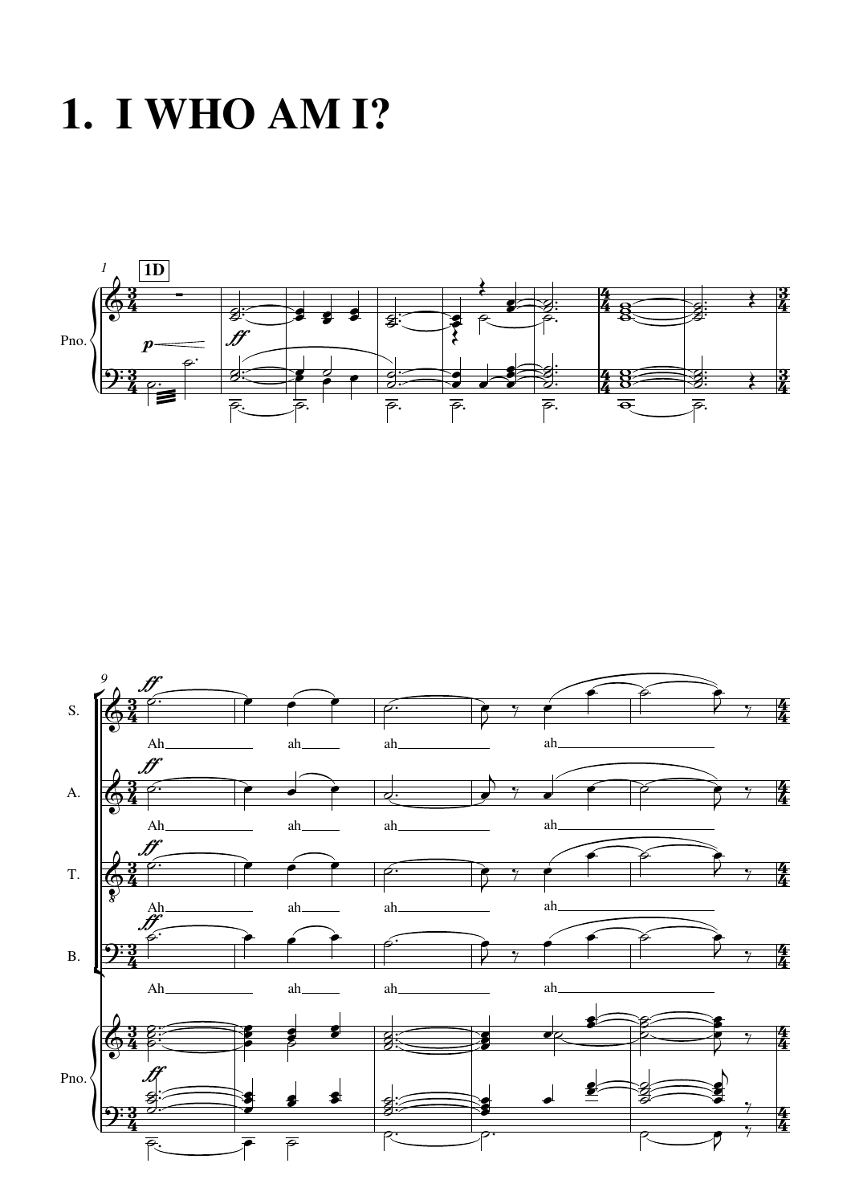## **1. I WHO AM I?**



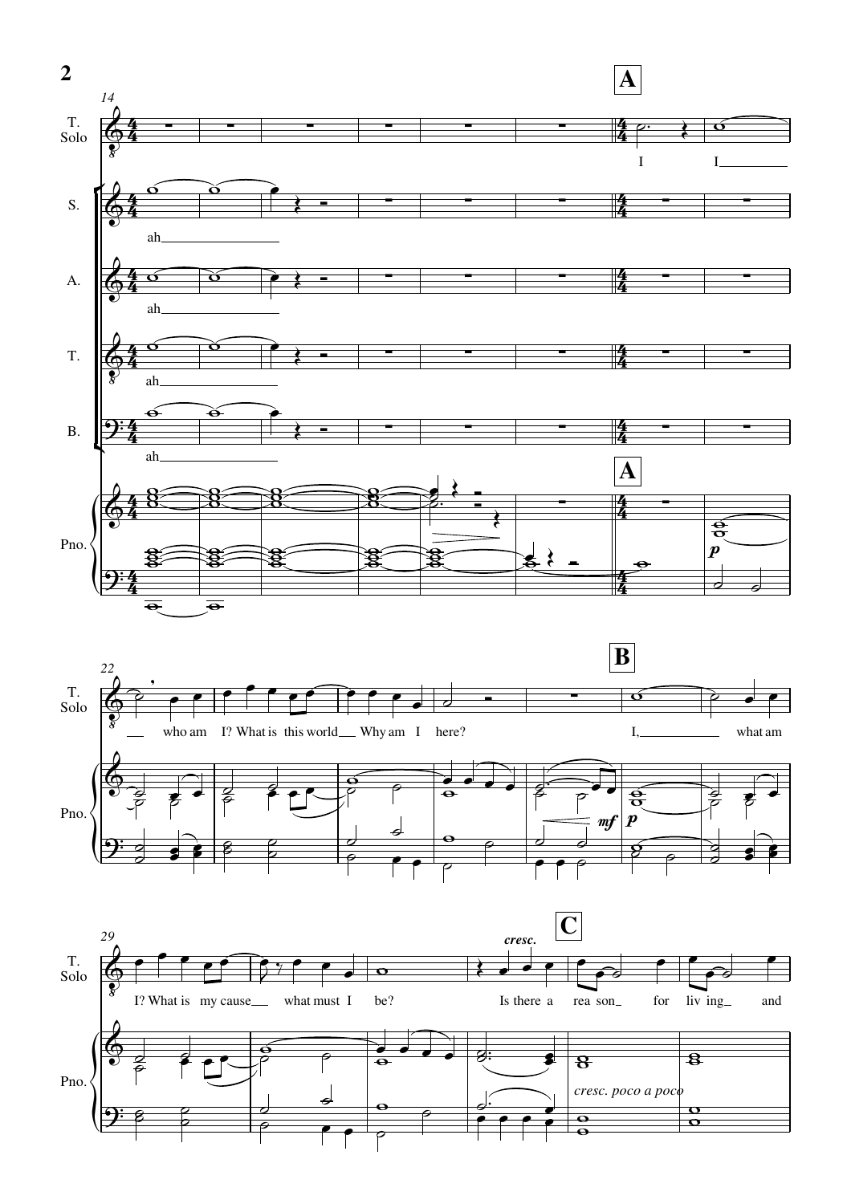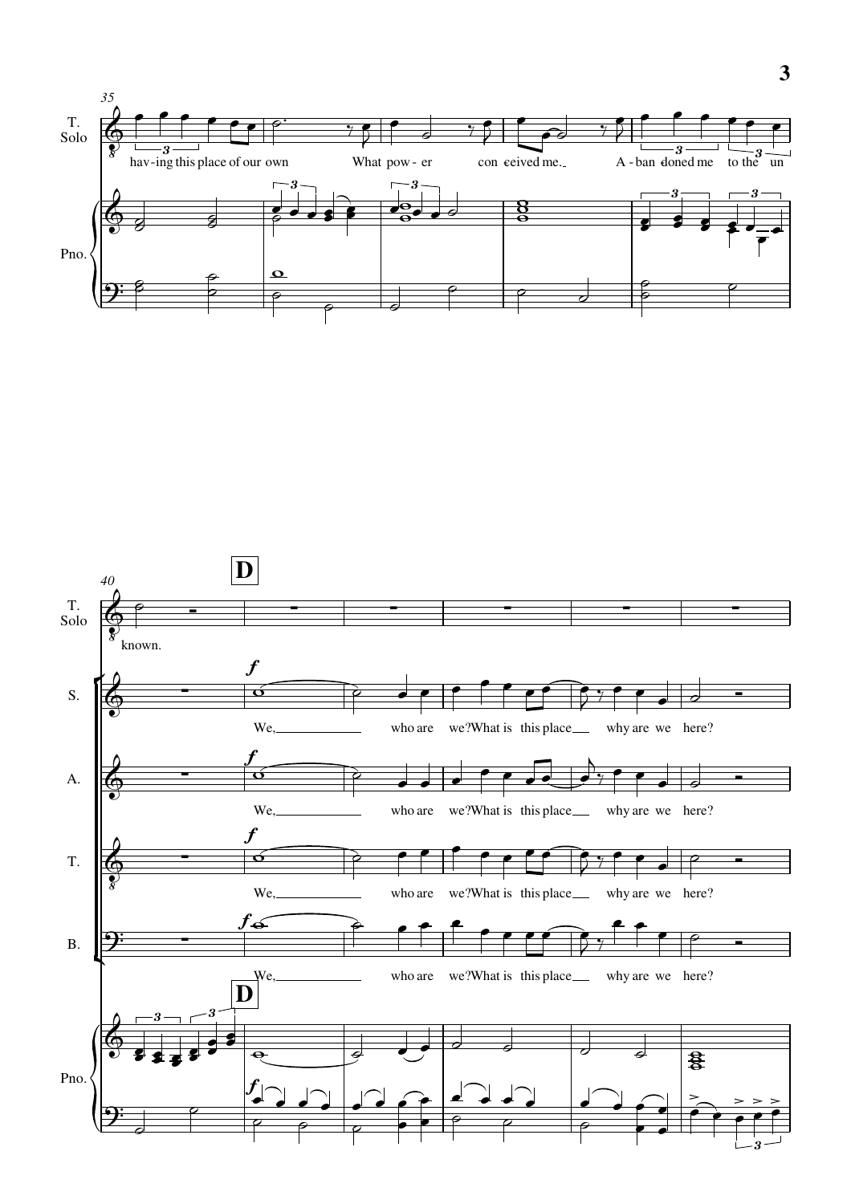

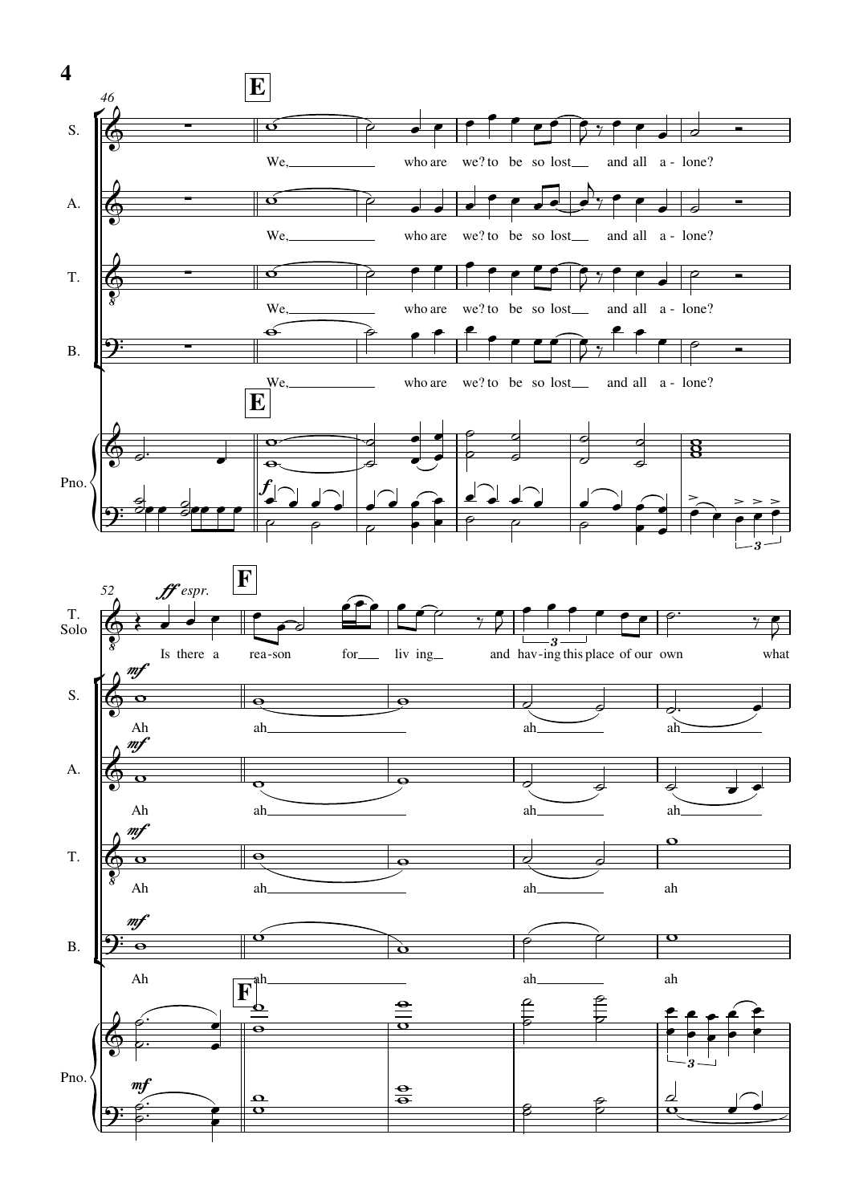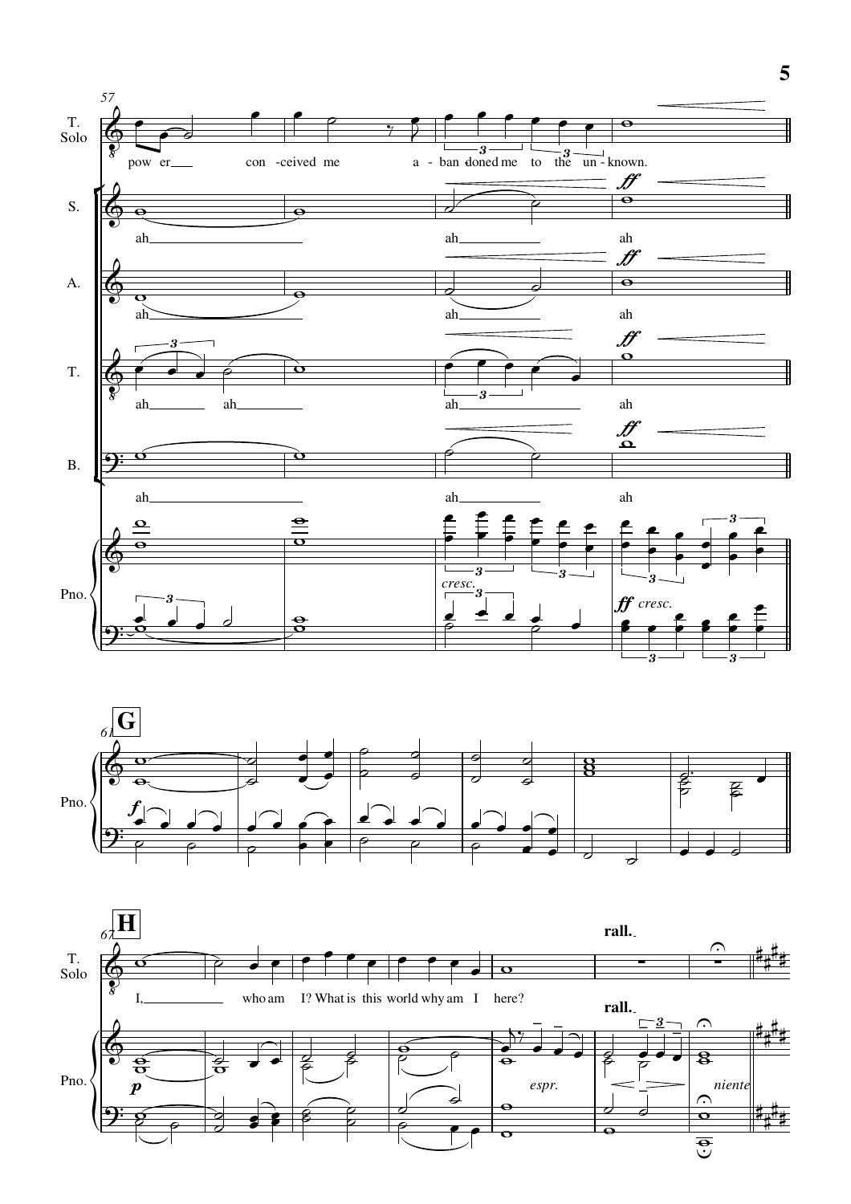



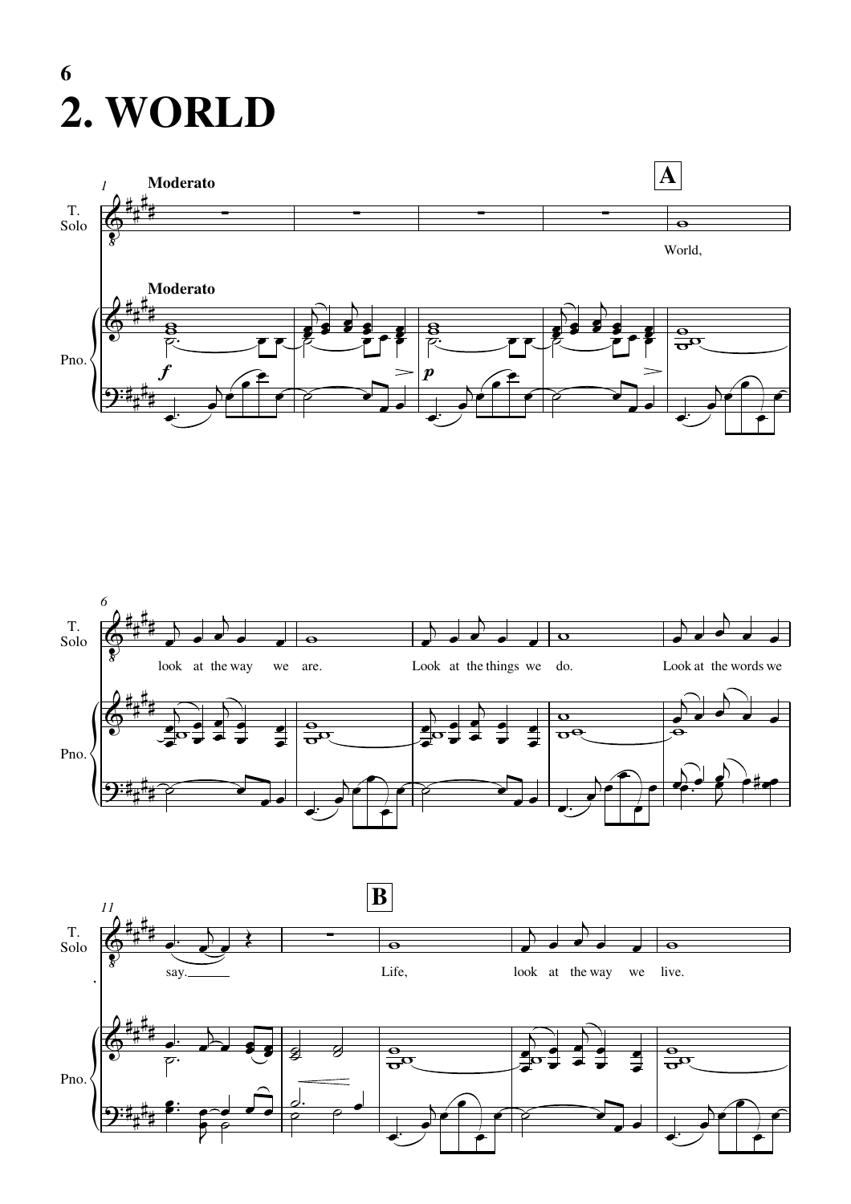## **2. WORLD 6**





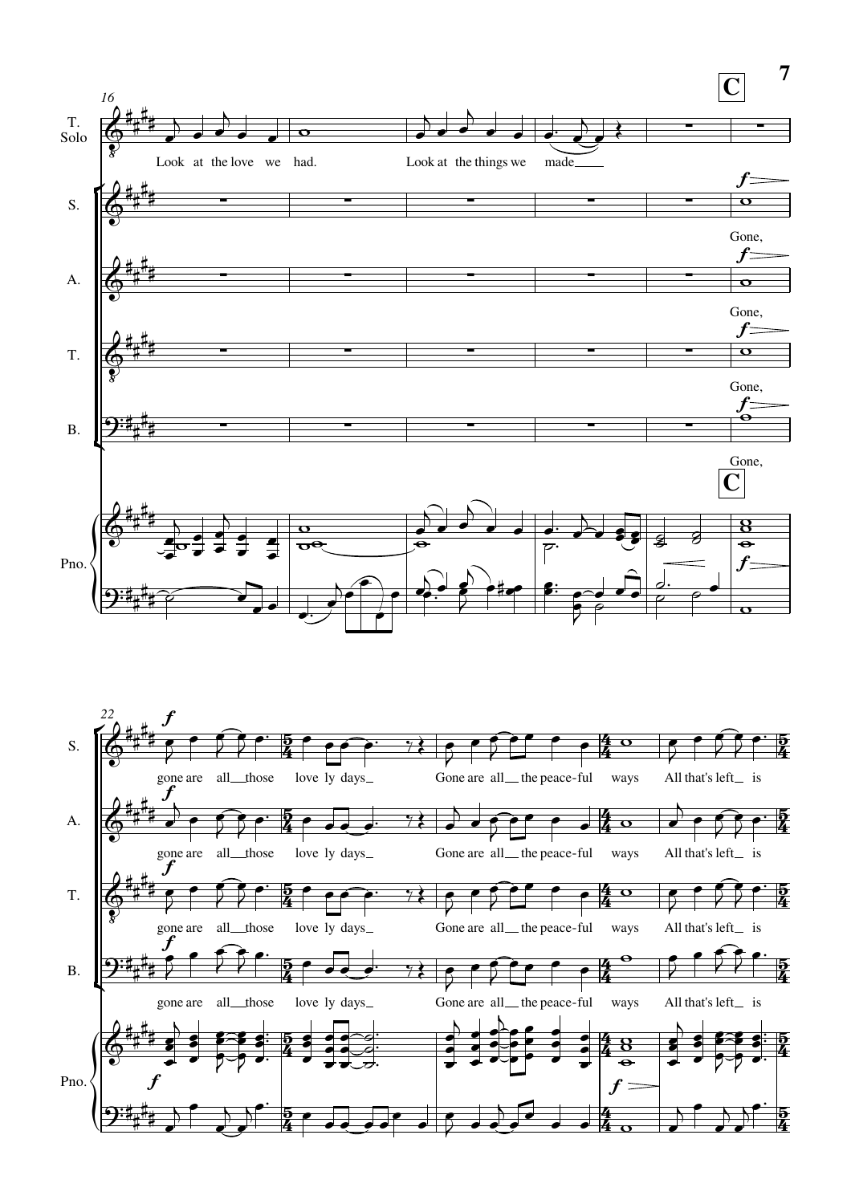

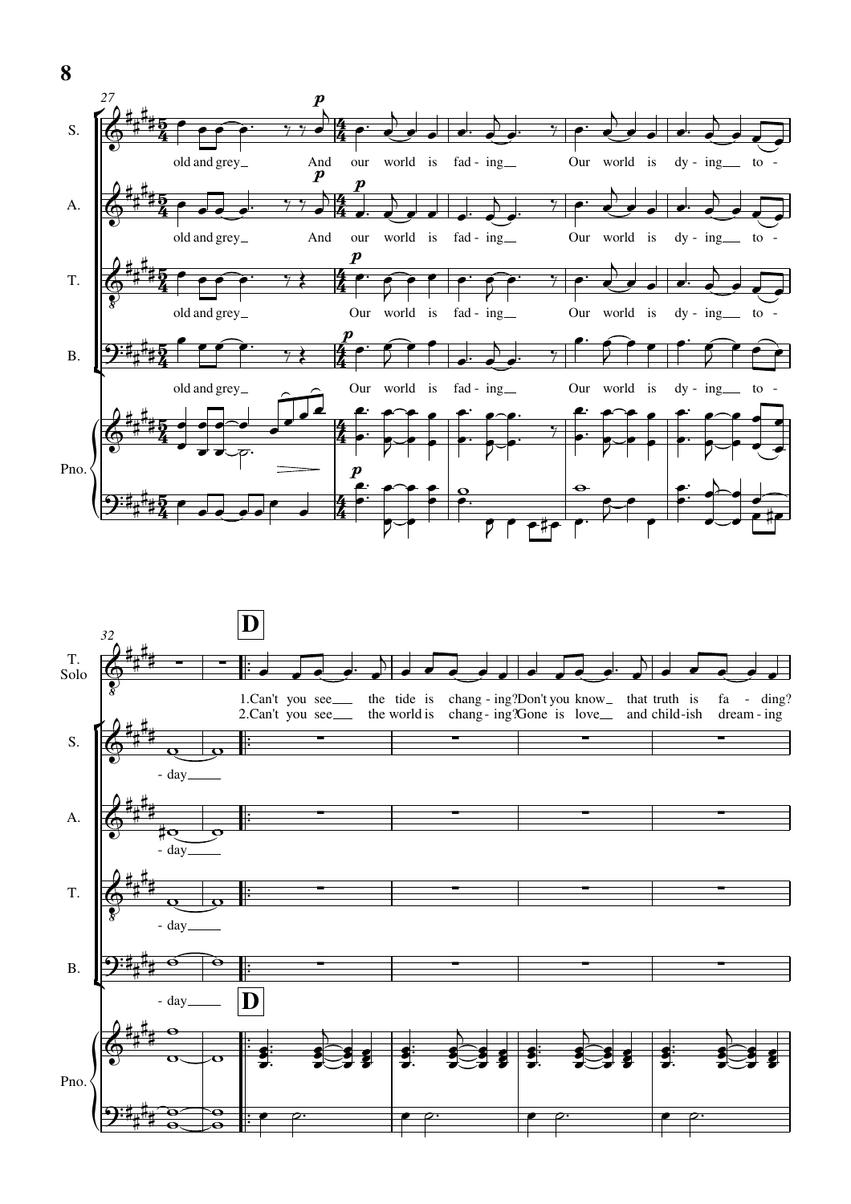

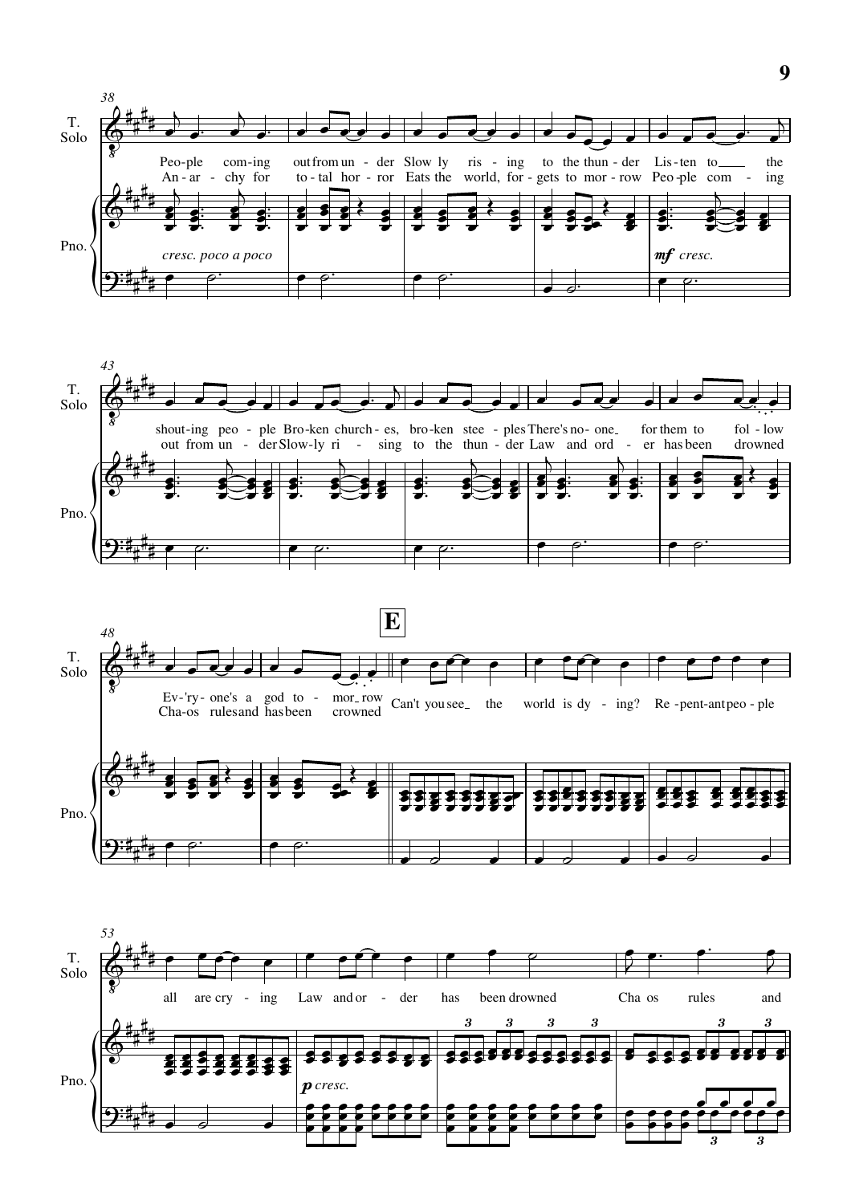





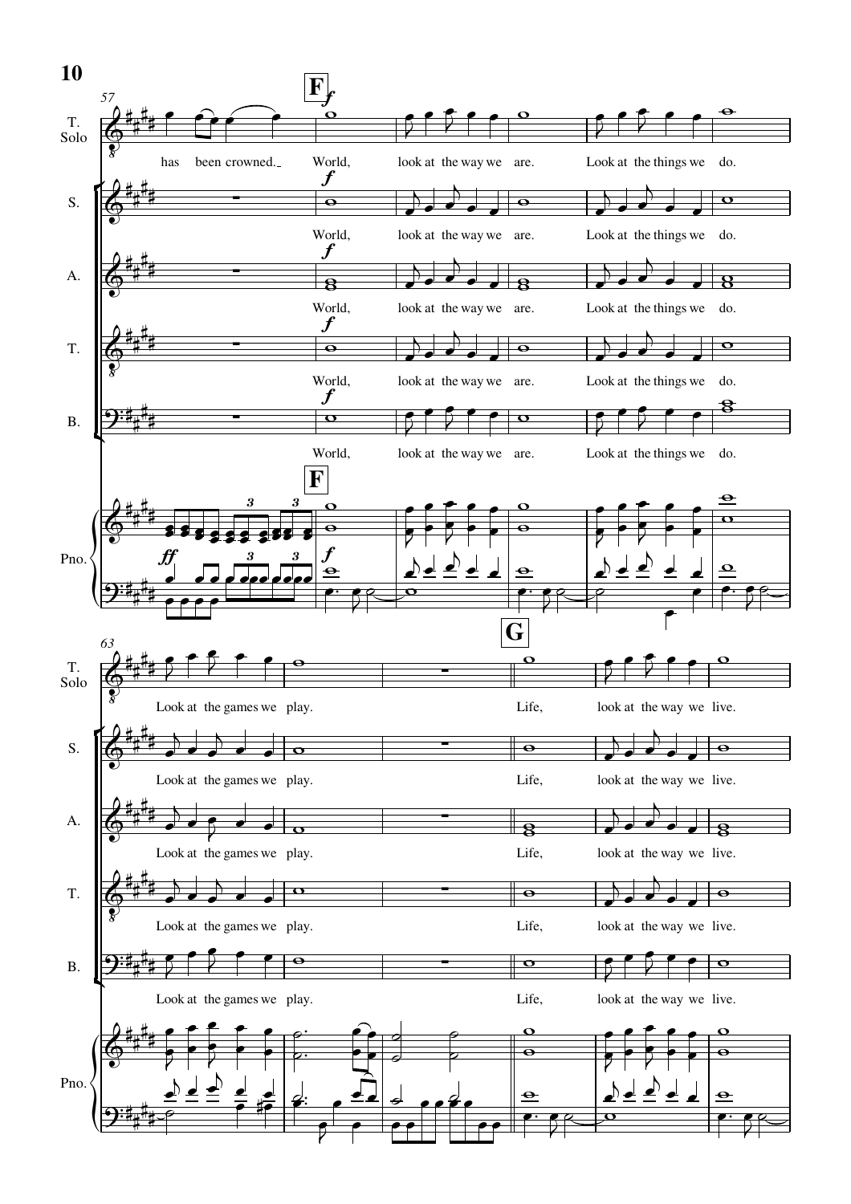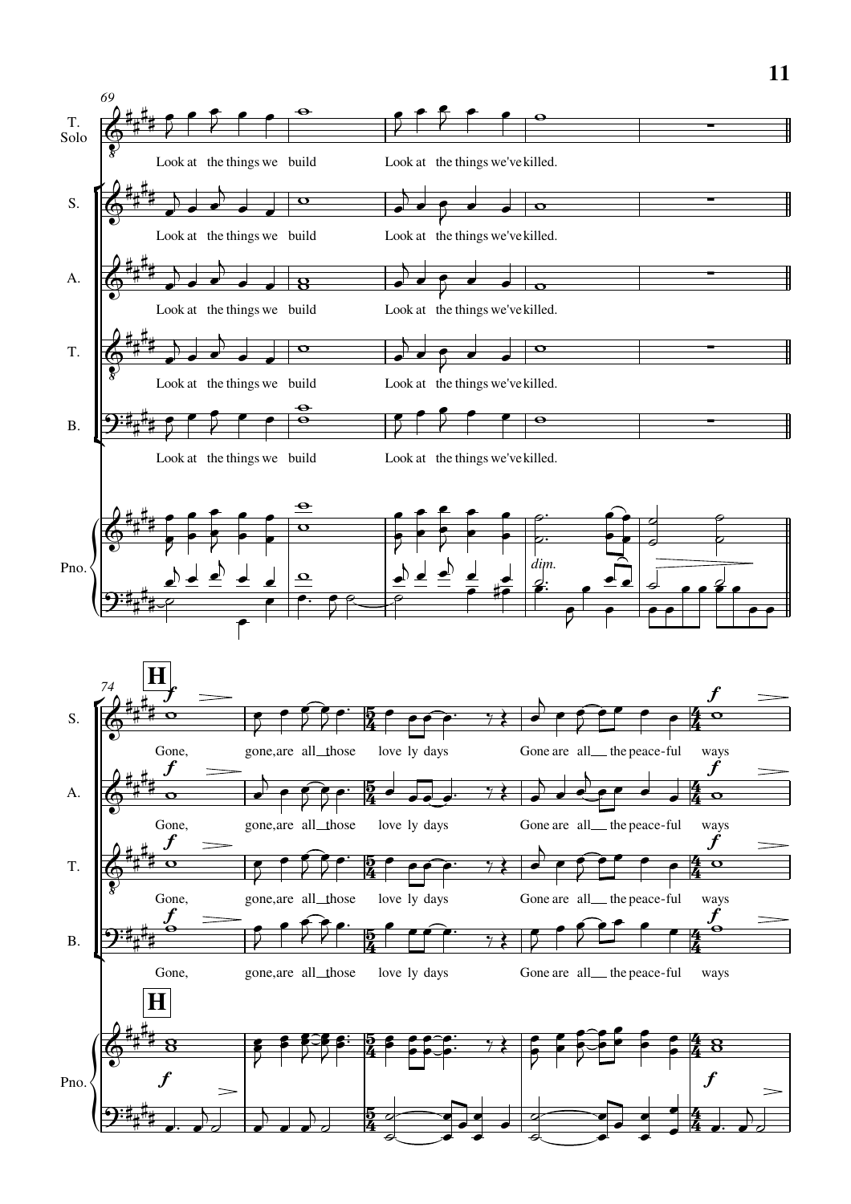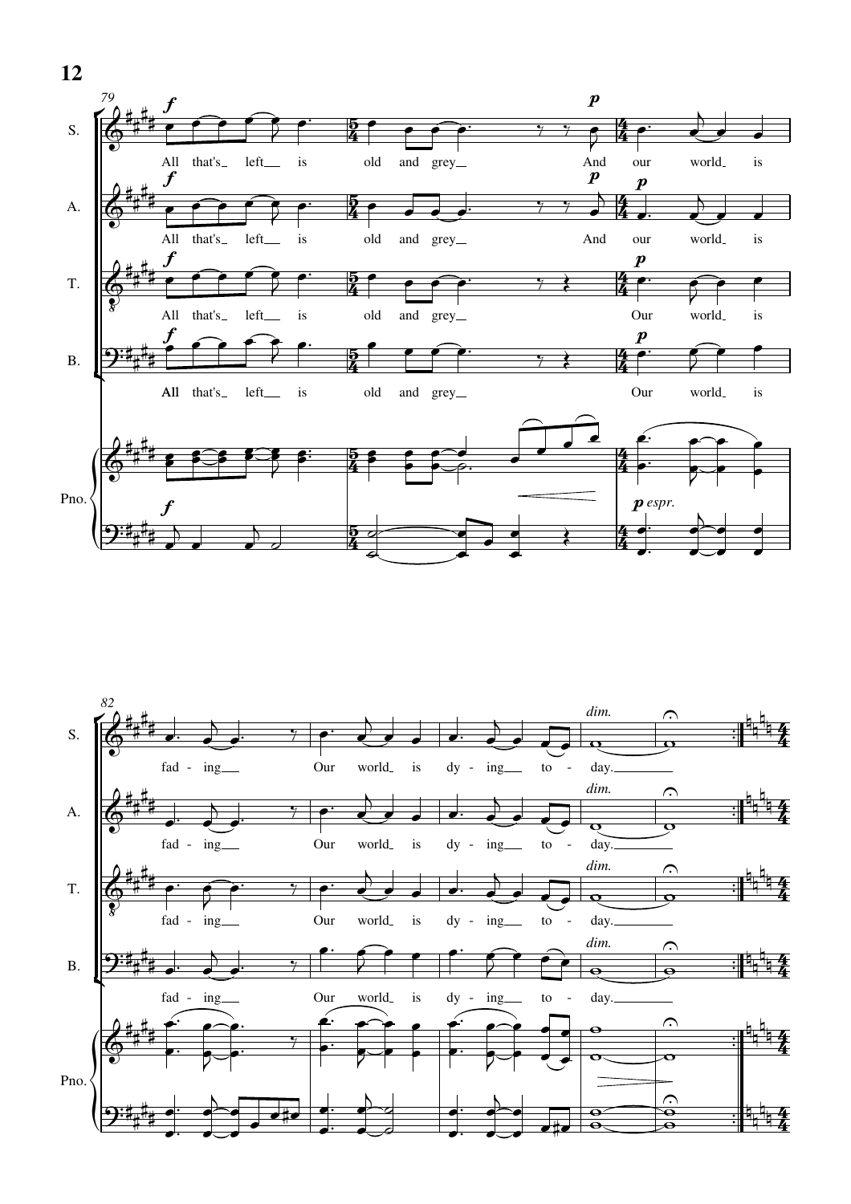

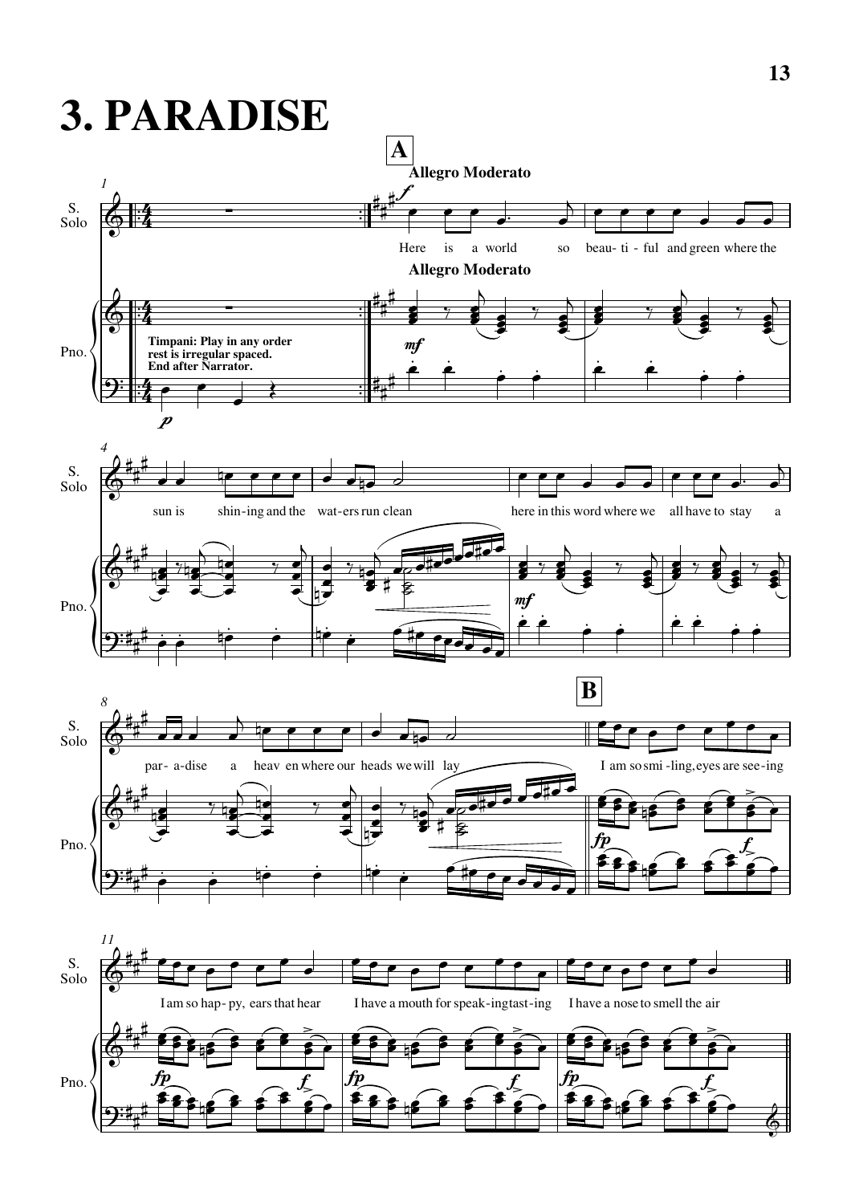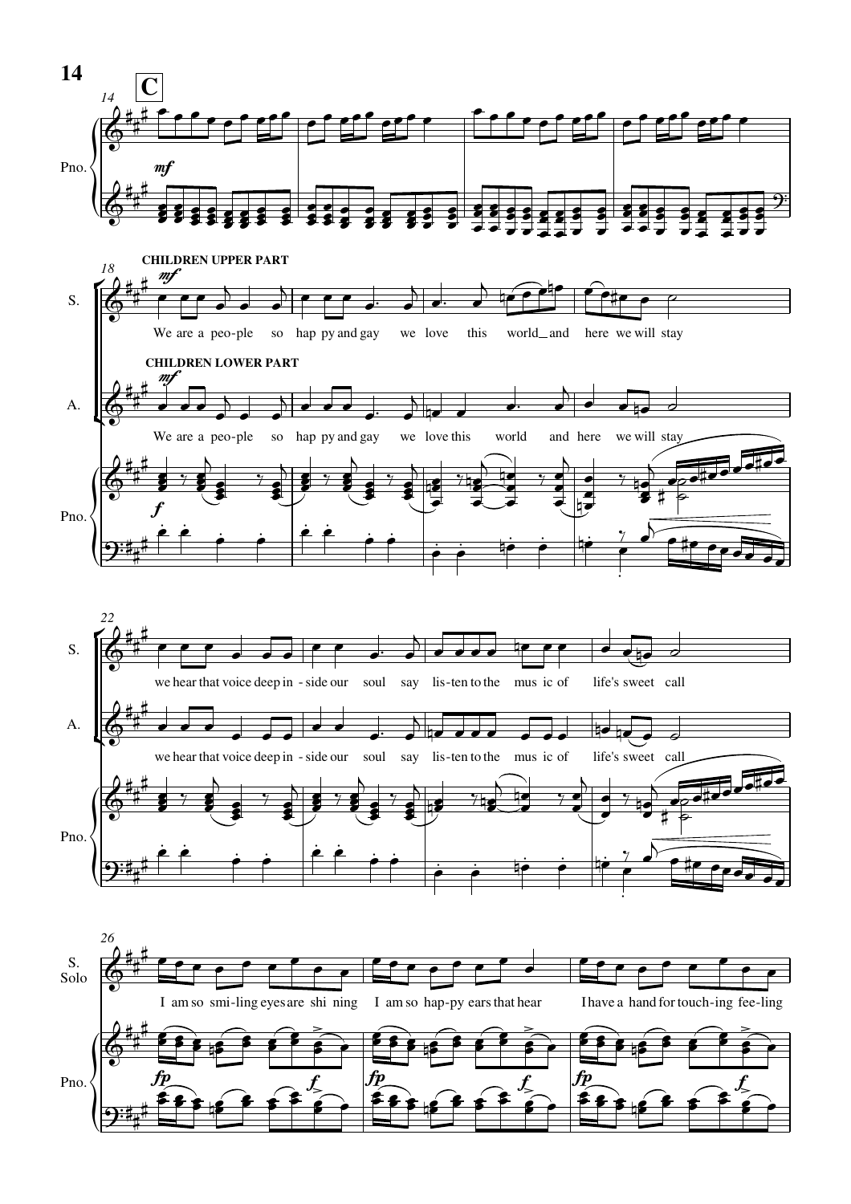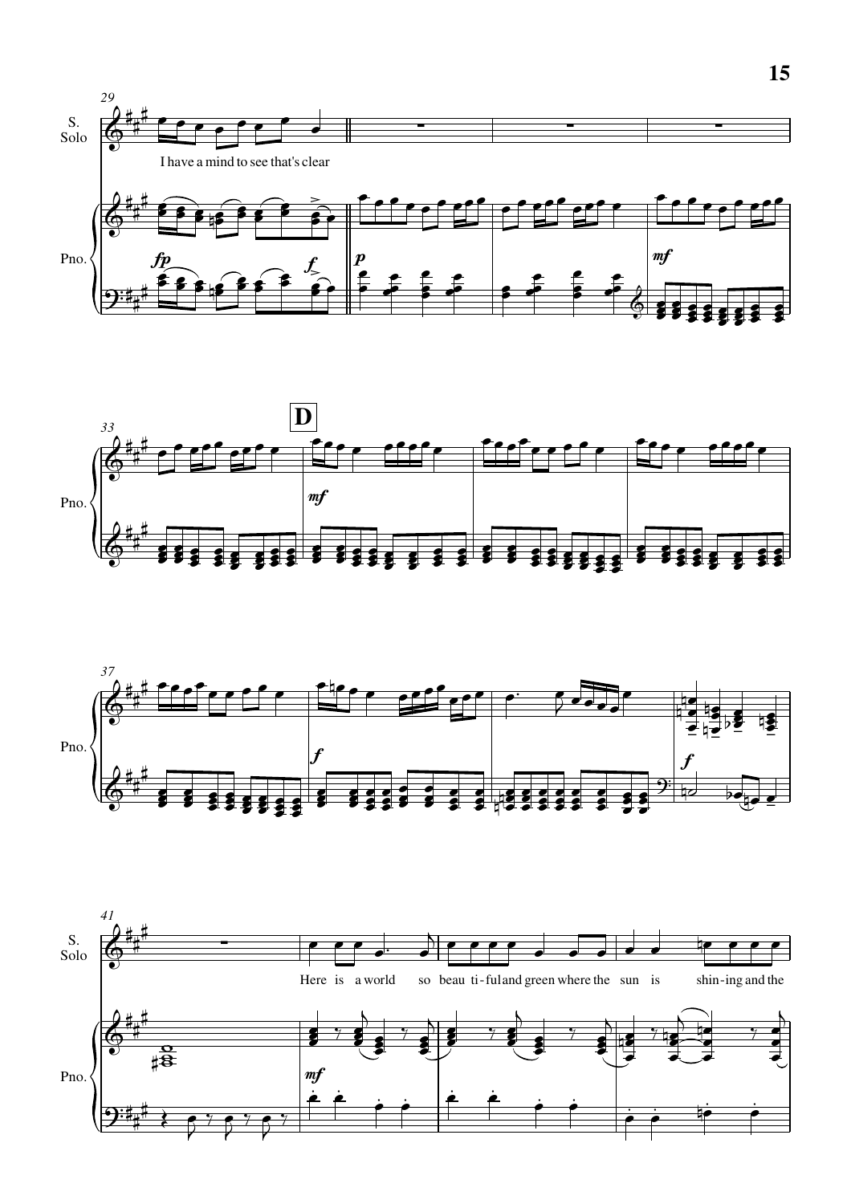





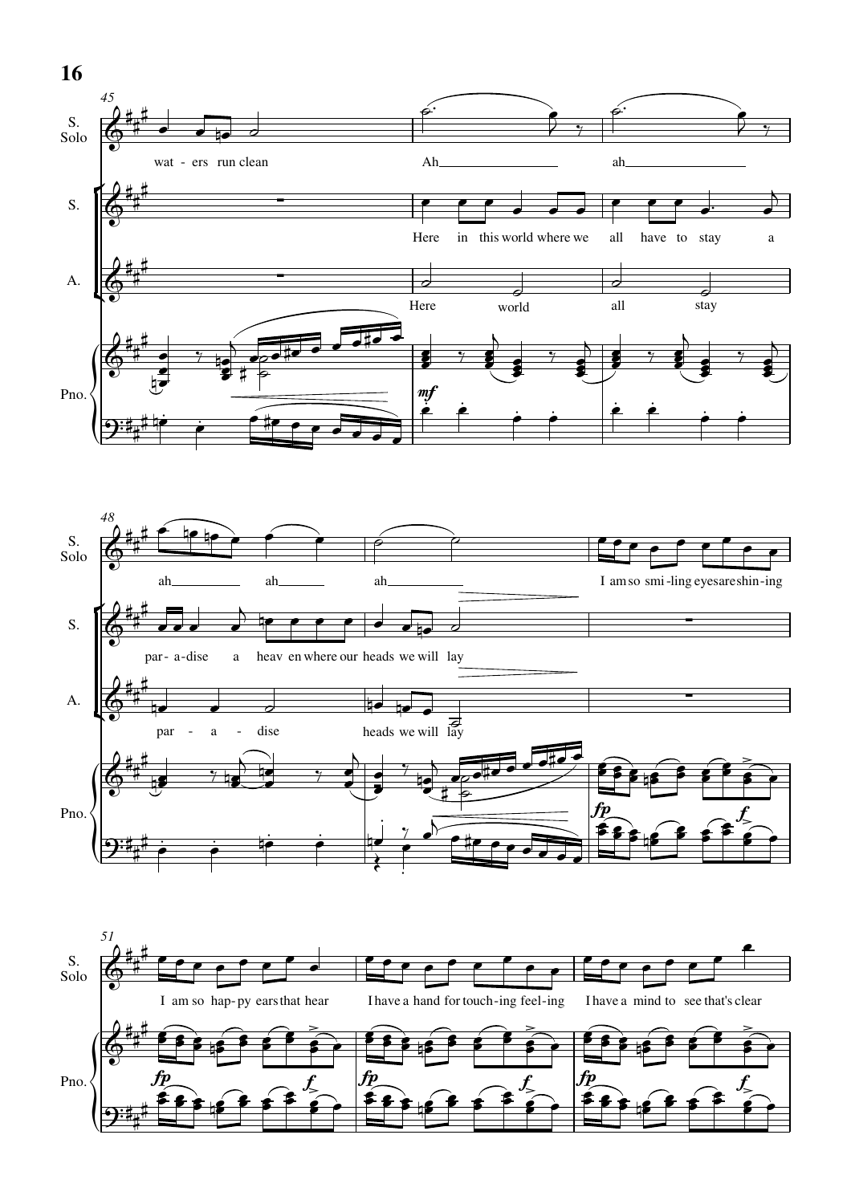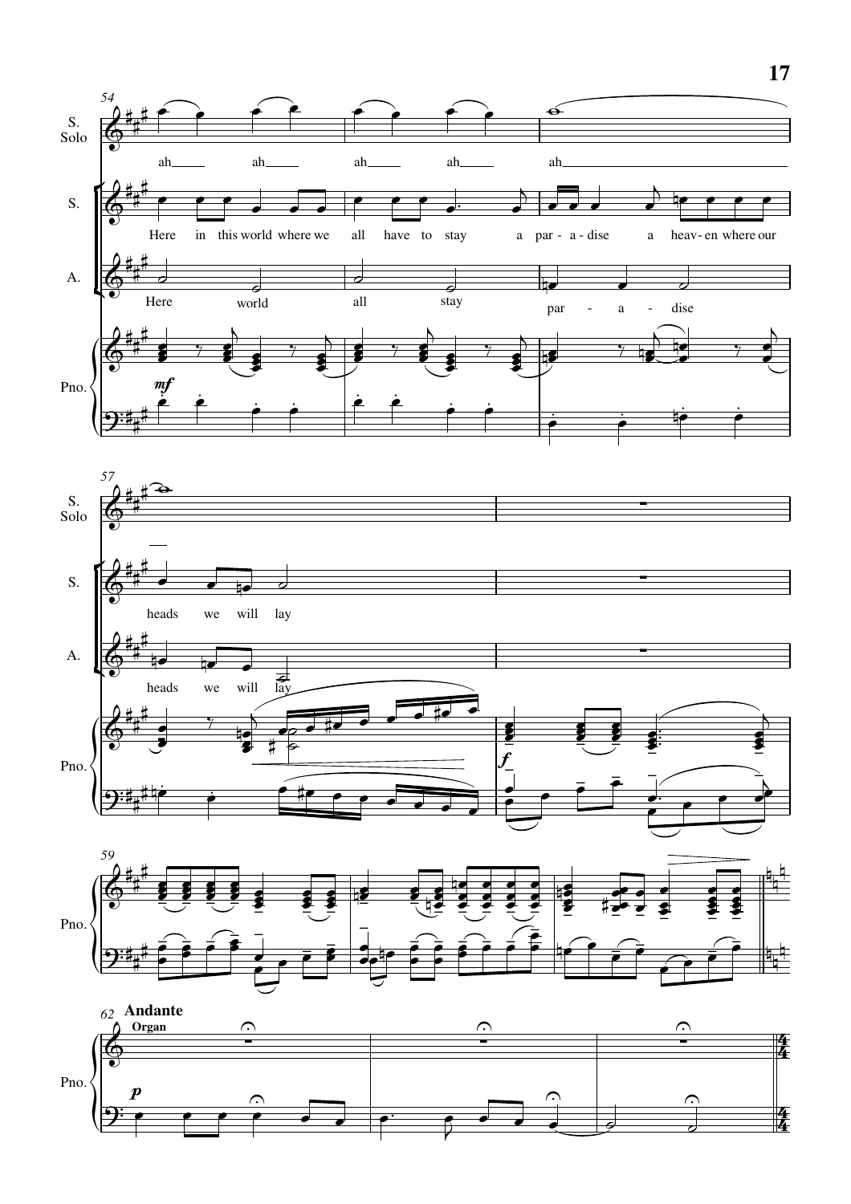



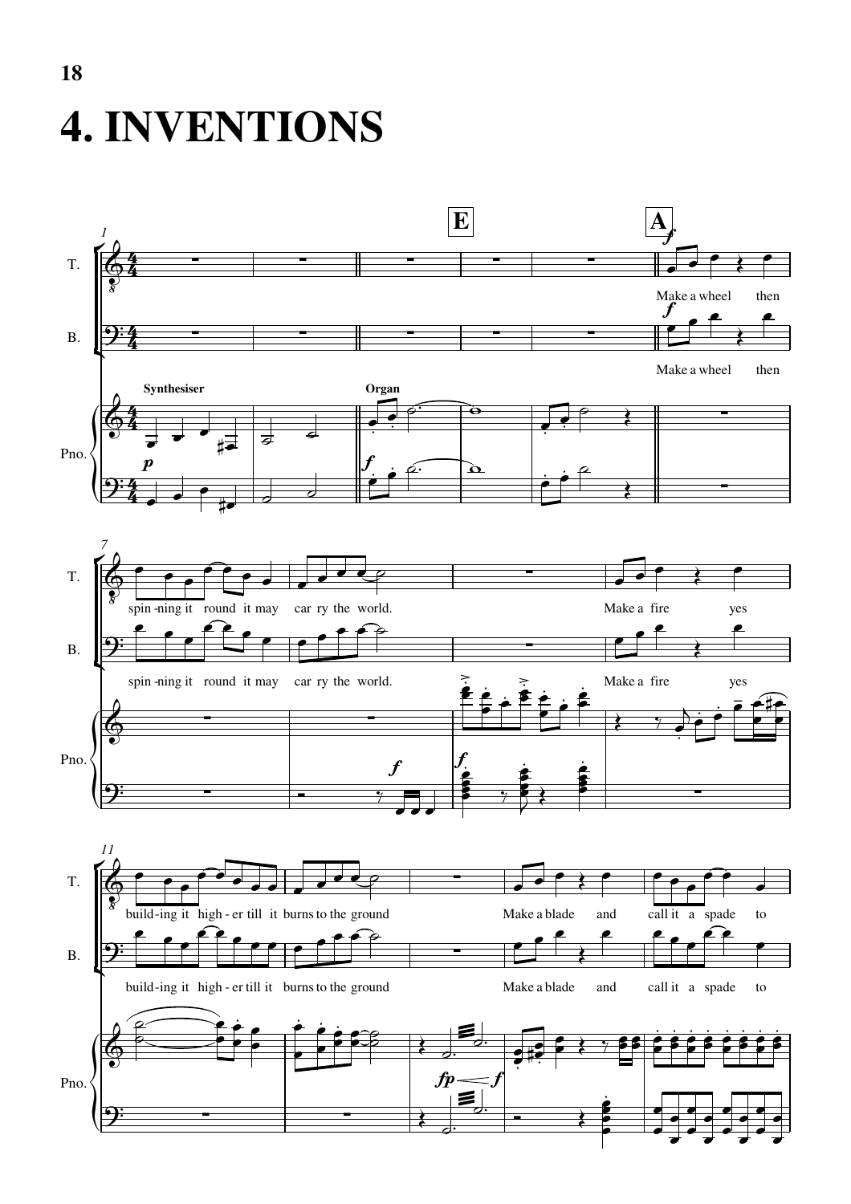**4. INVENTIONS**

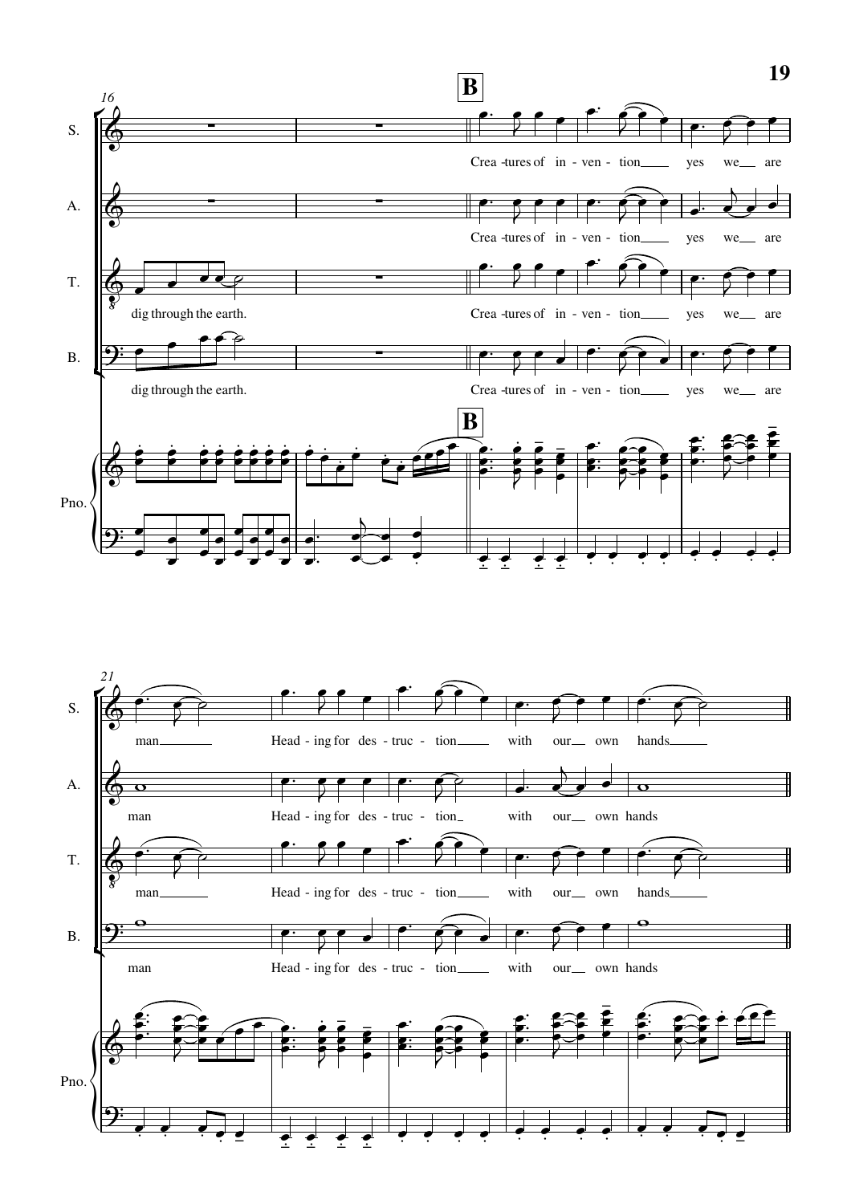

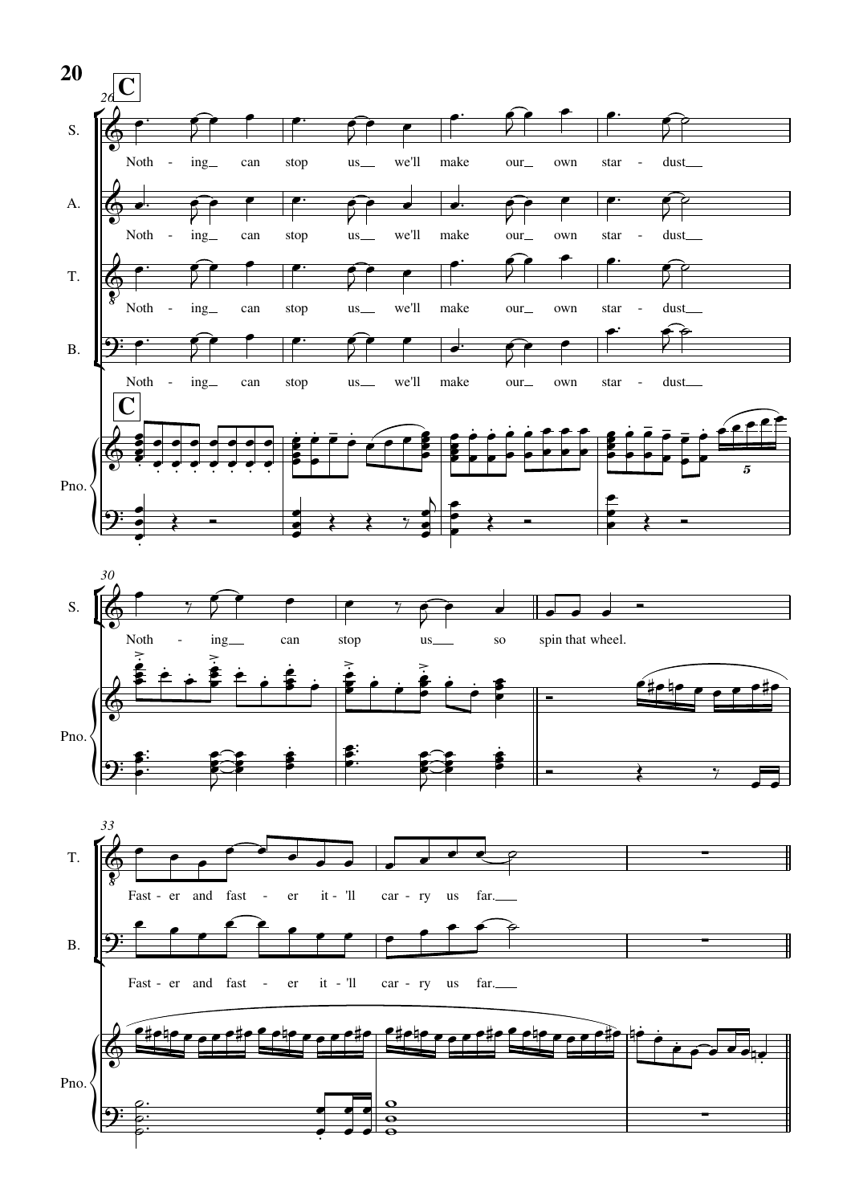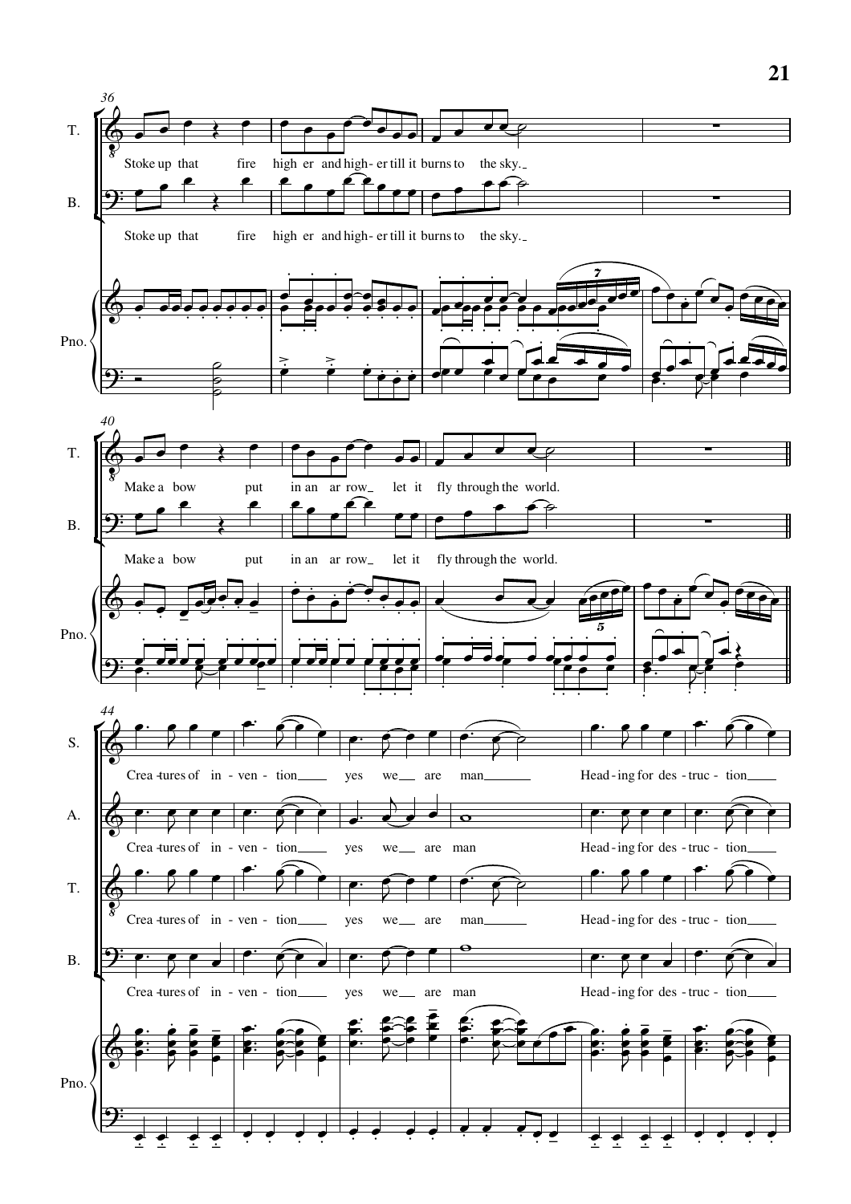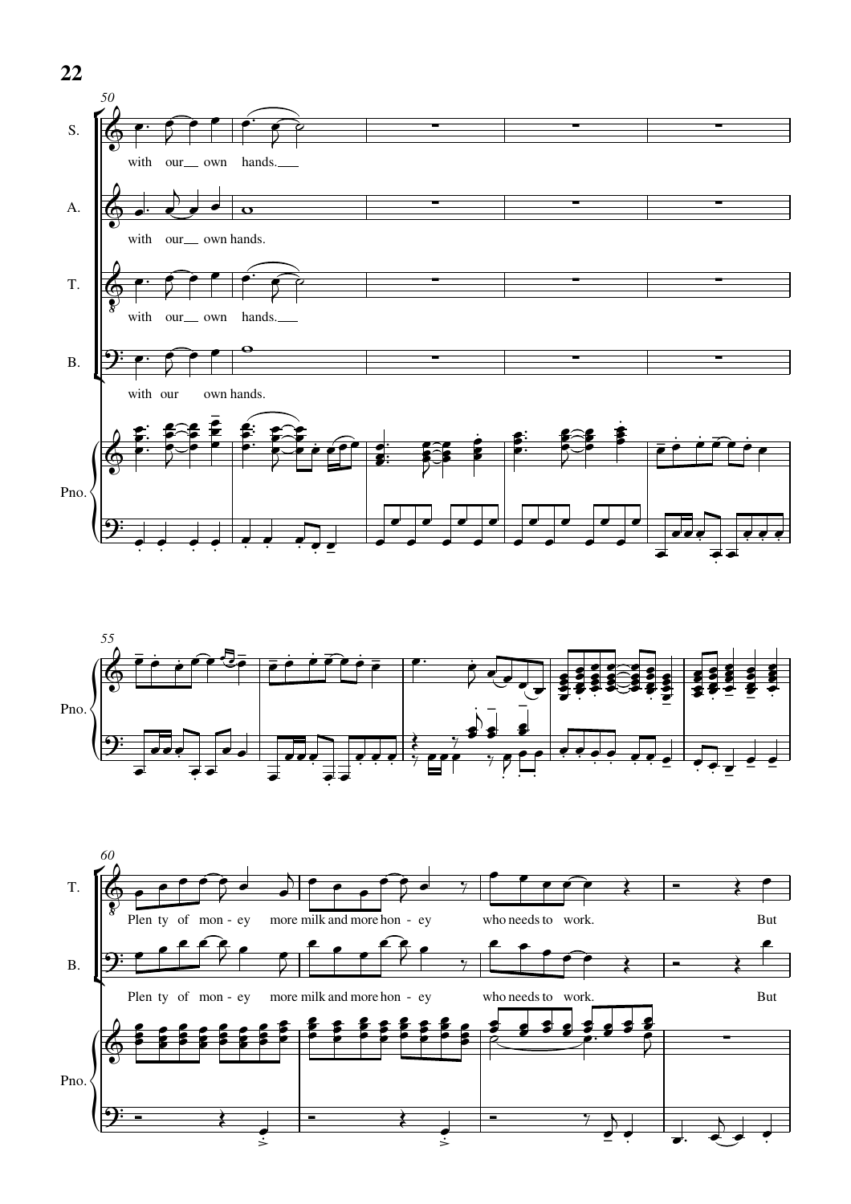



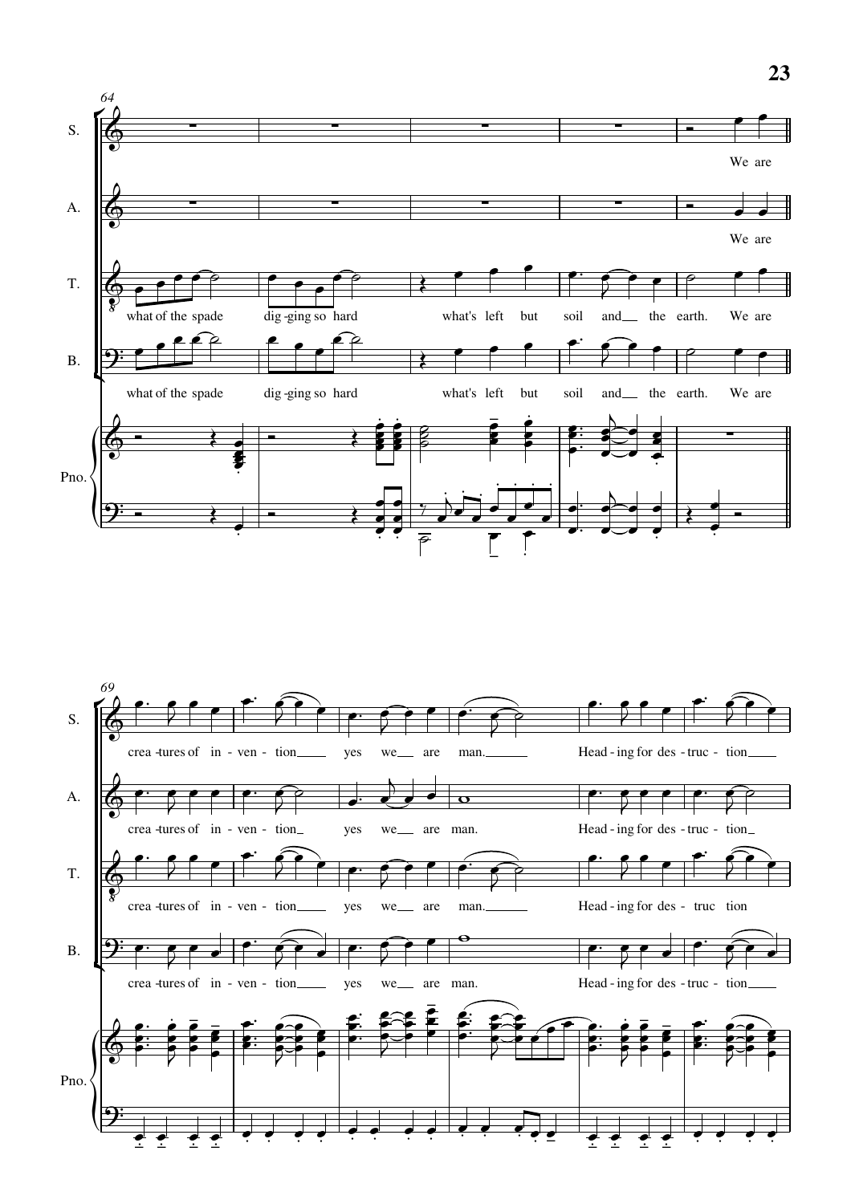

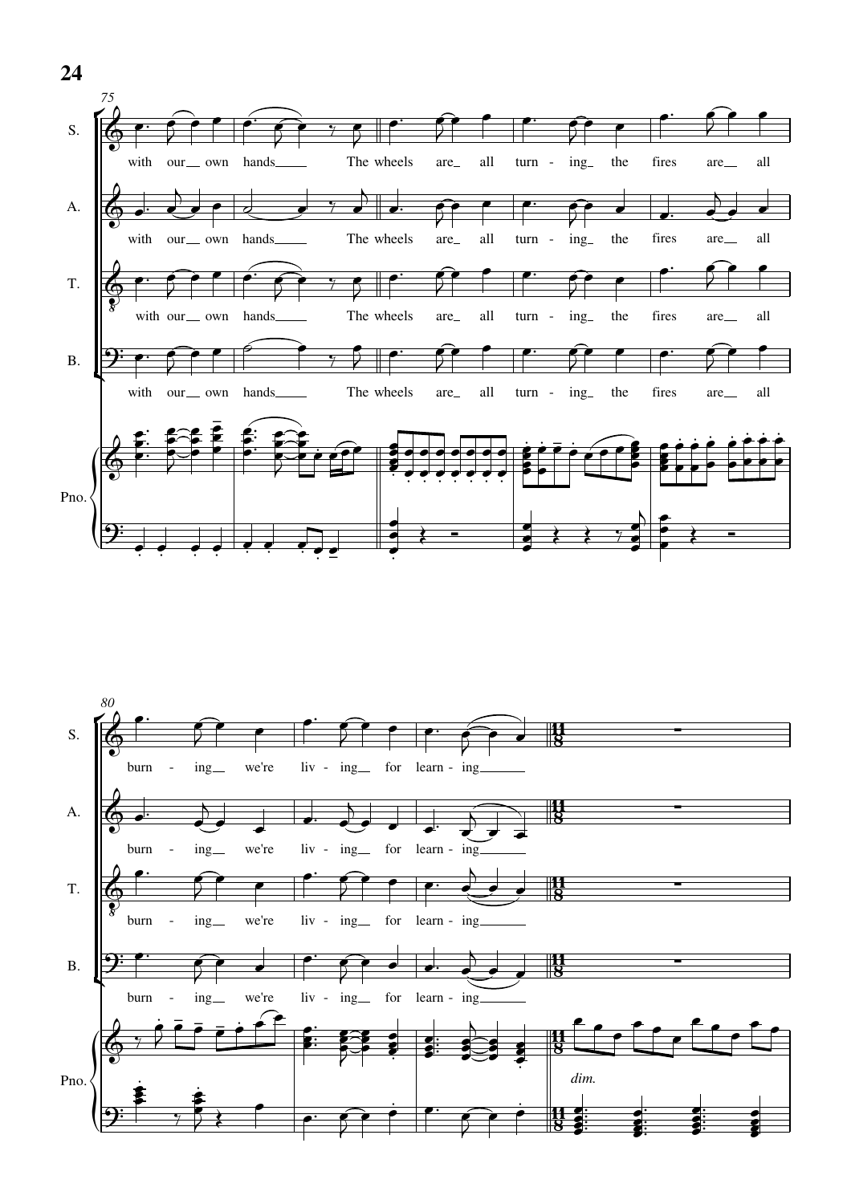

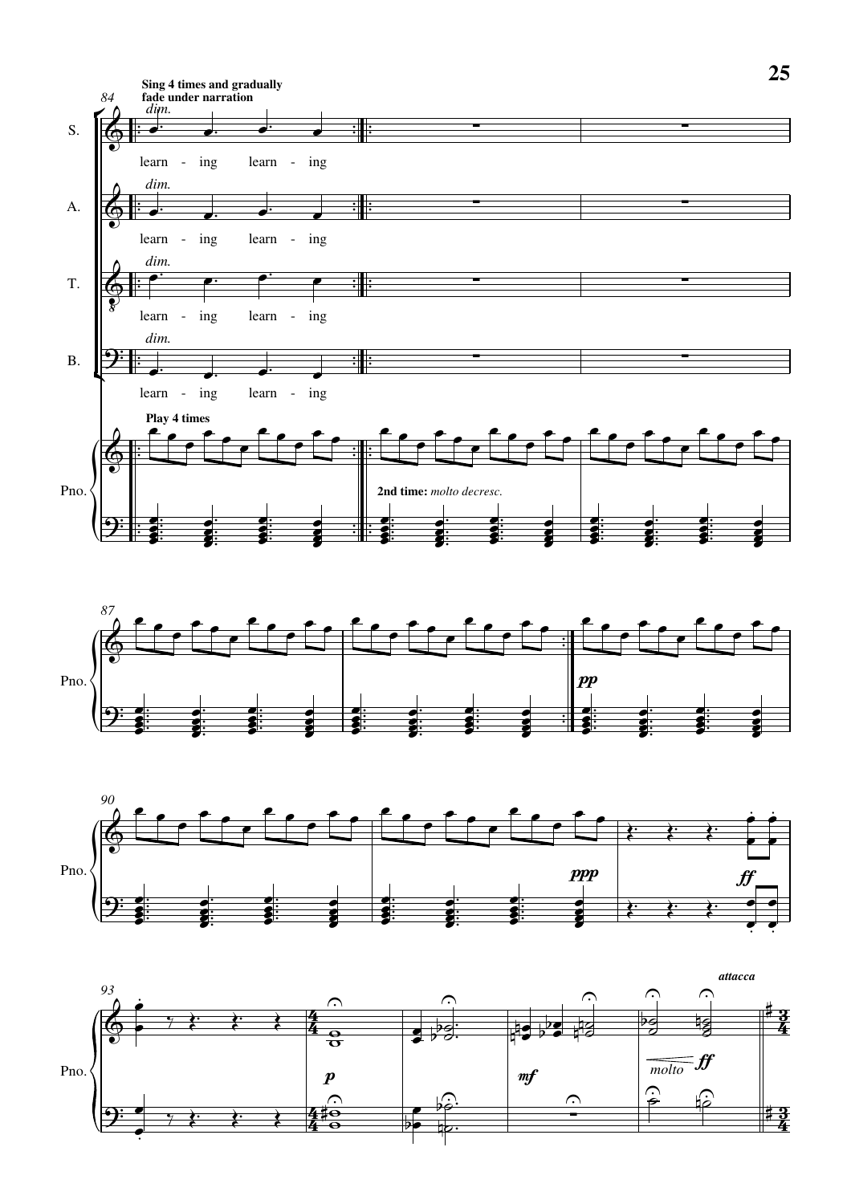





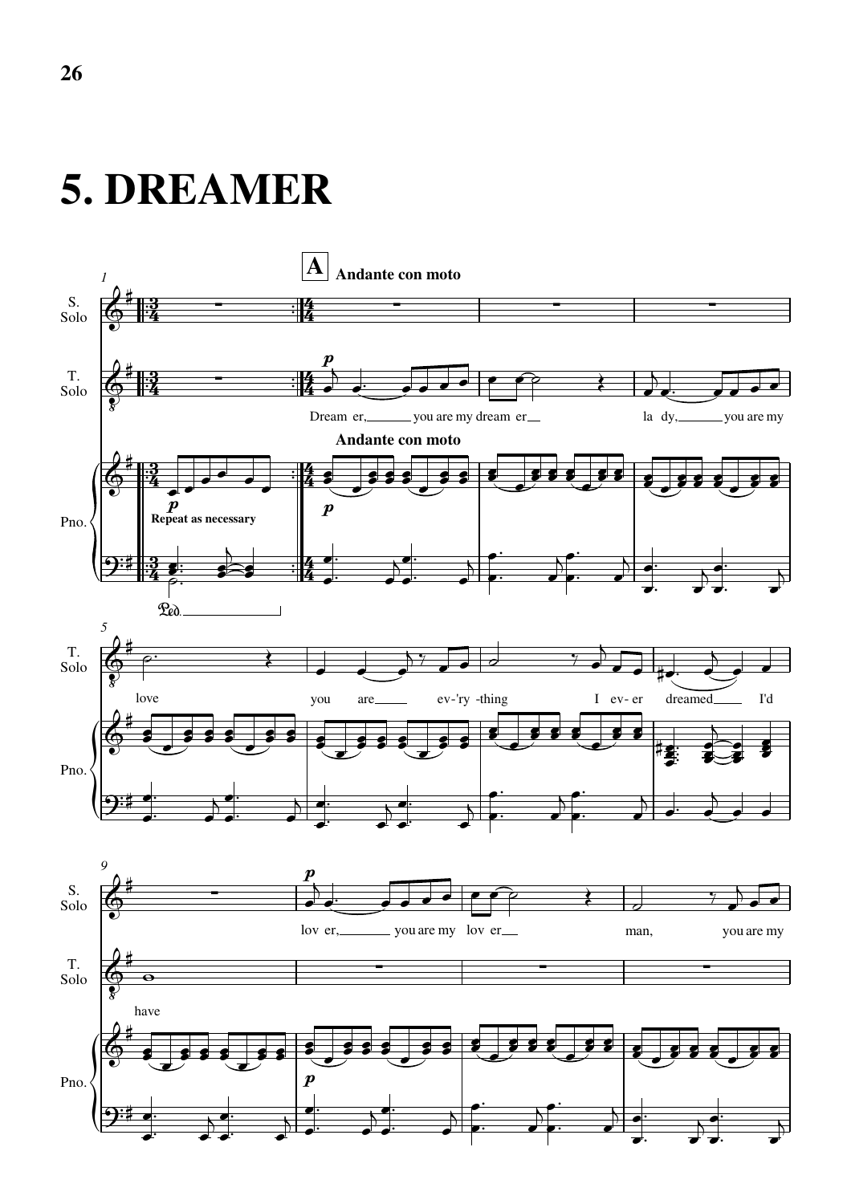## **5. DREAMER**

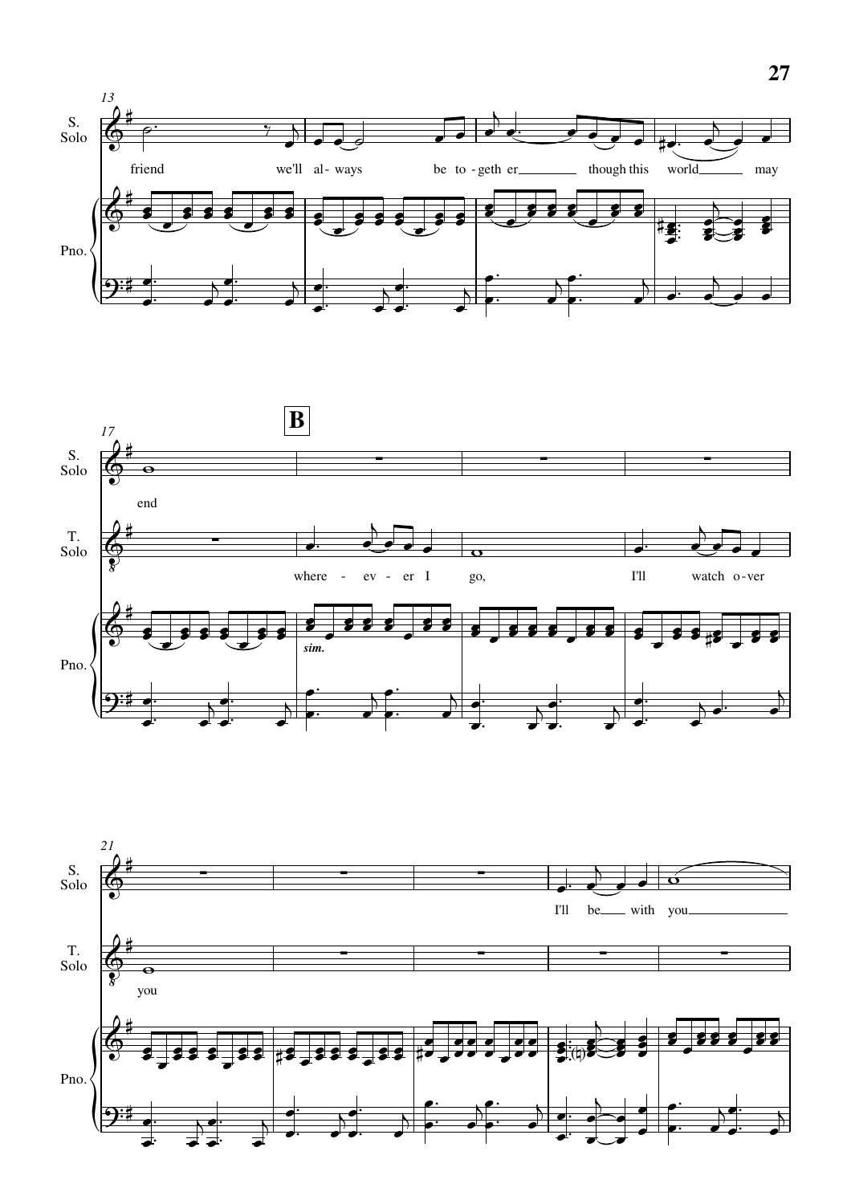



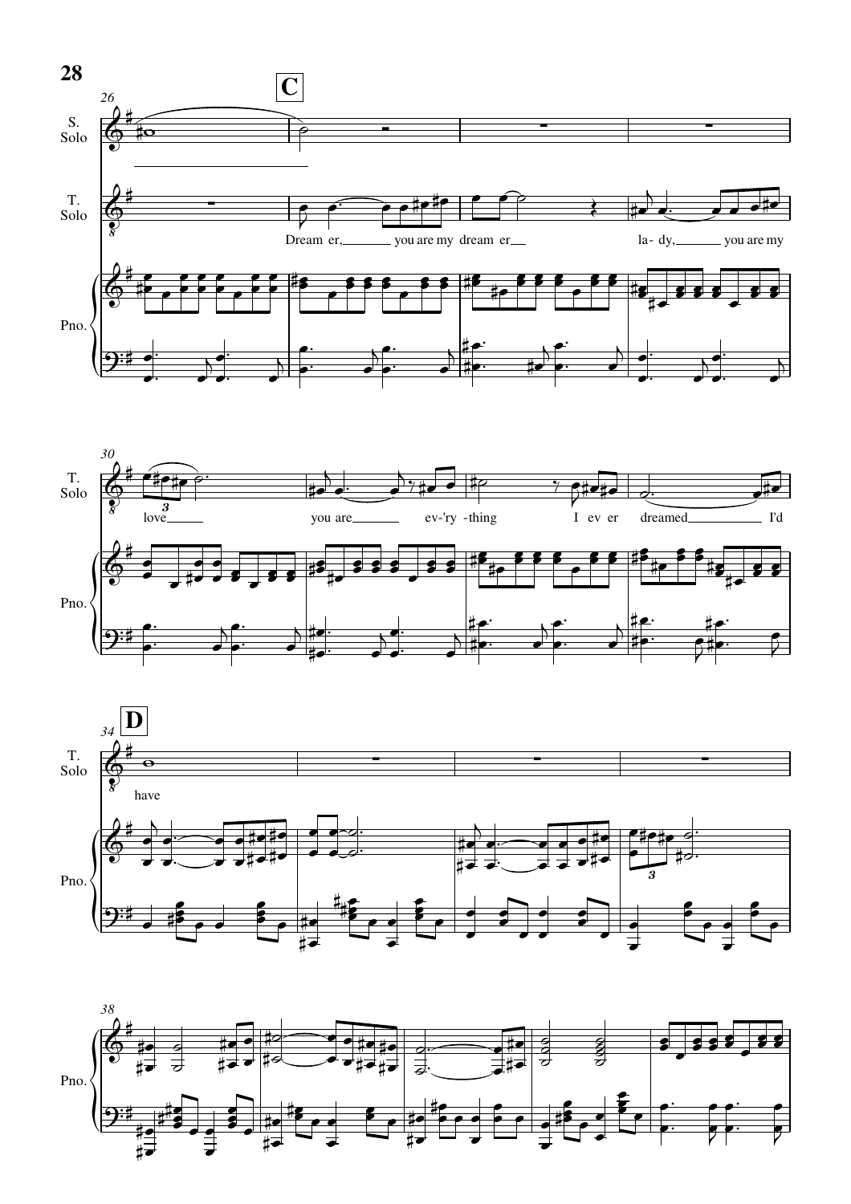





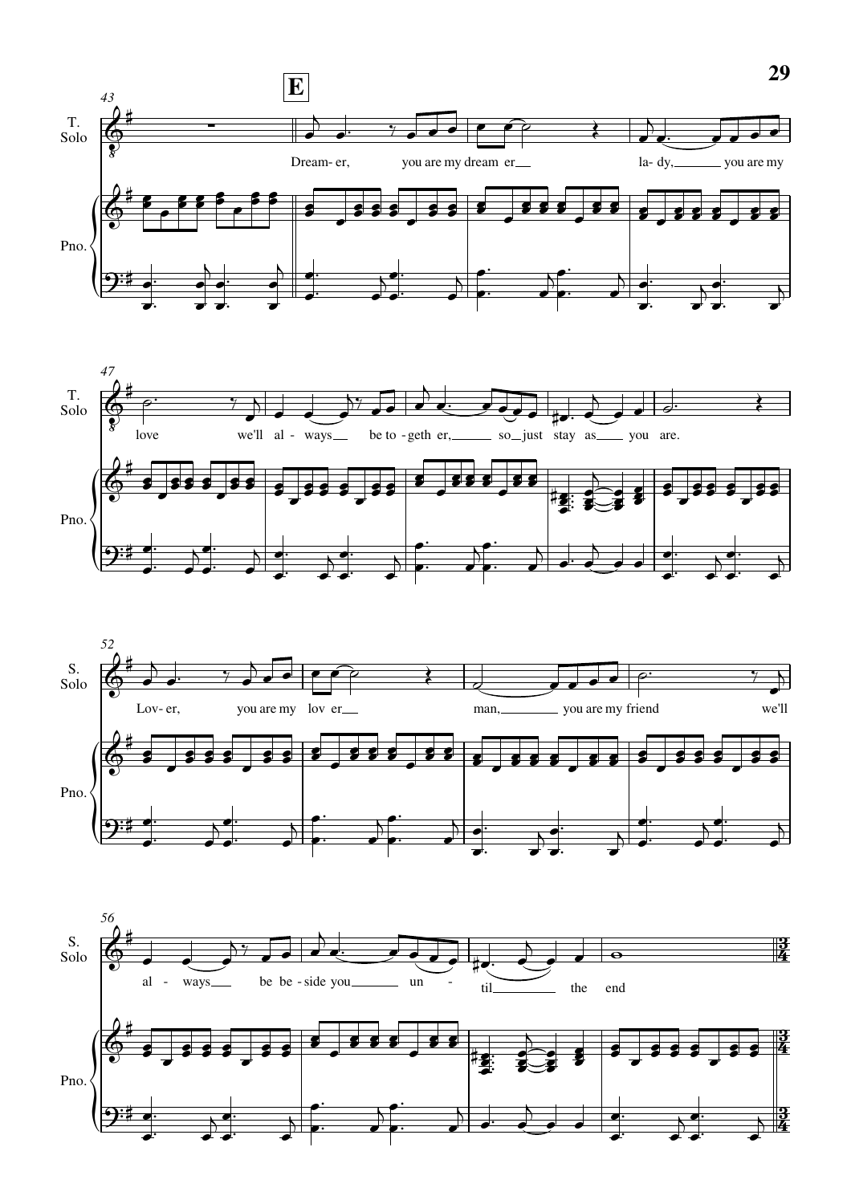





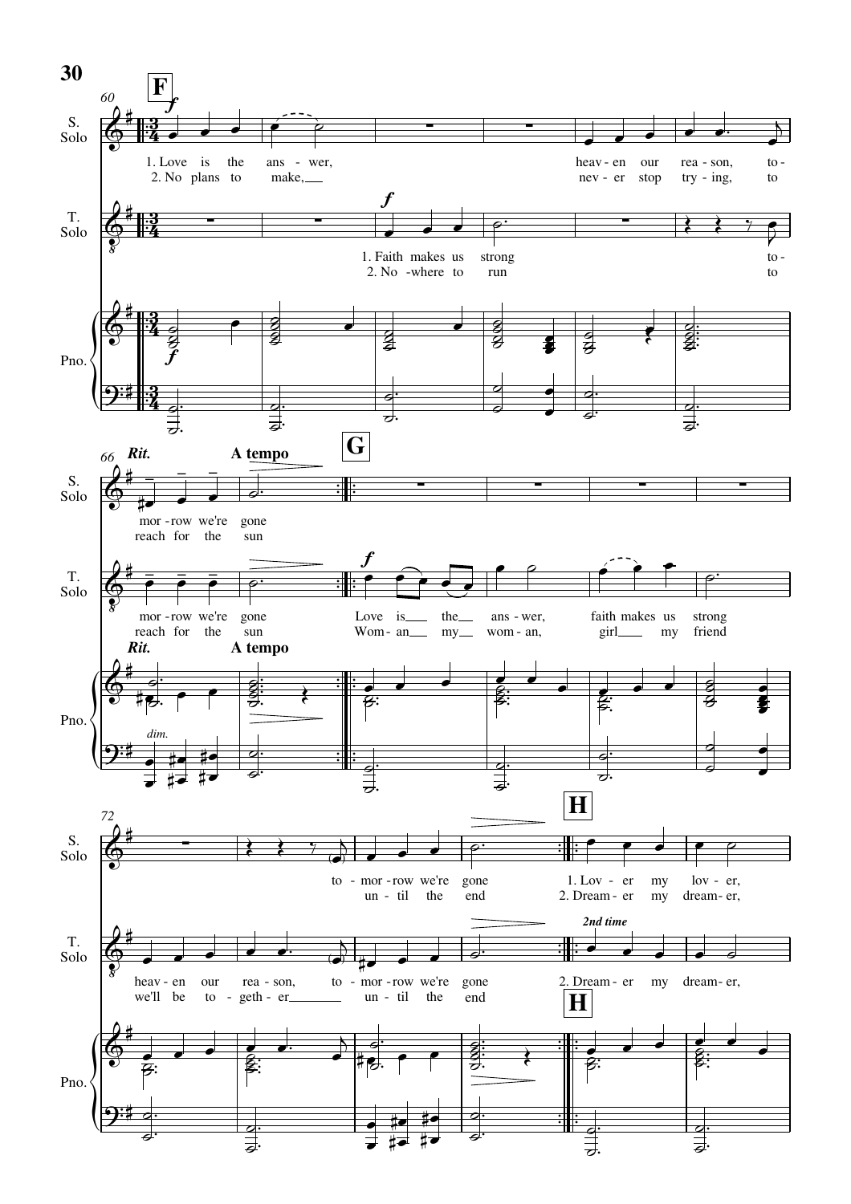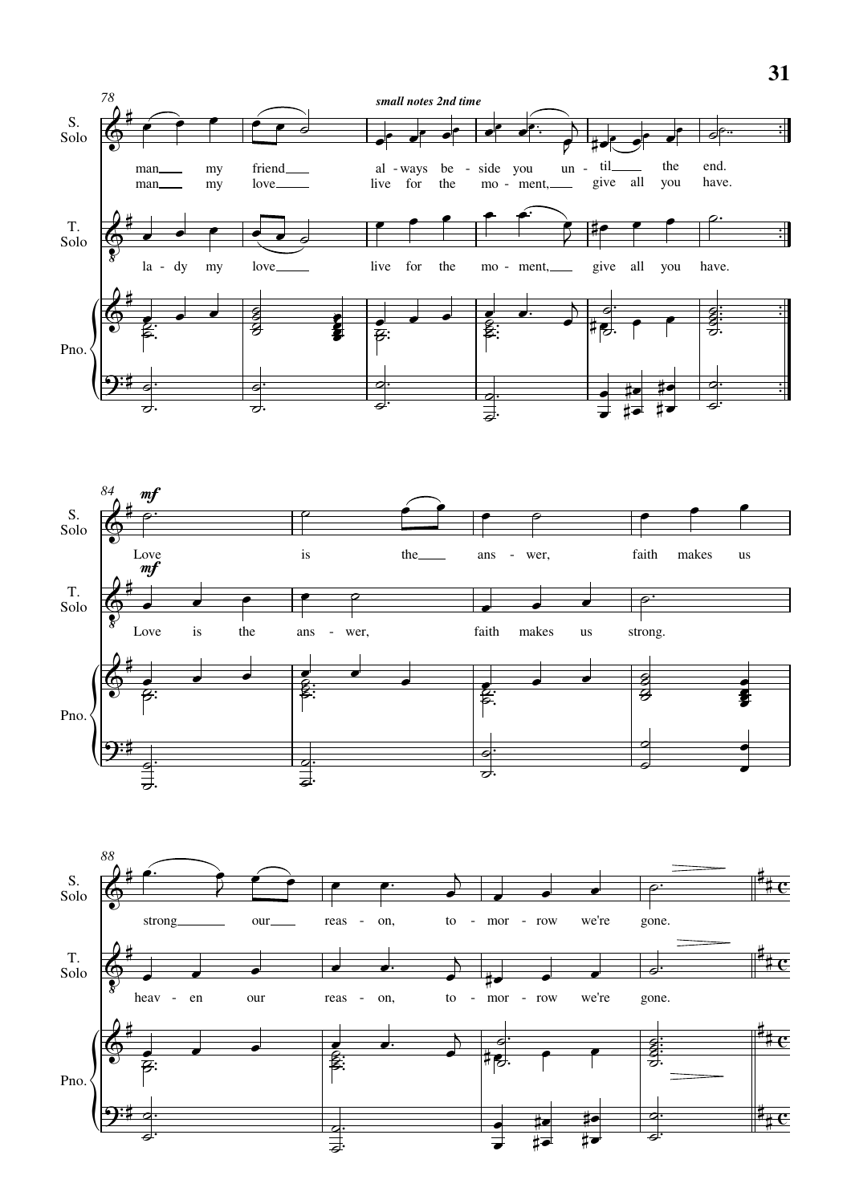



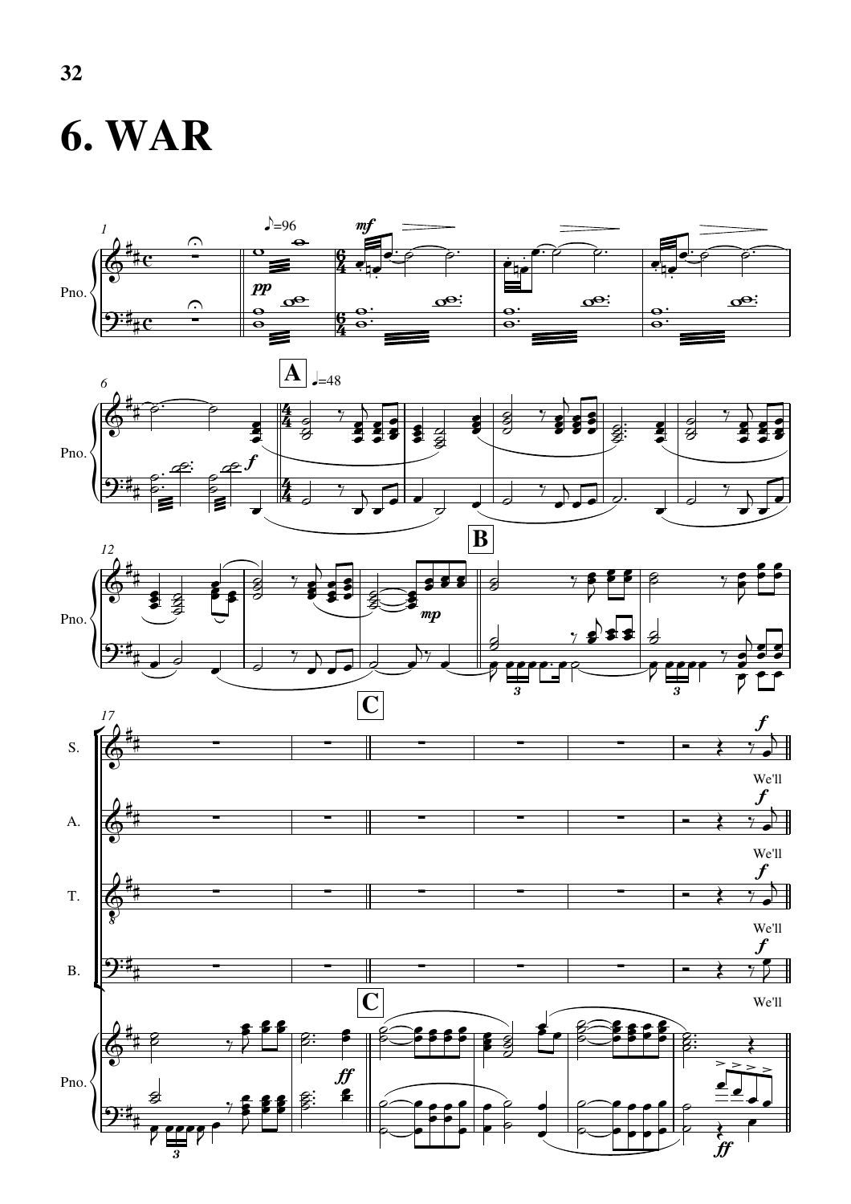## **6. WAR**

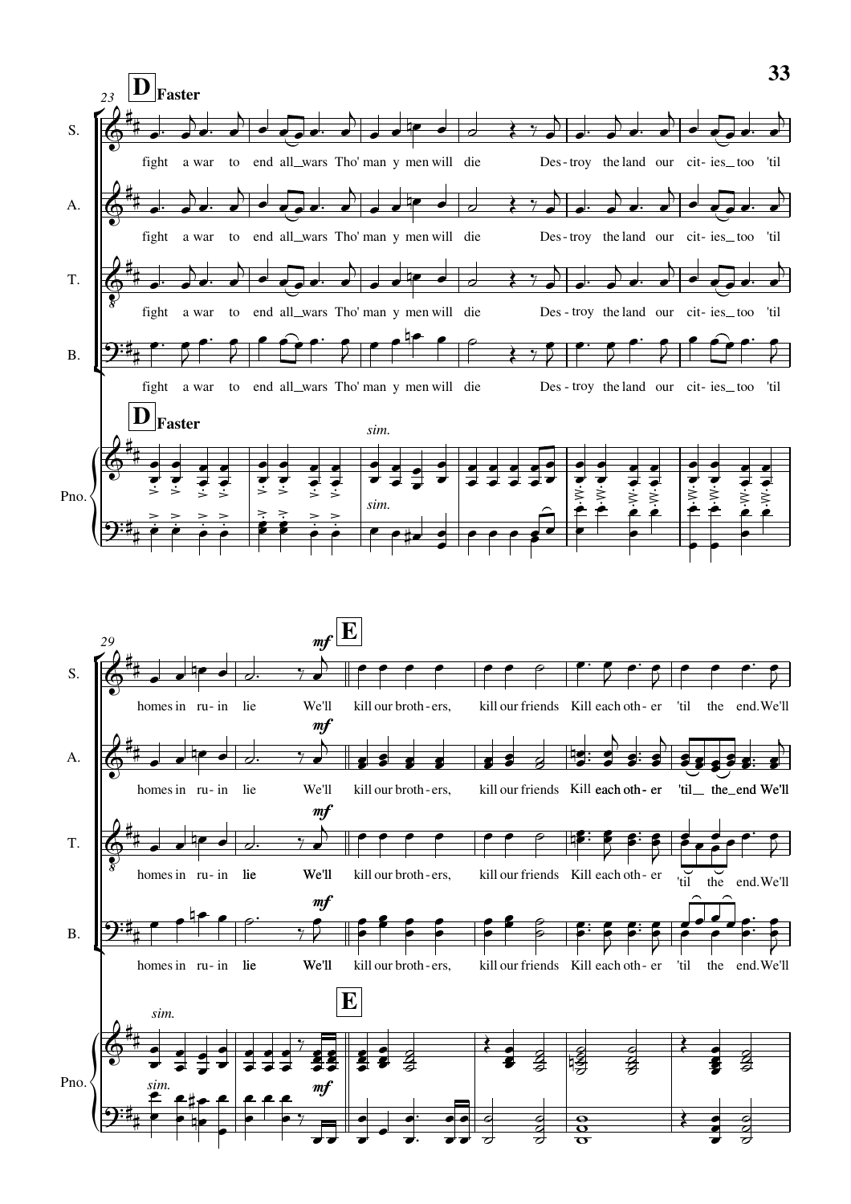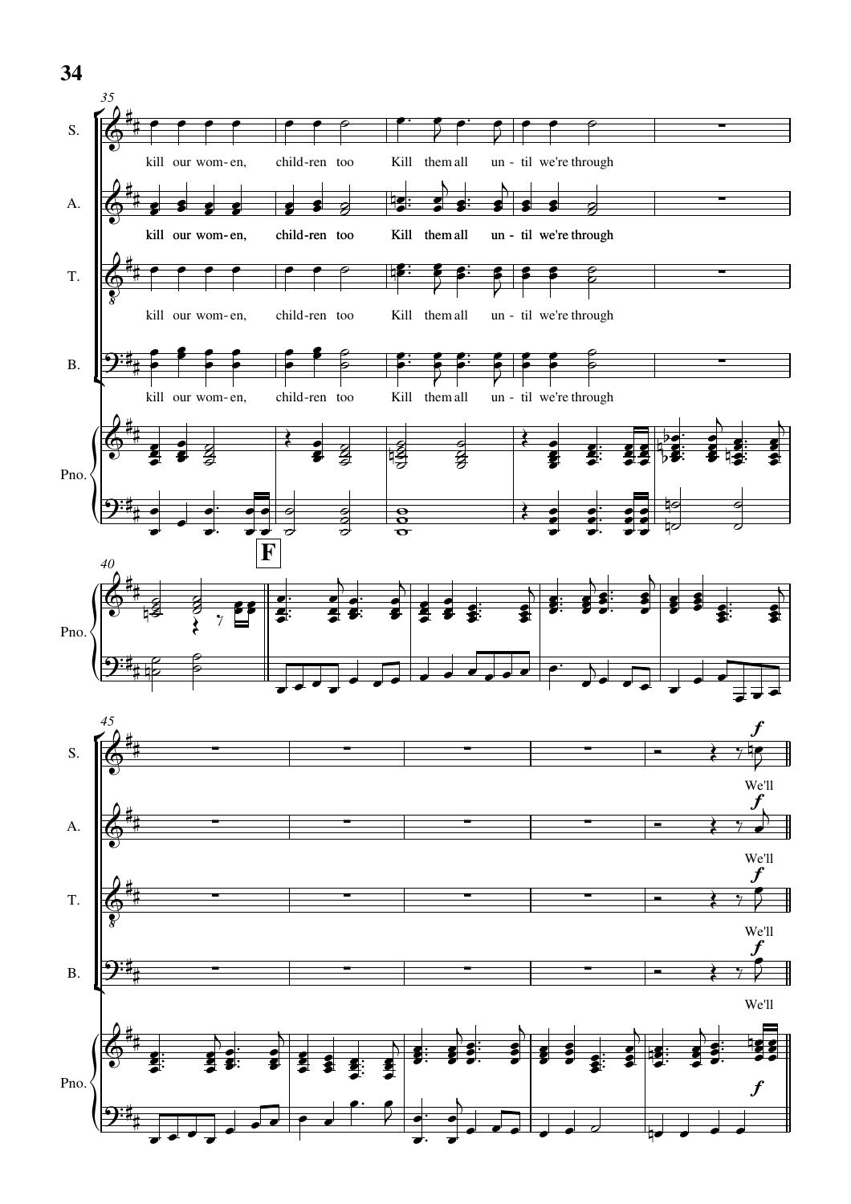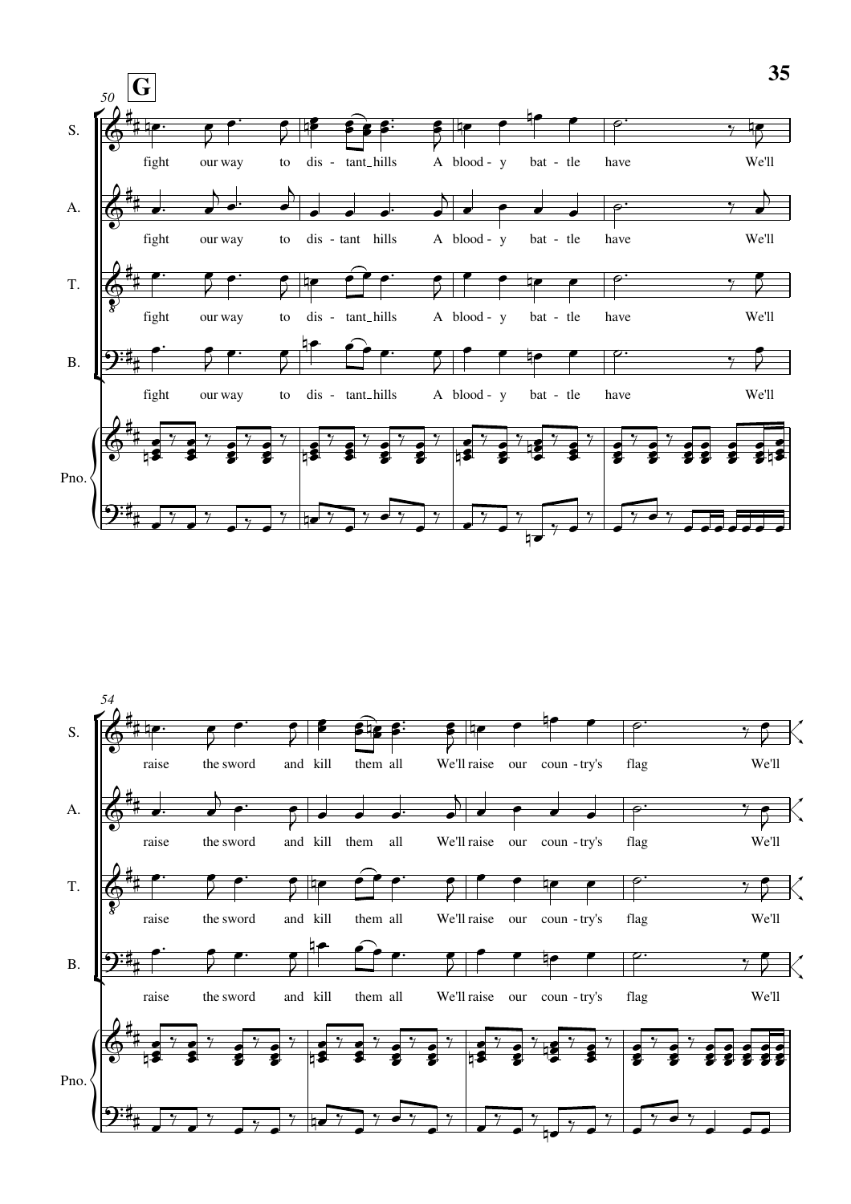

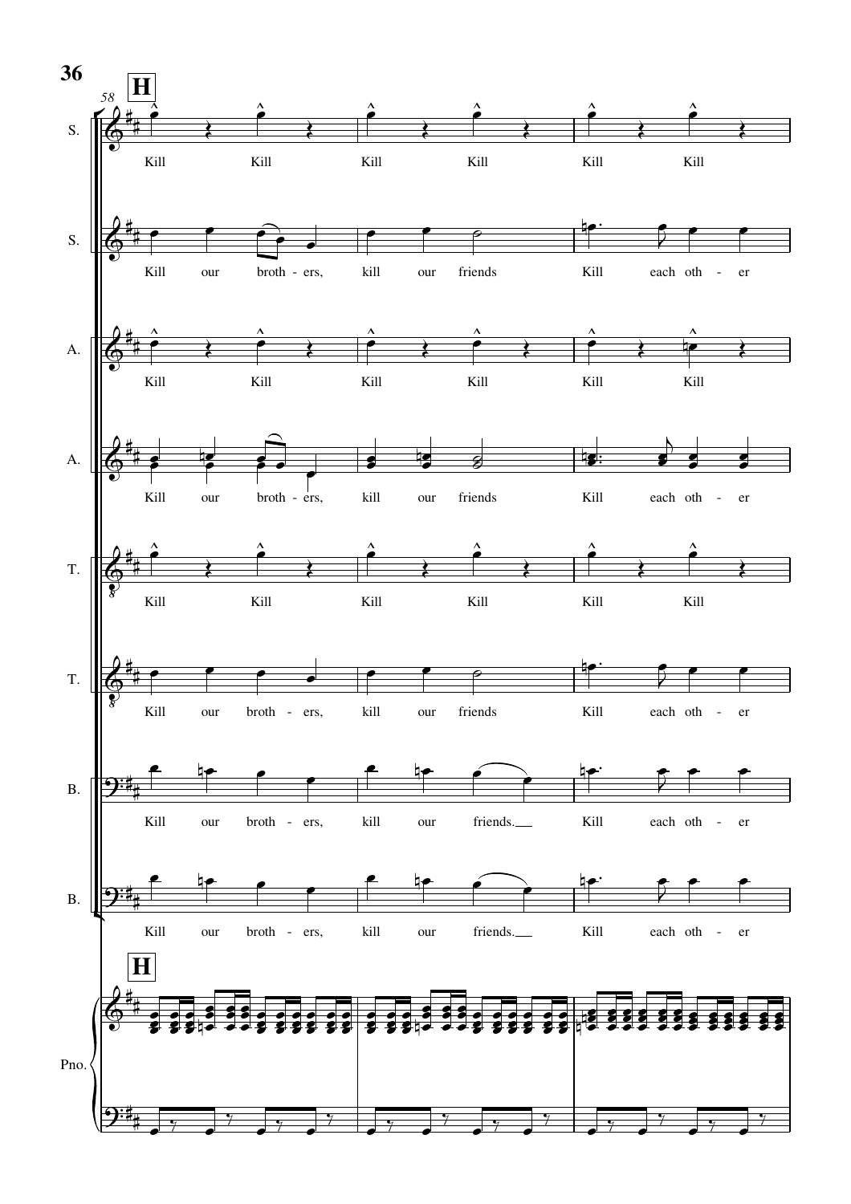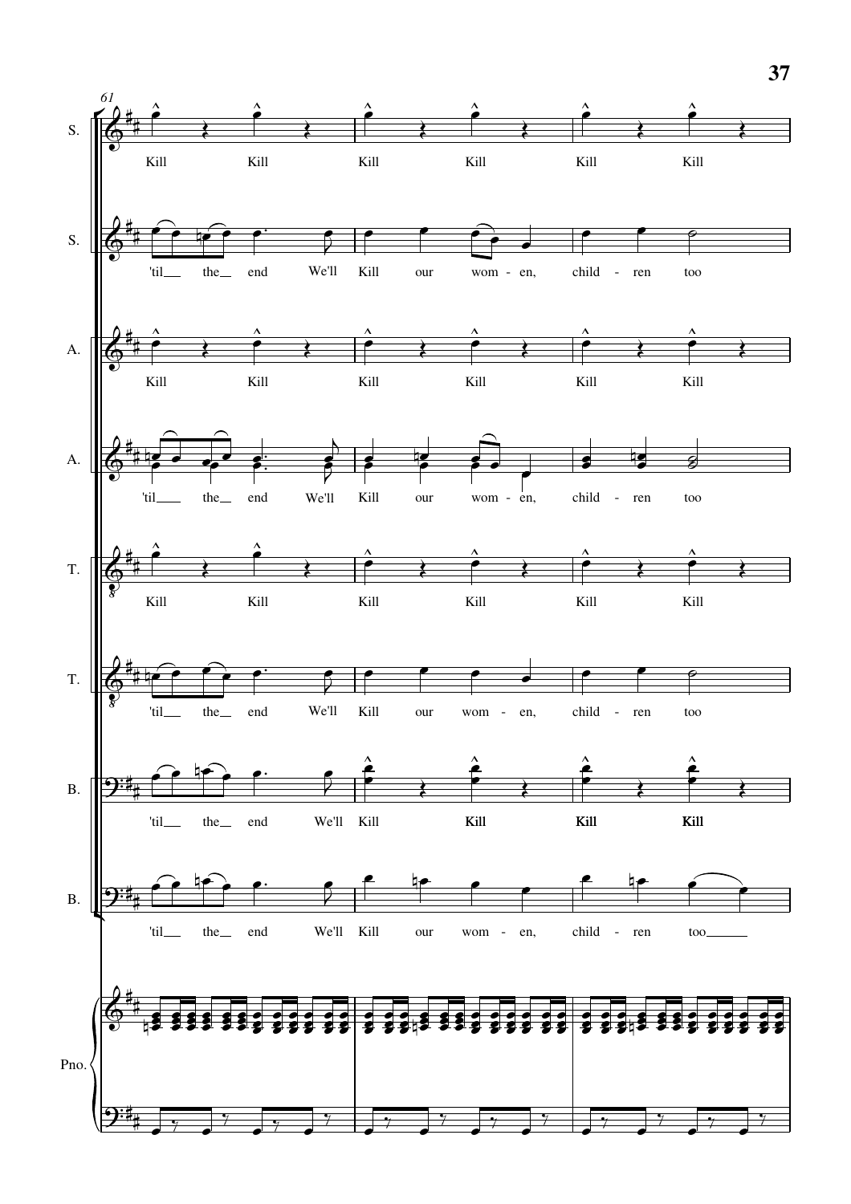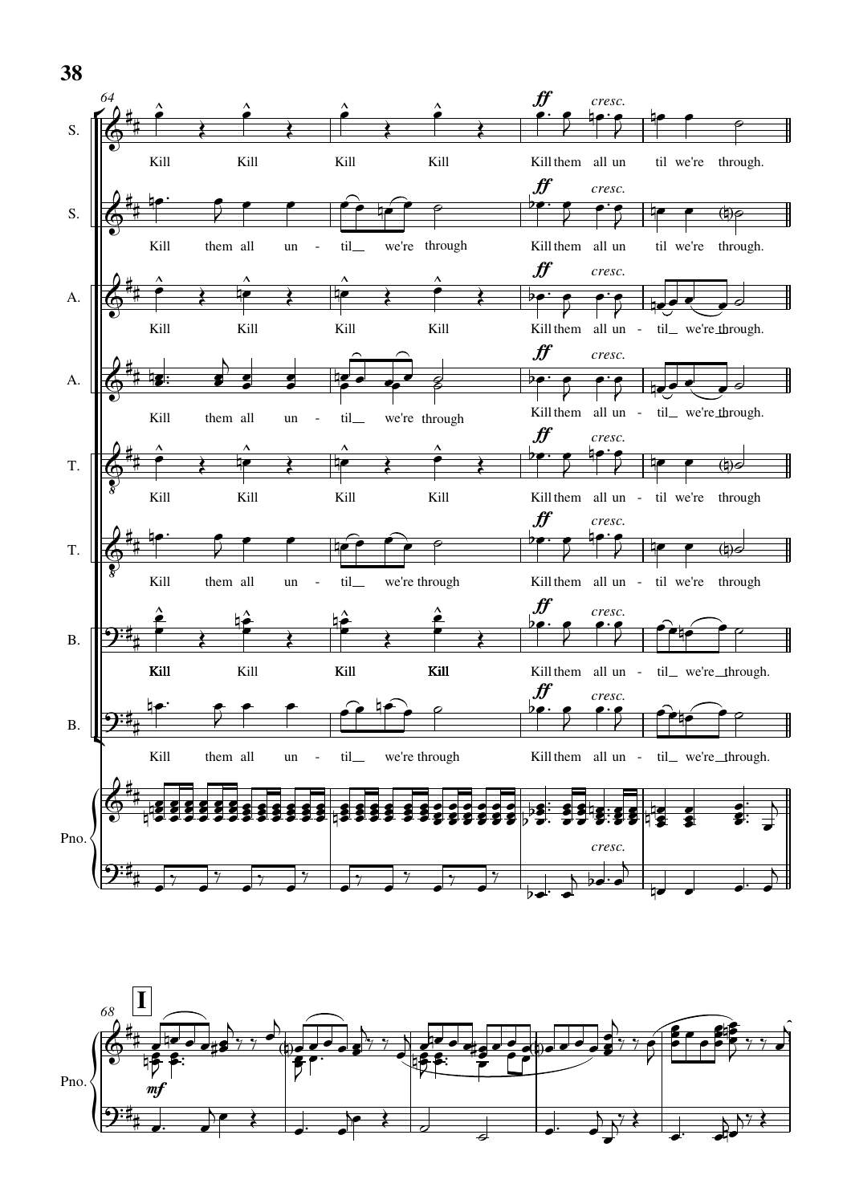

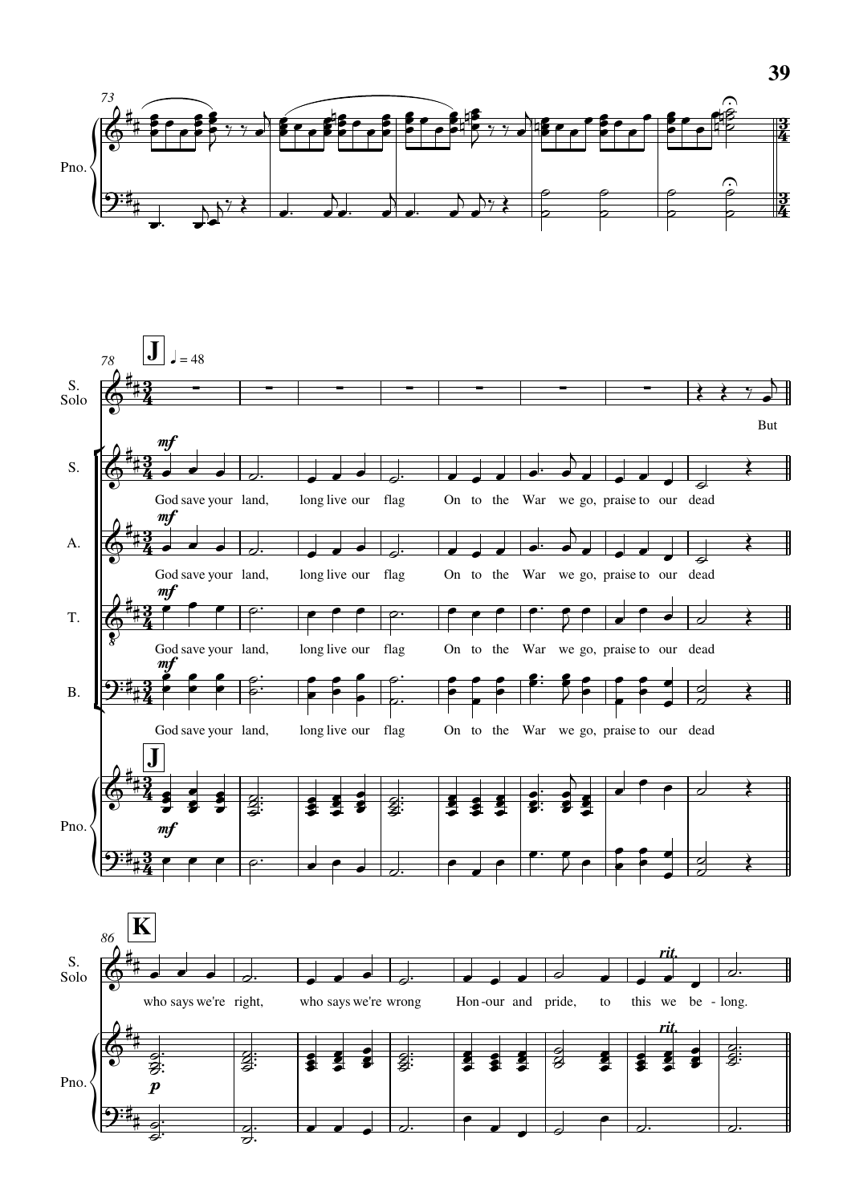

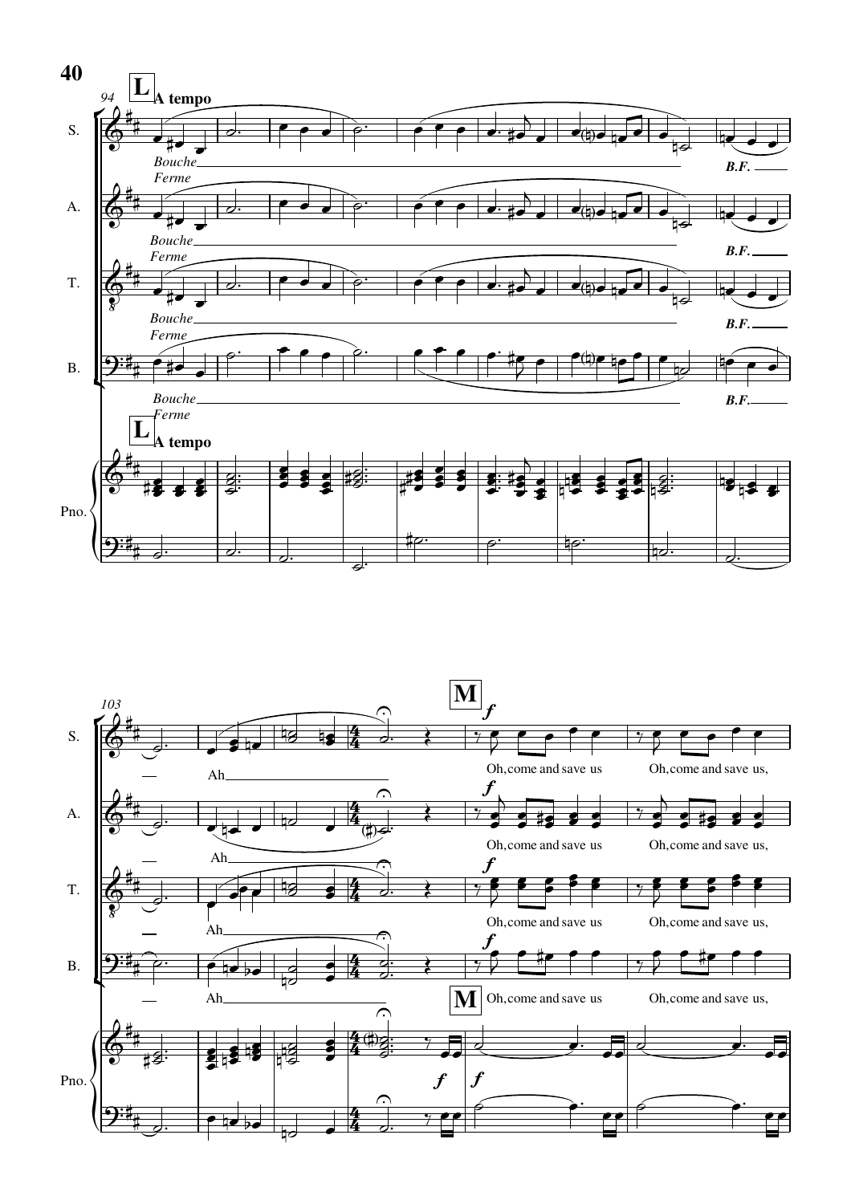

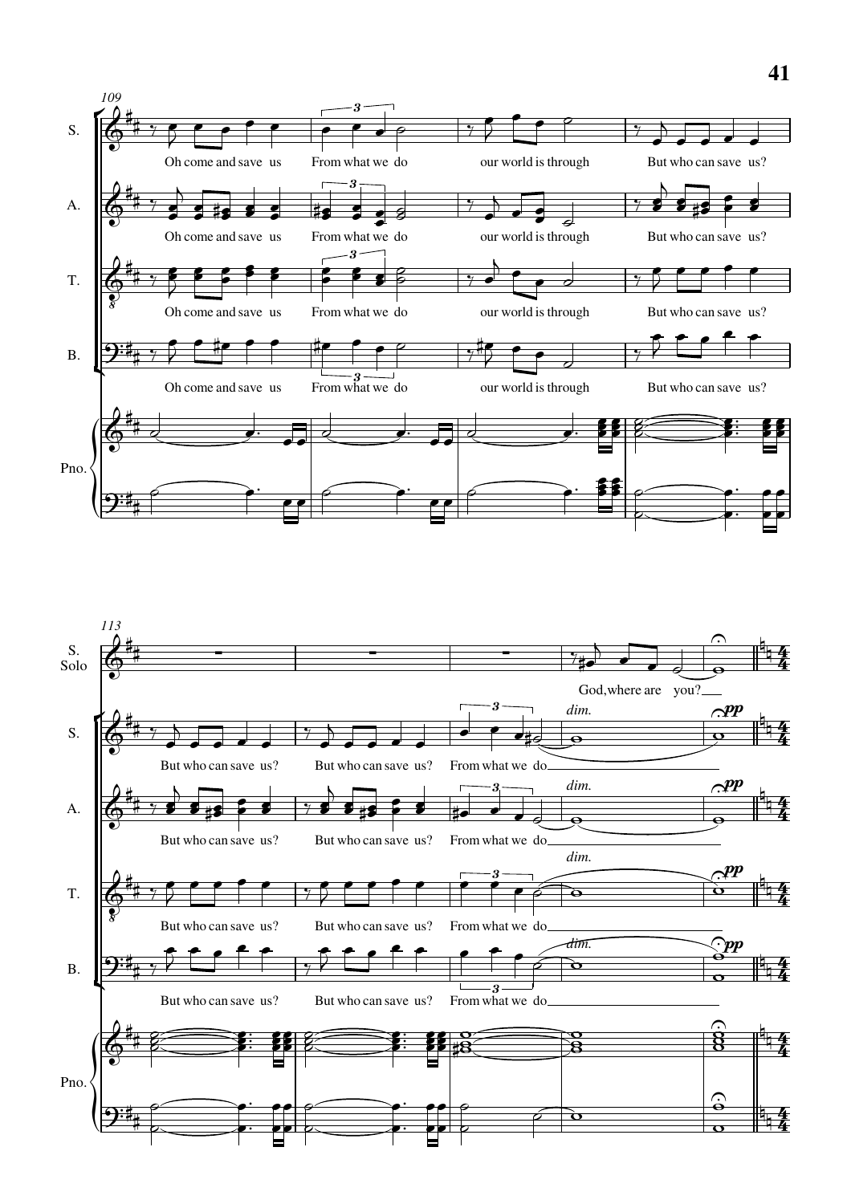

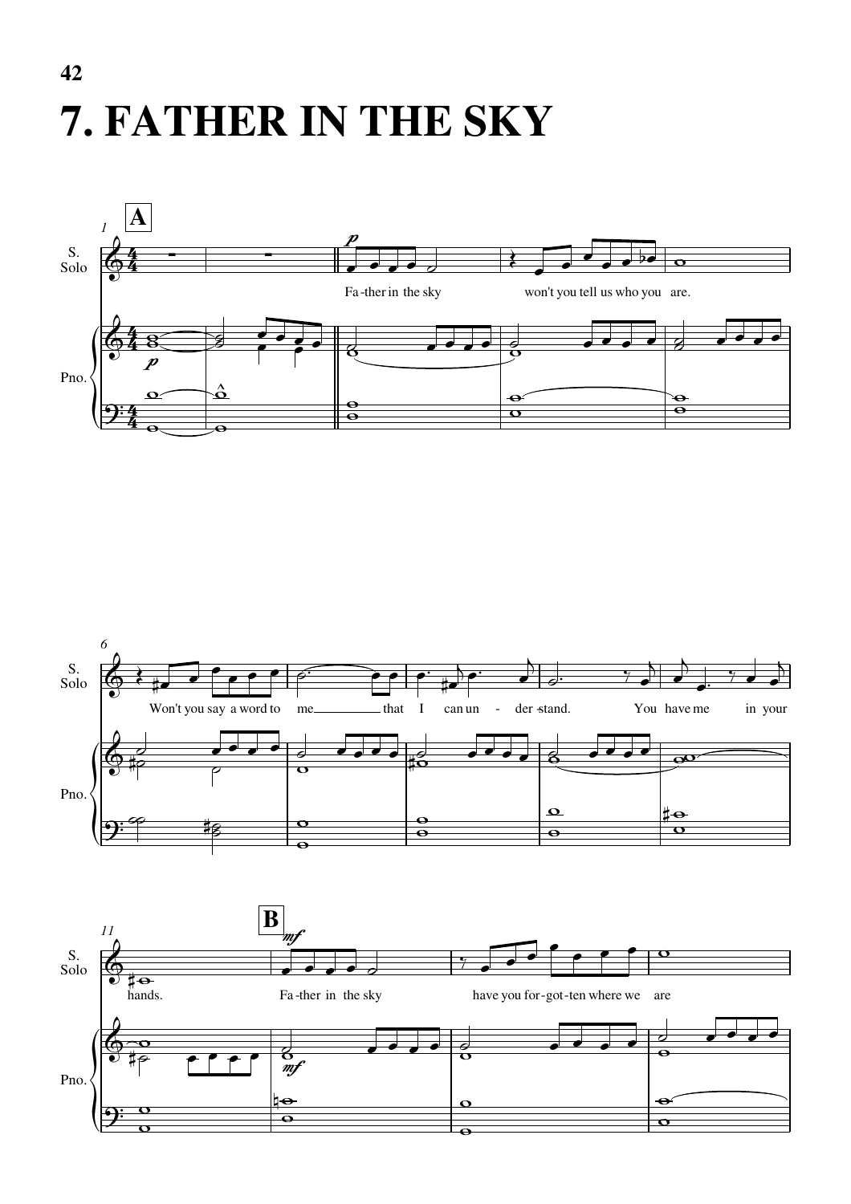# **7. FATHER IN THE SKY**



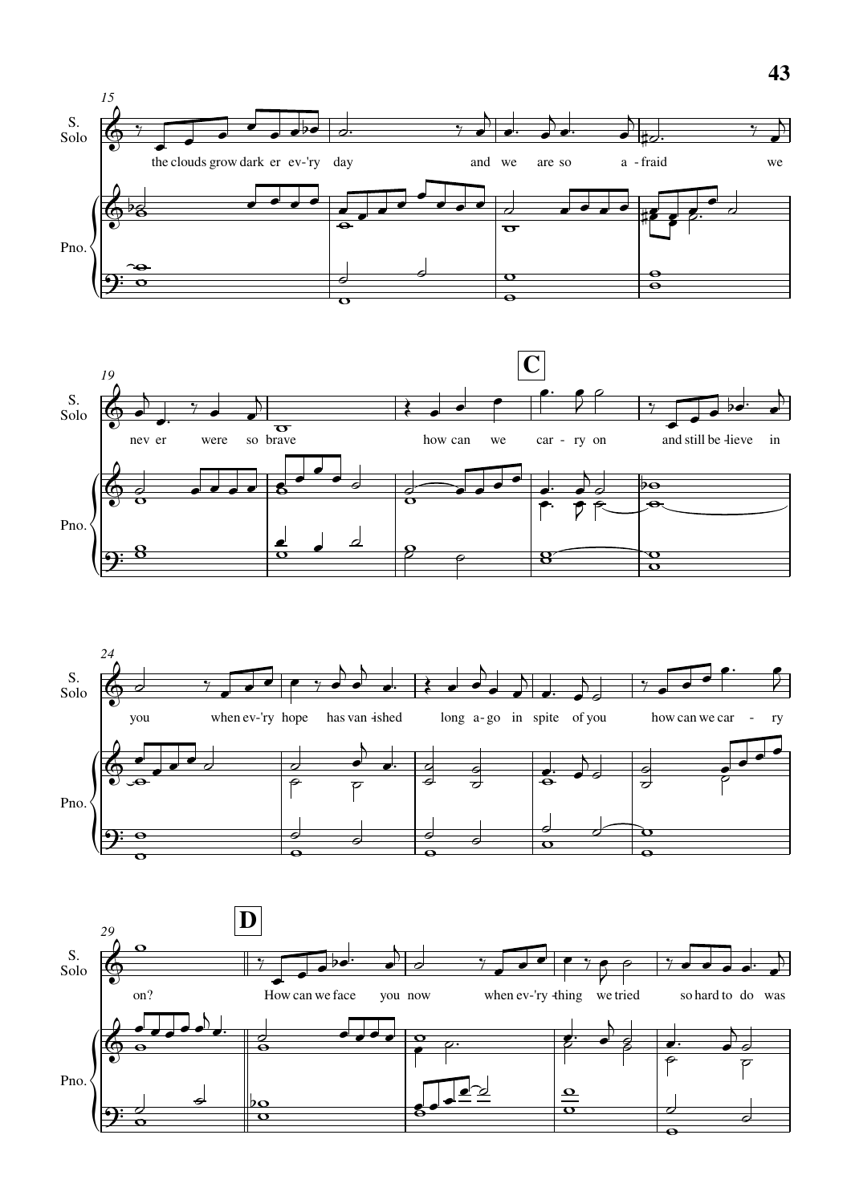



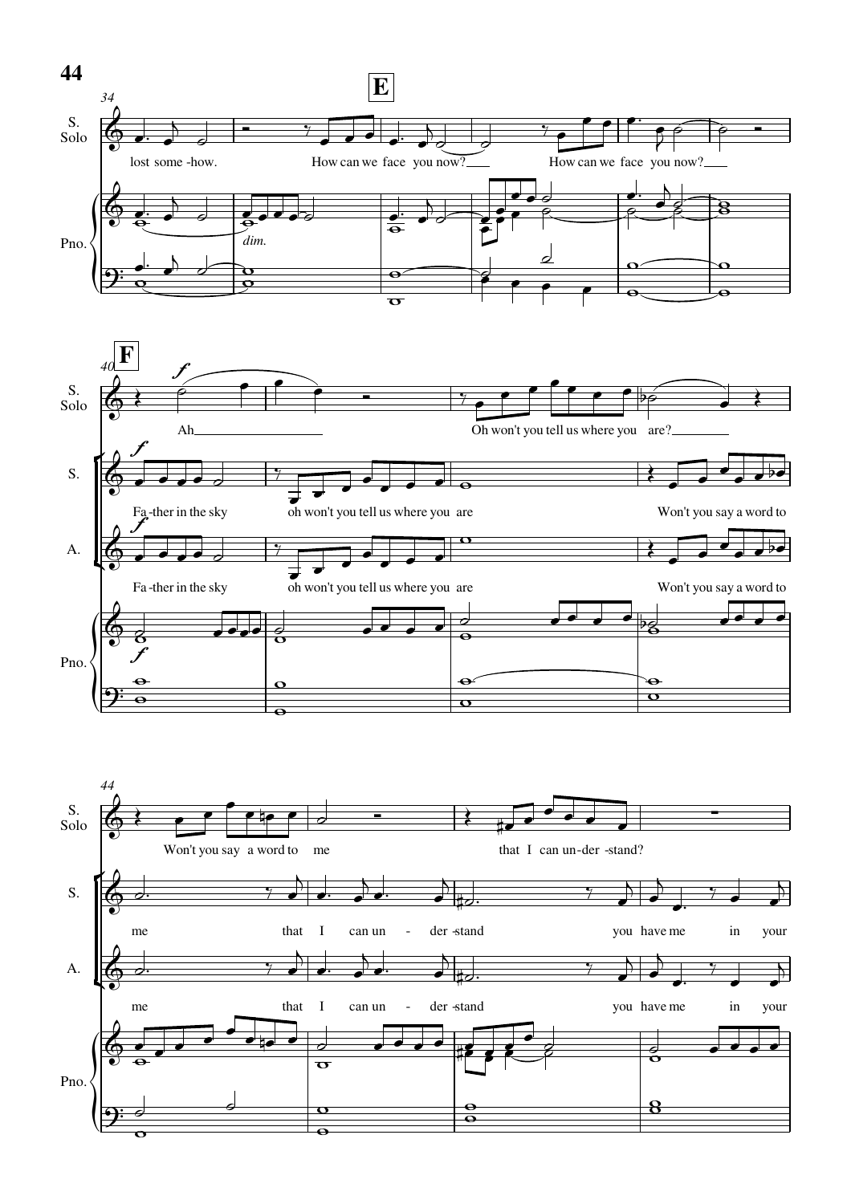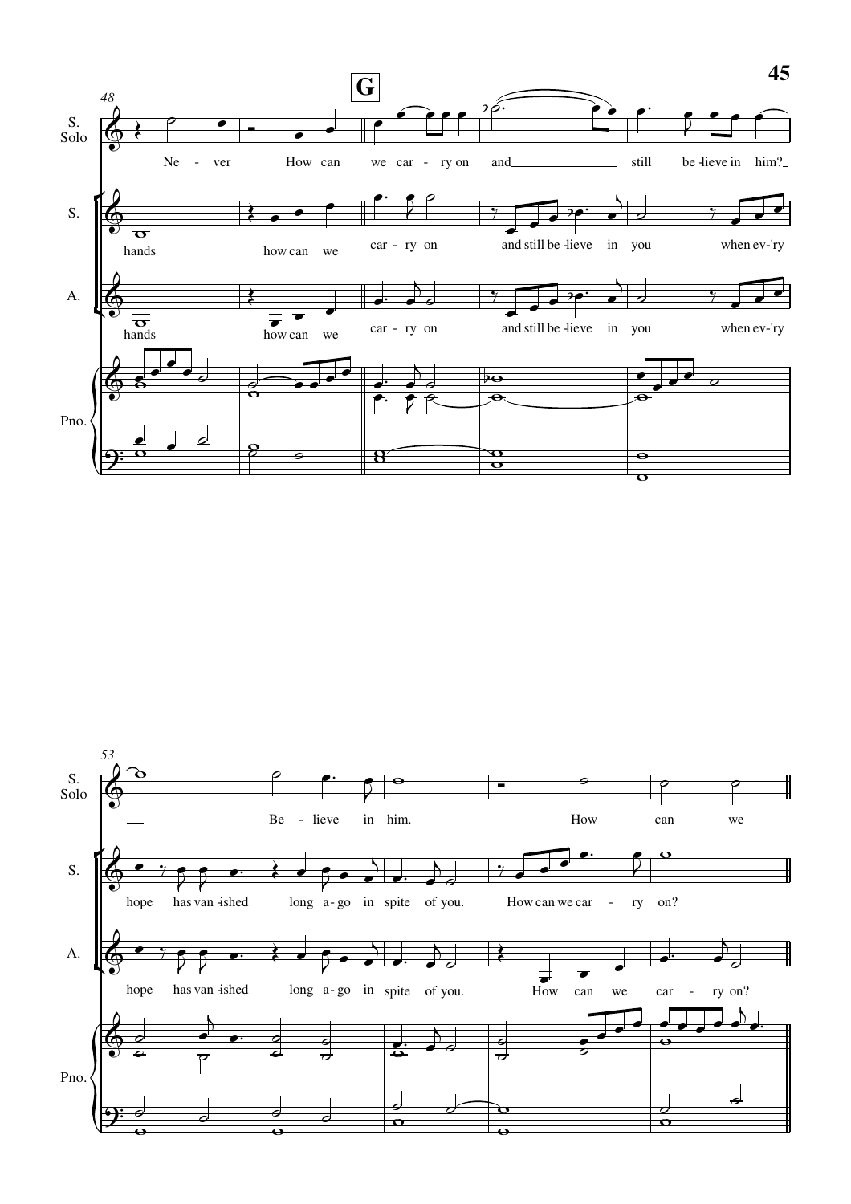

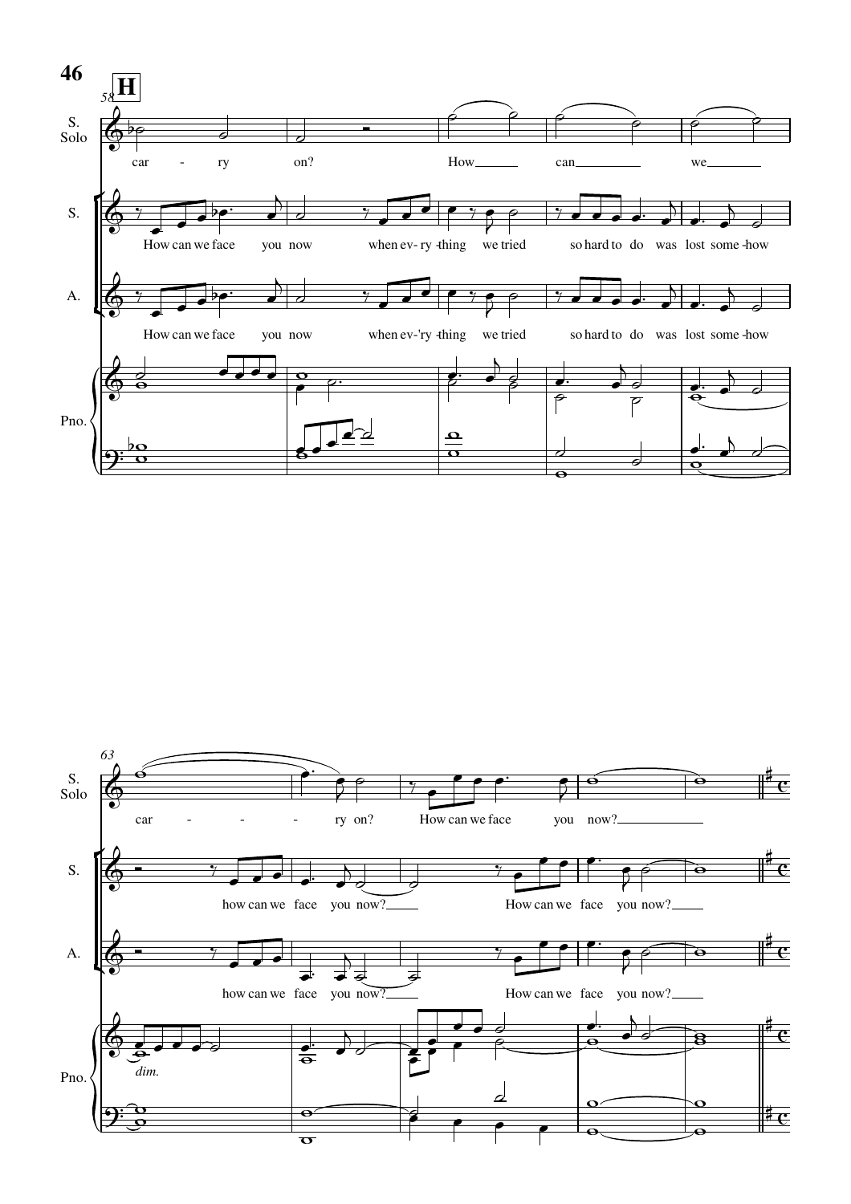

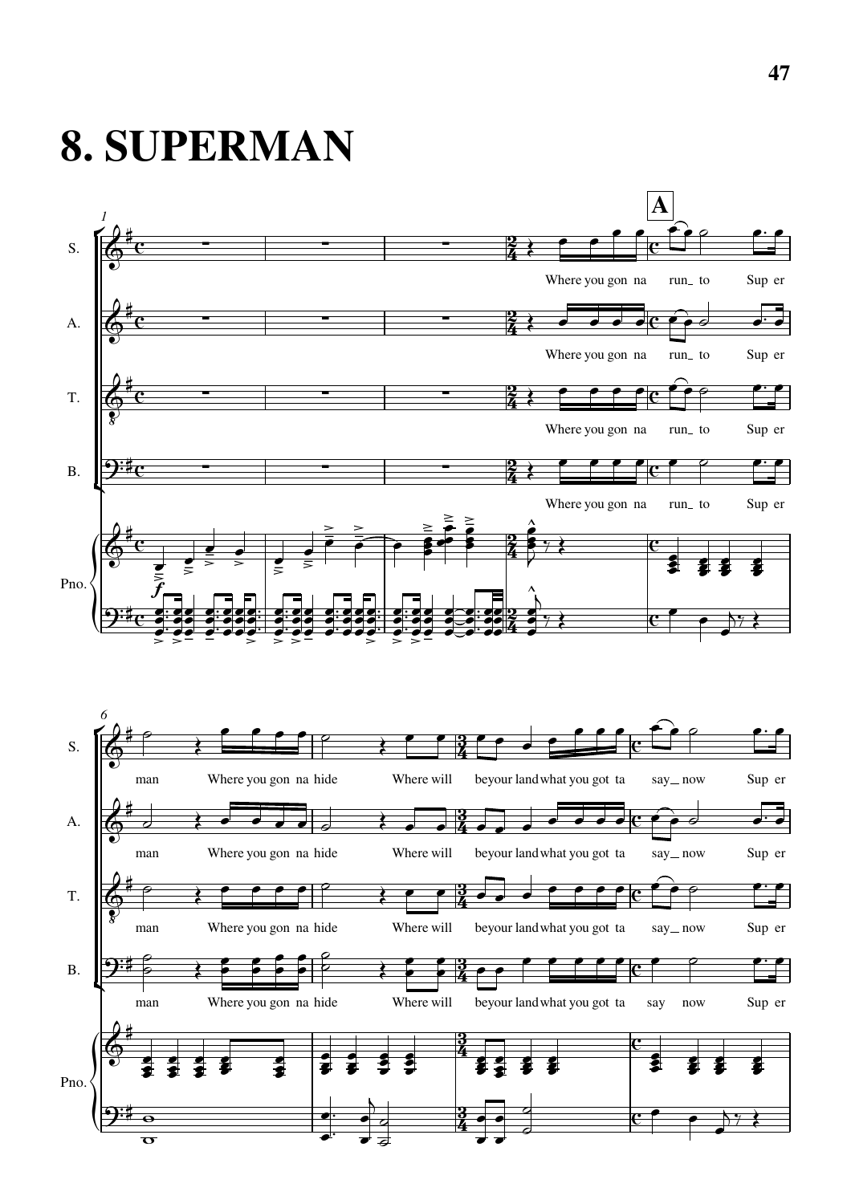### **8. SUPERMAN**

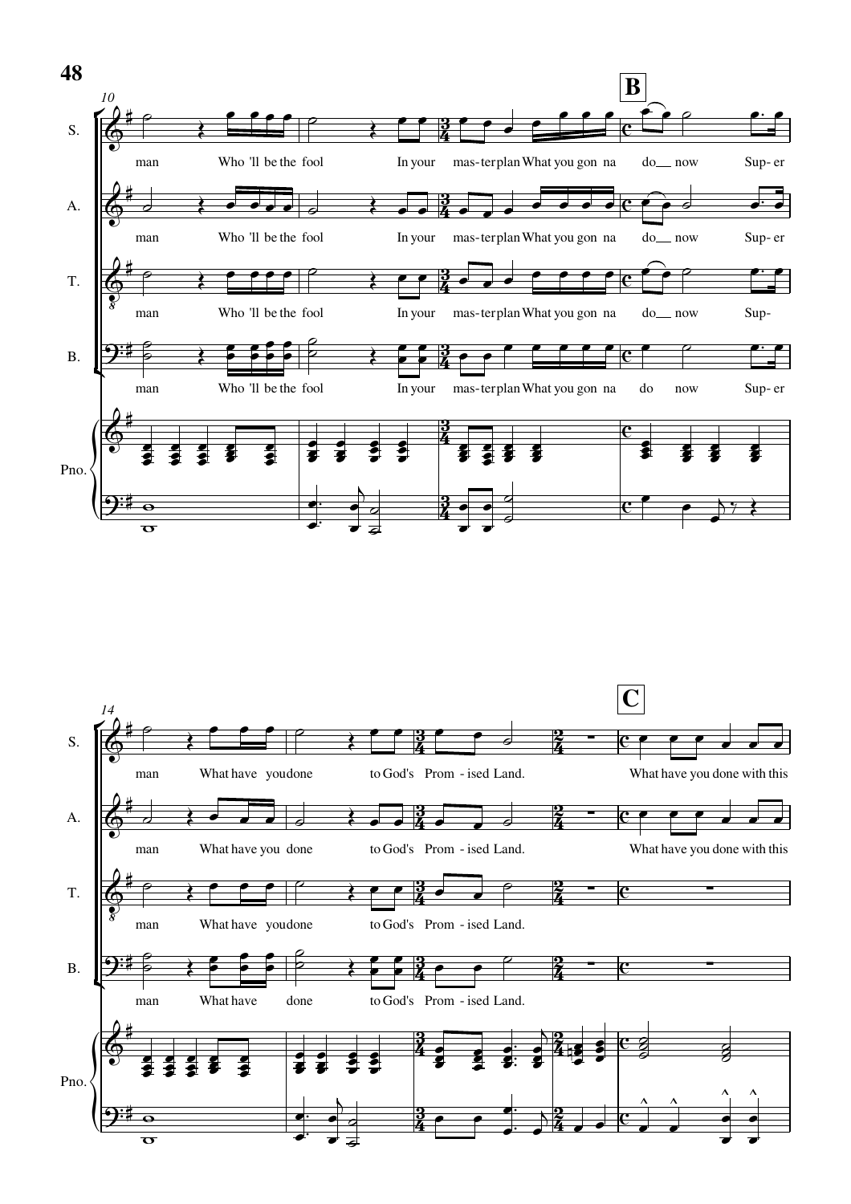

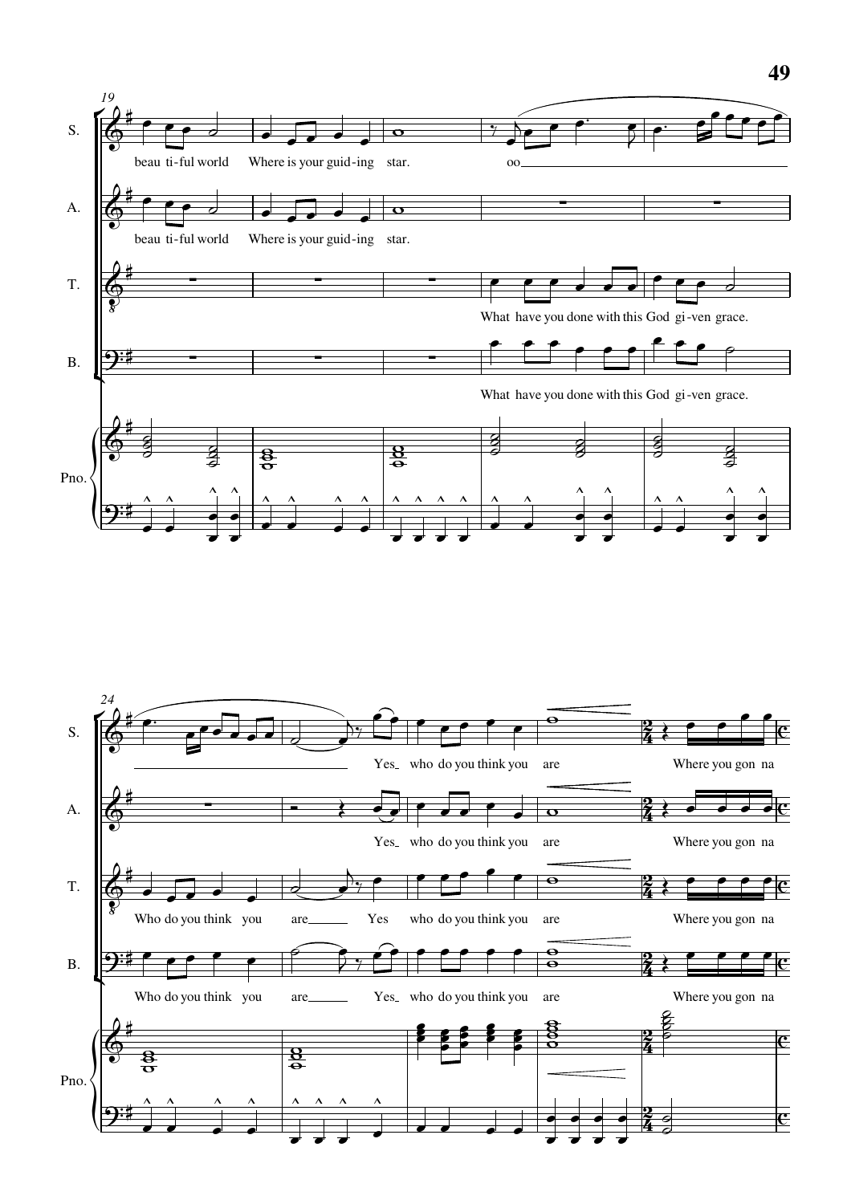

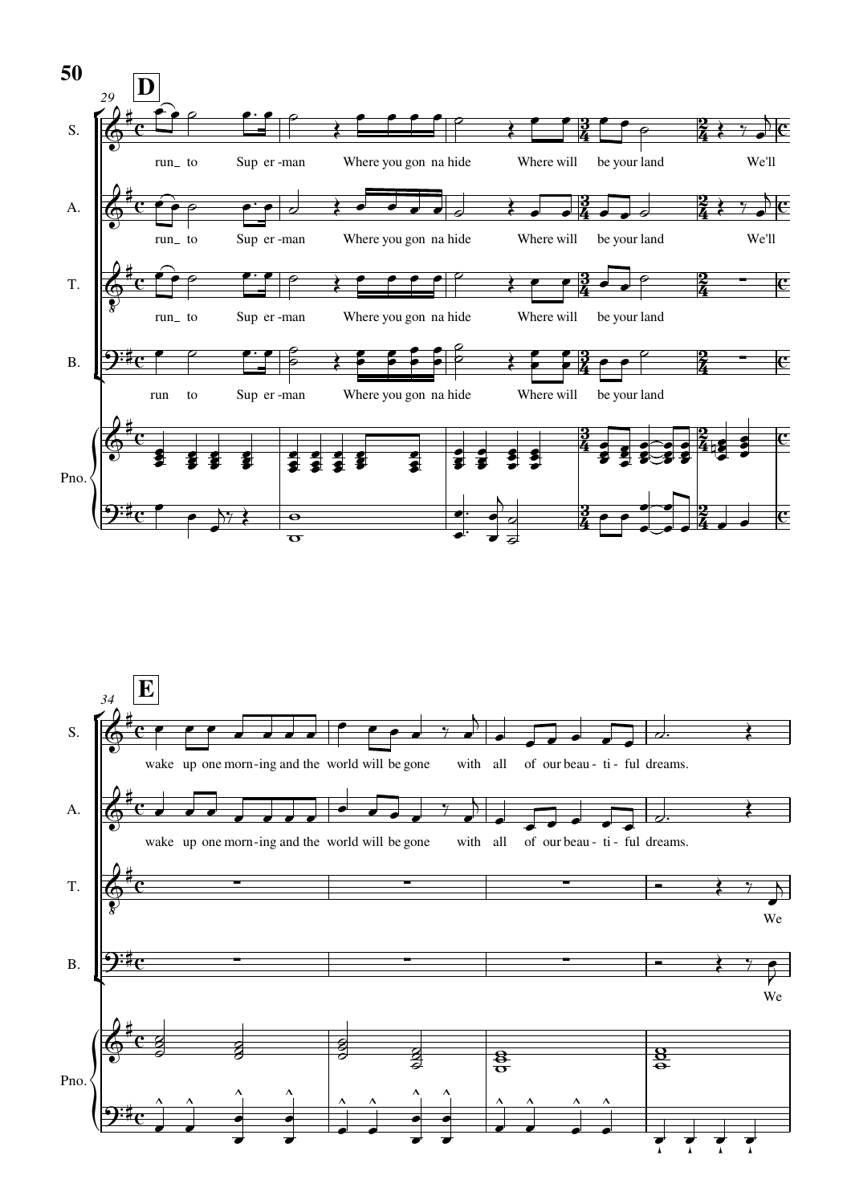

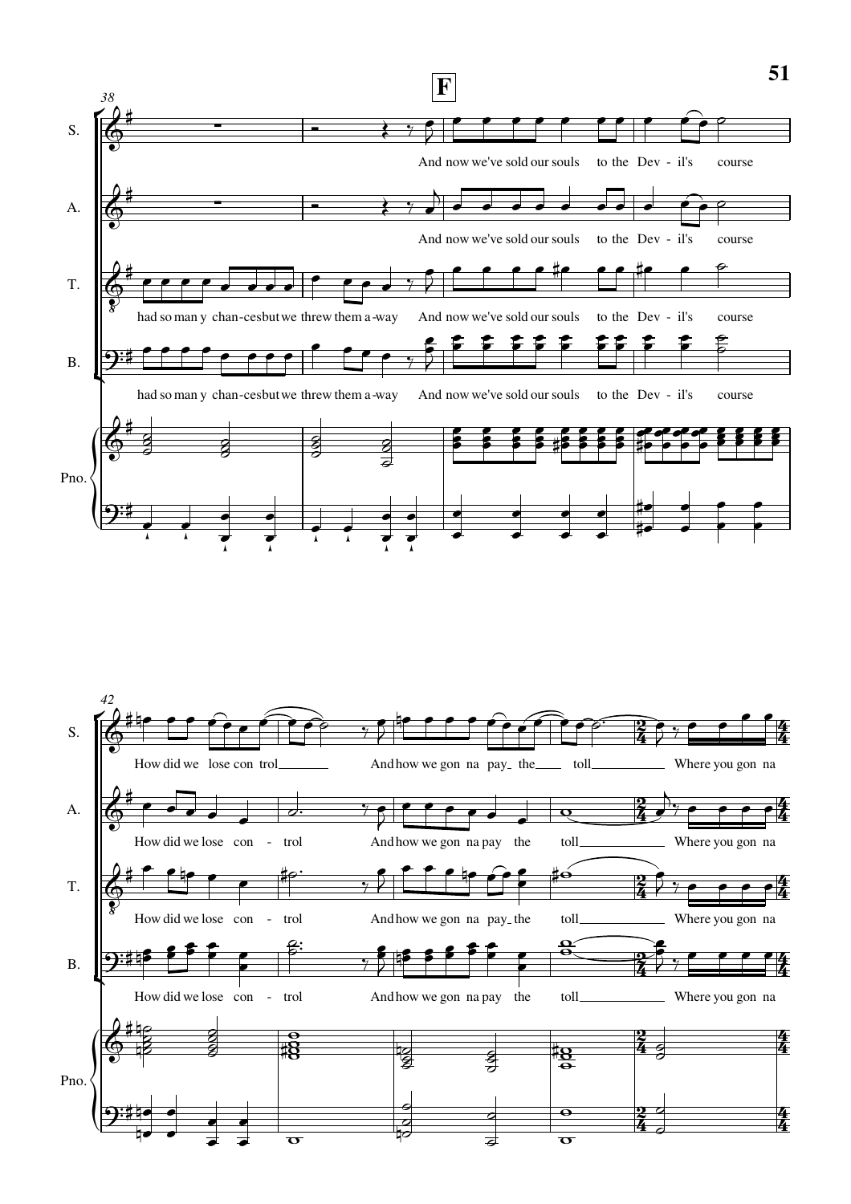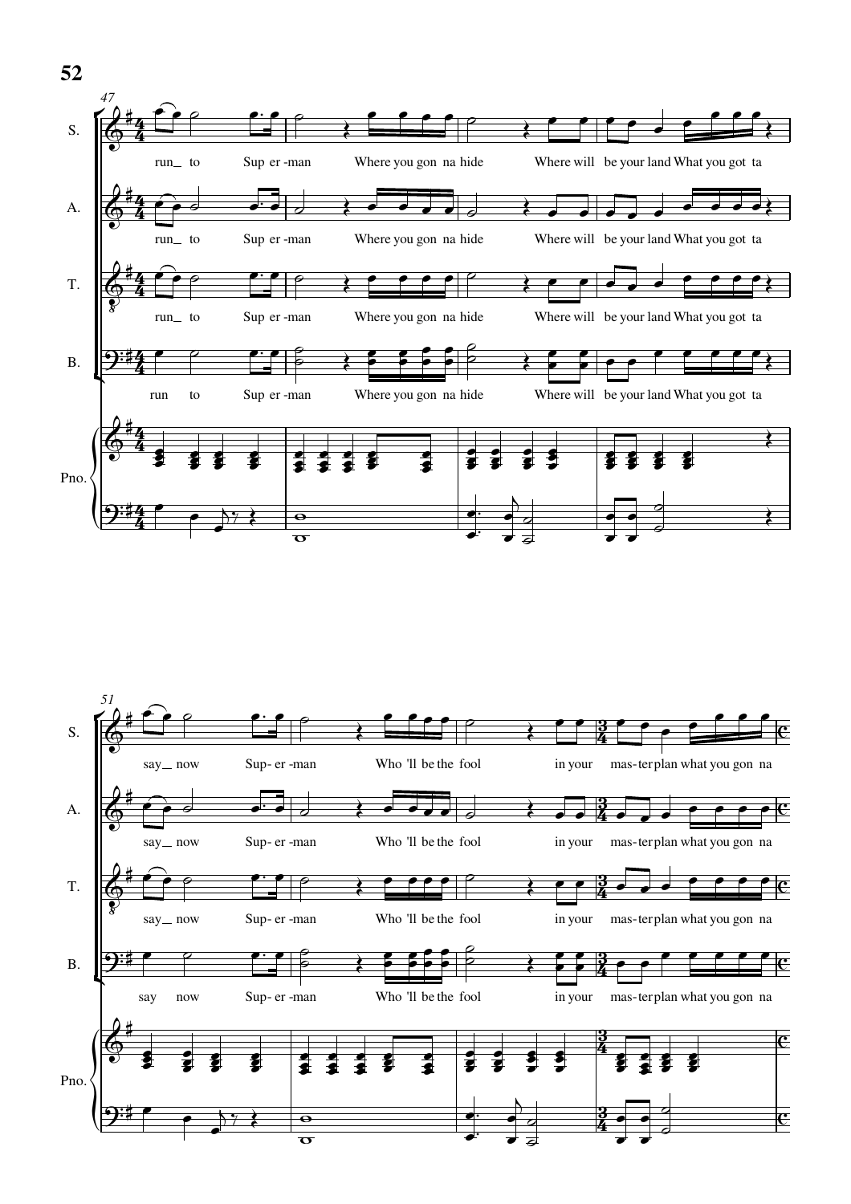

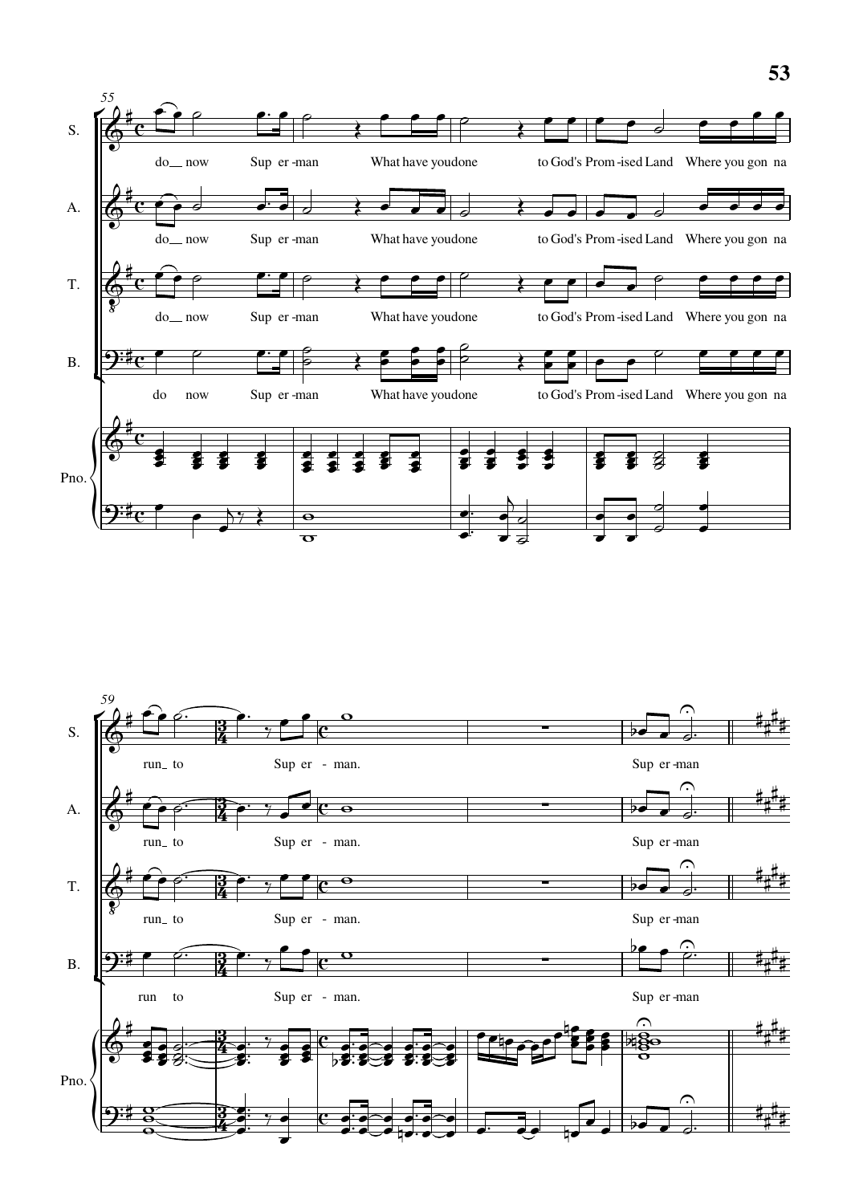

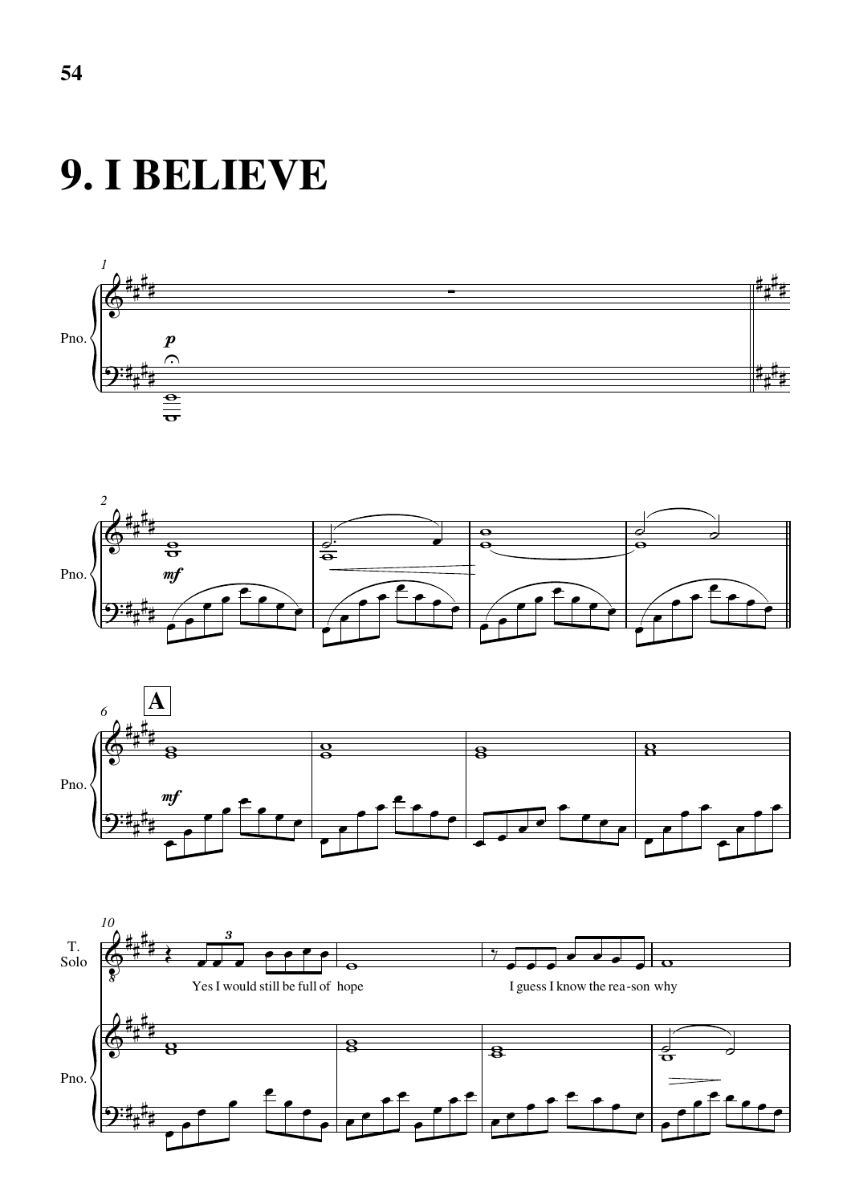### **9. I BELIEVE**







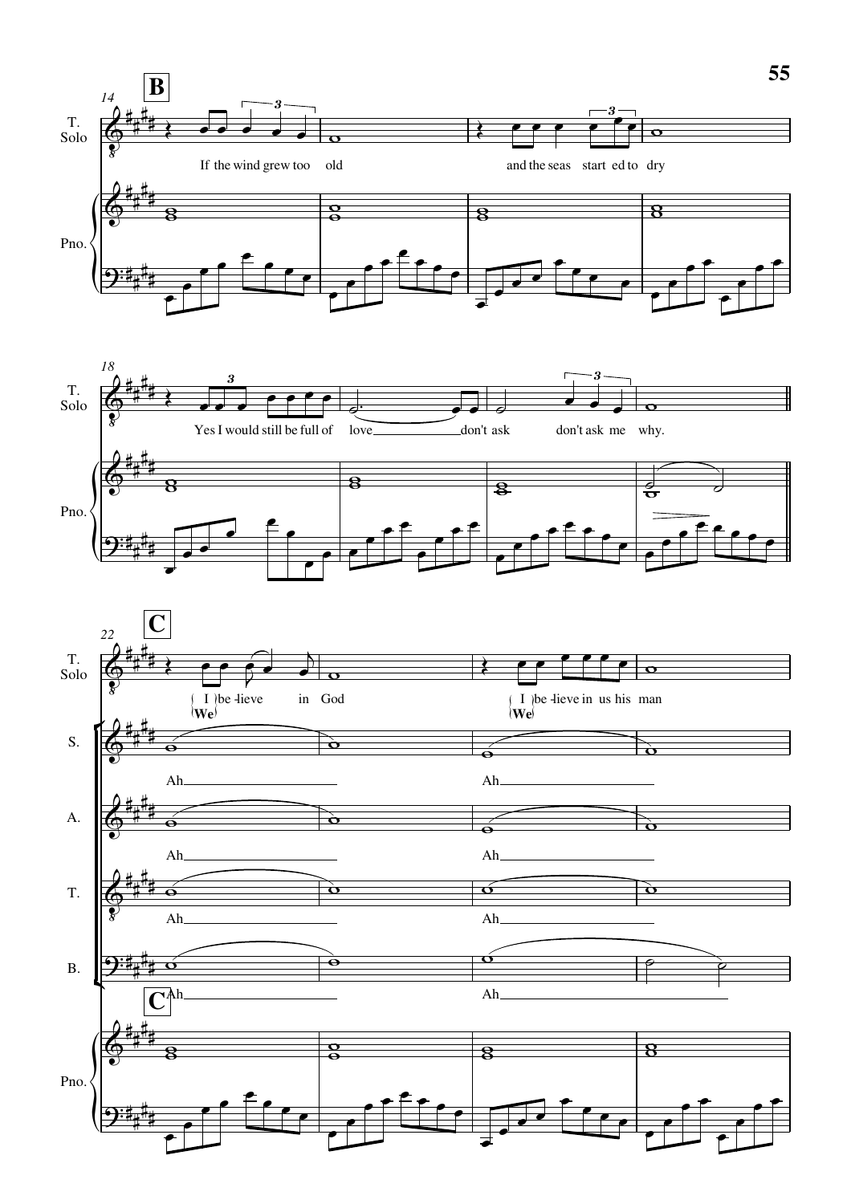



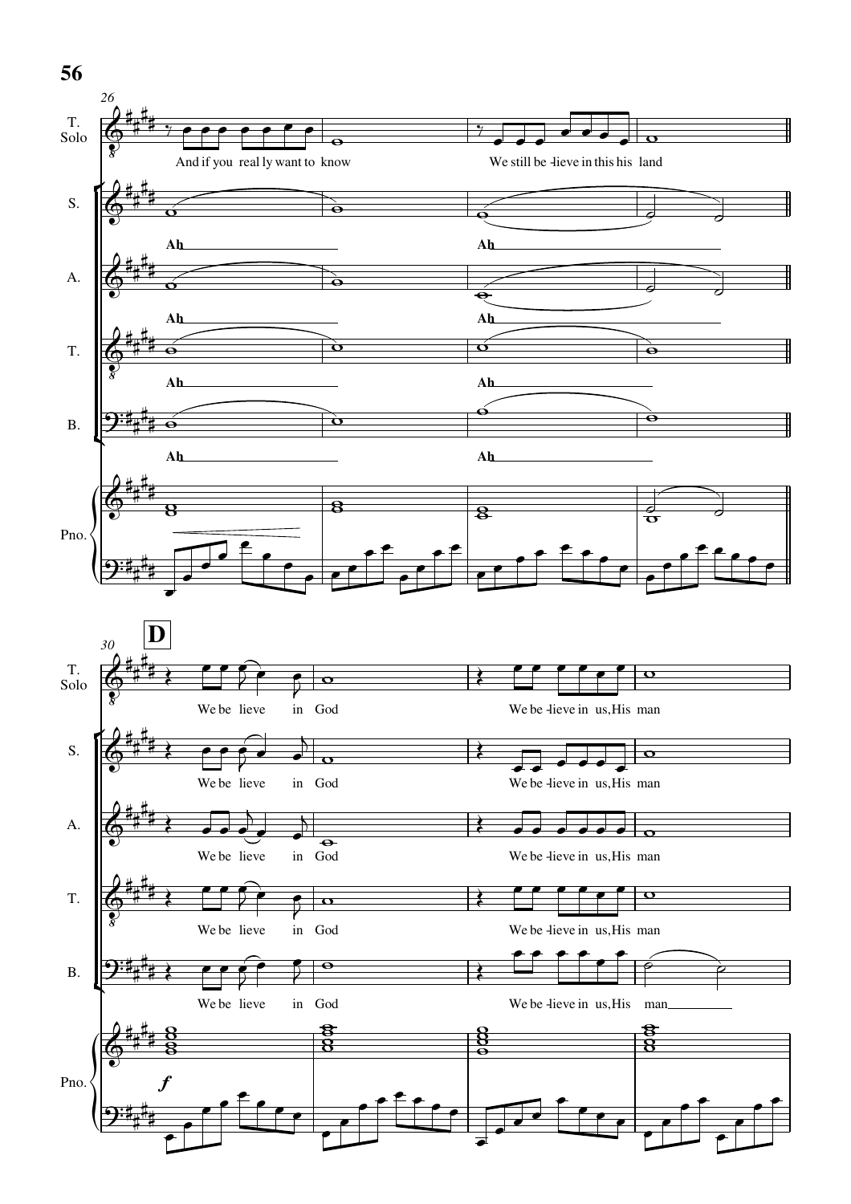

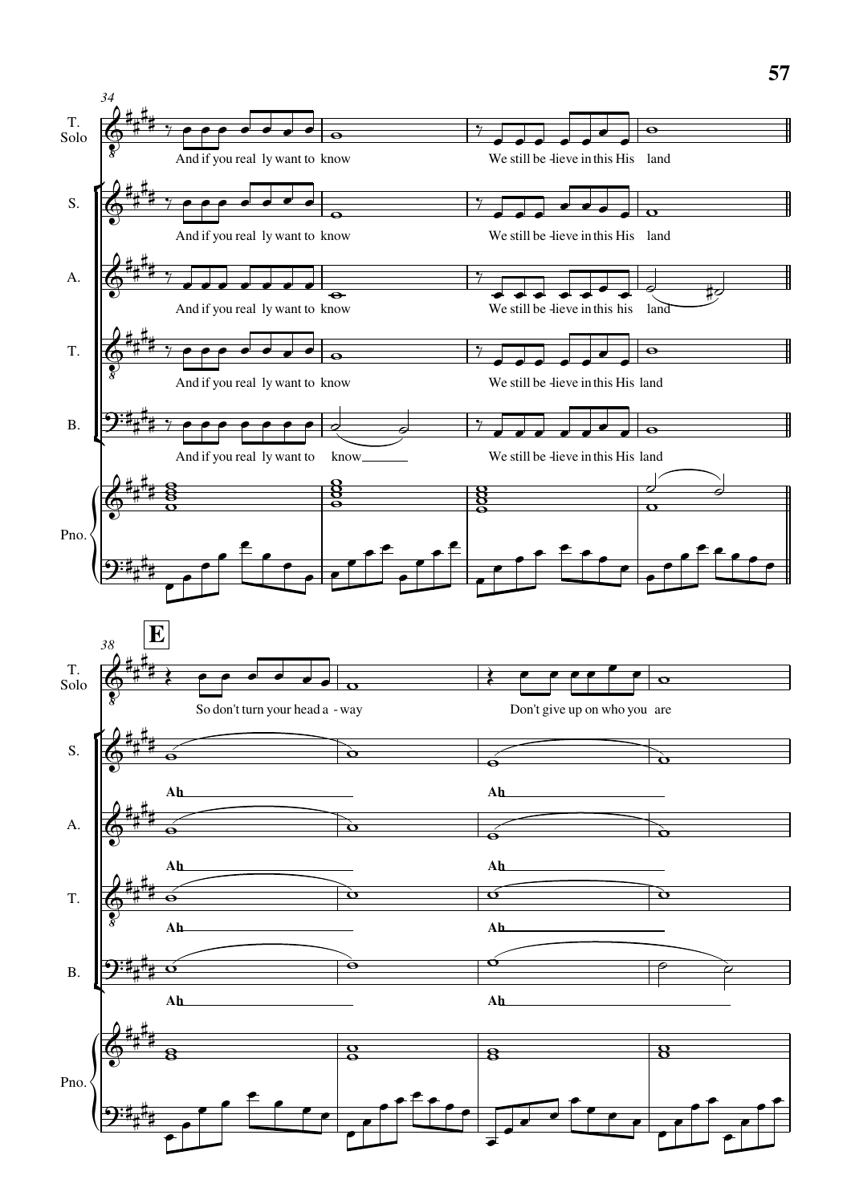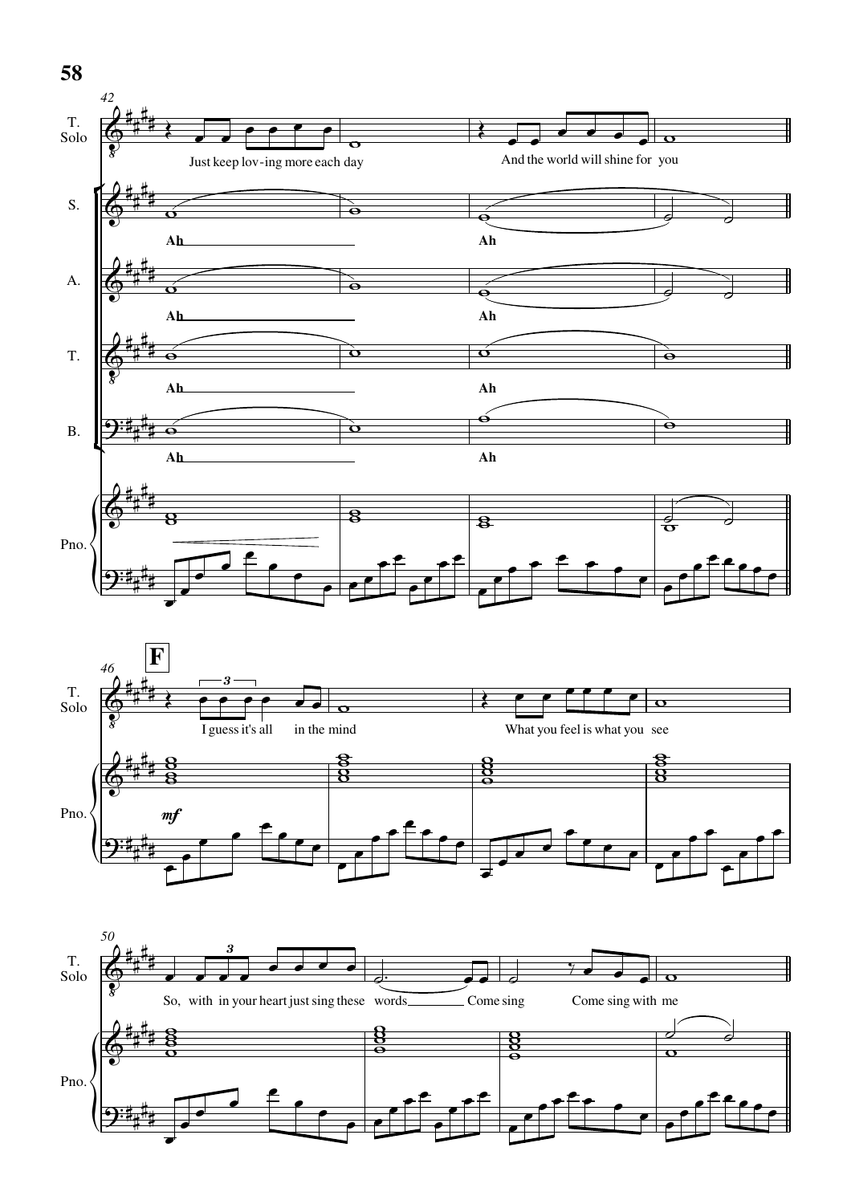



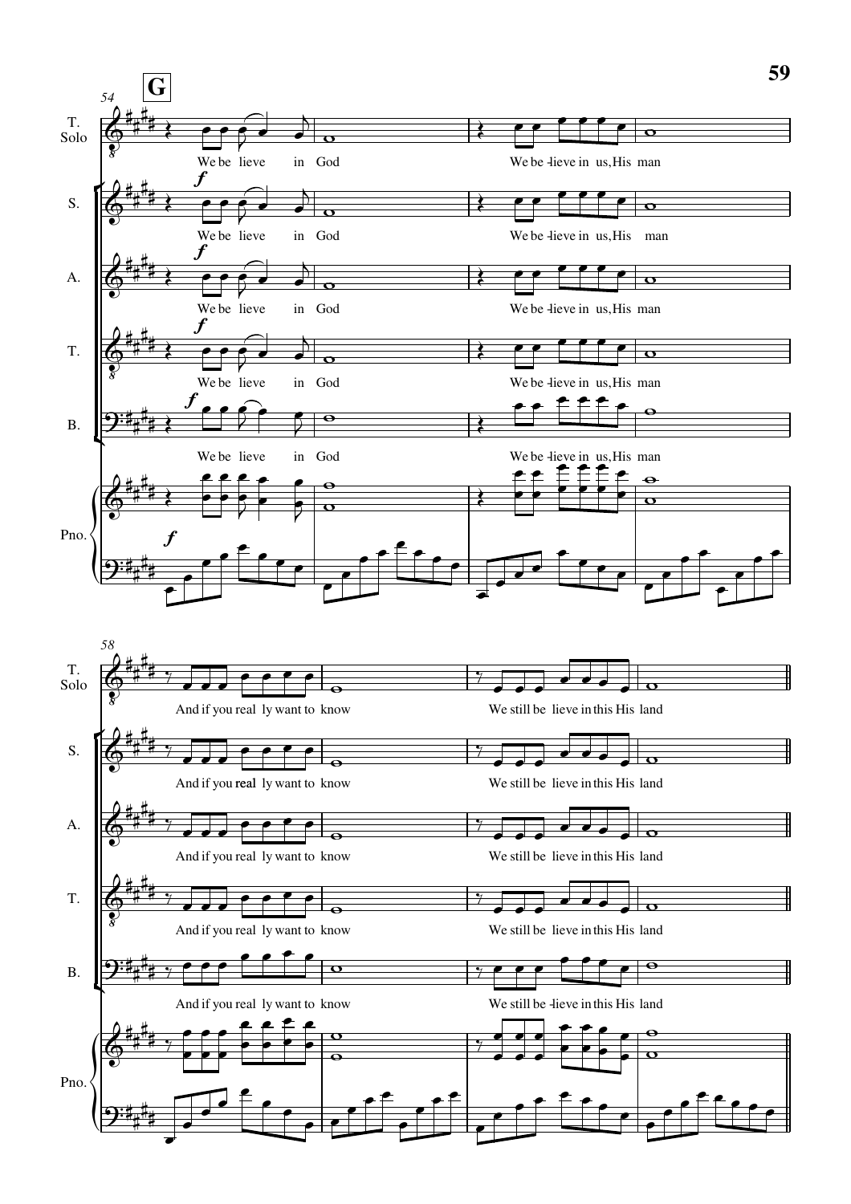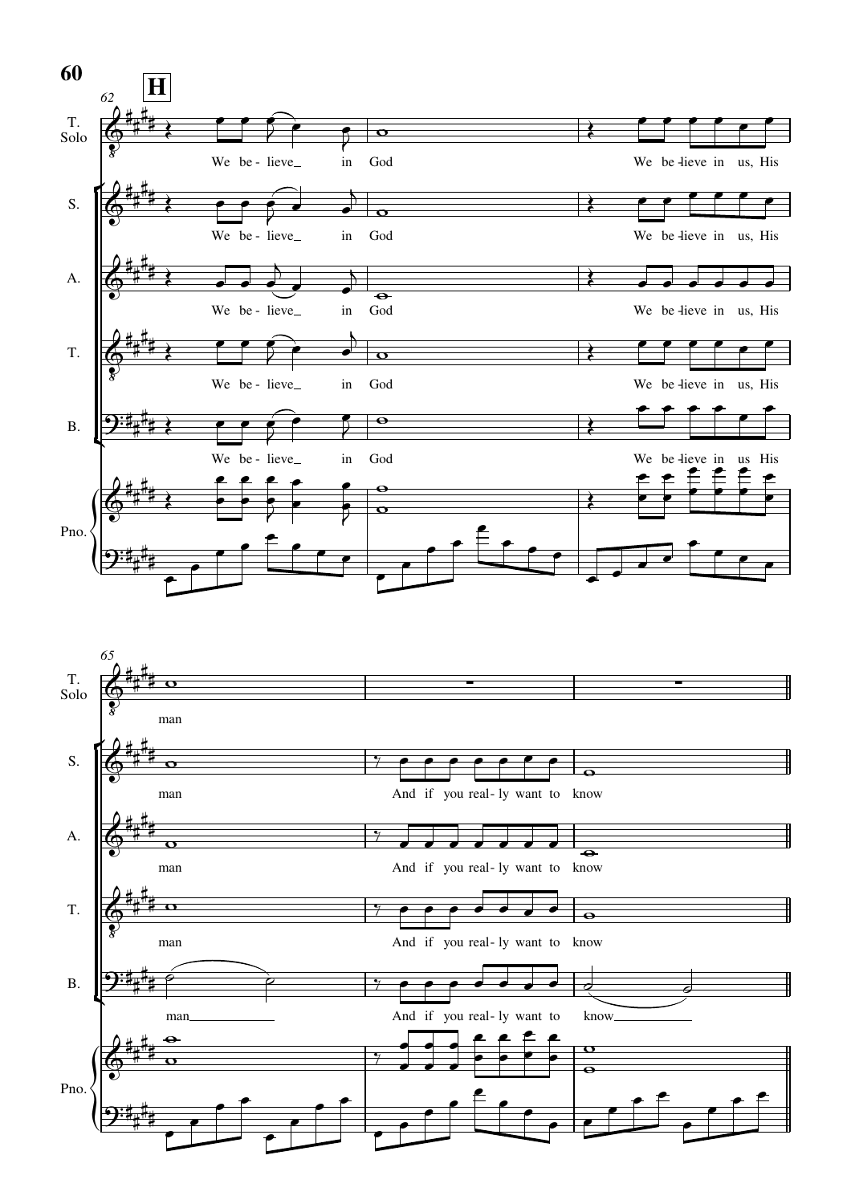

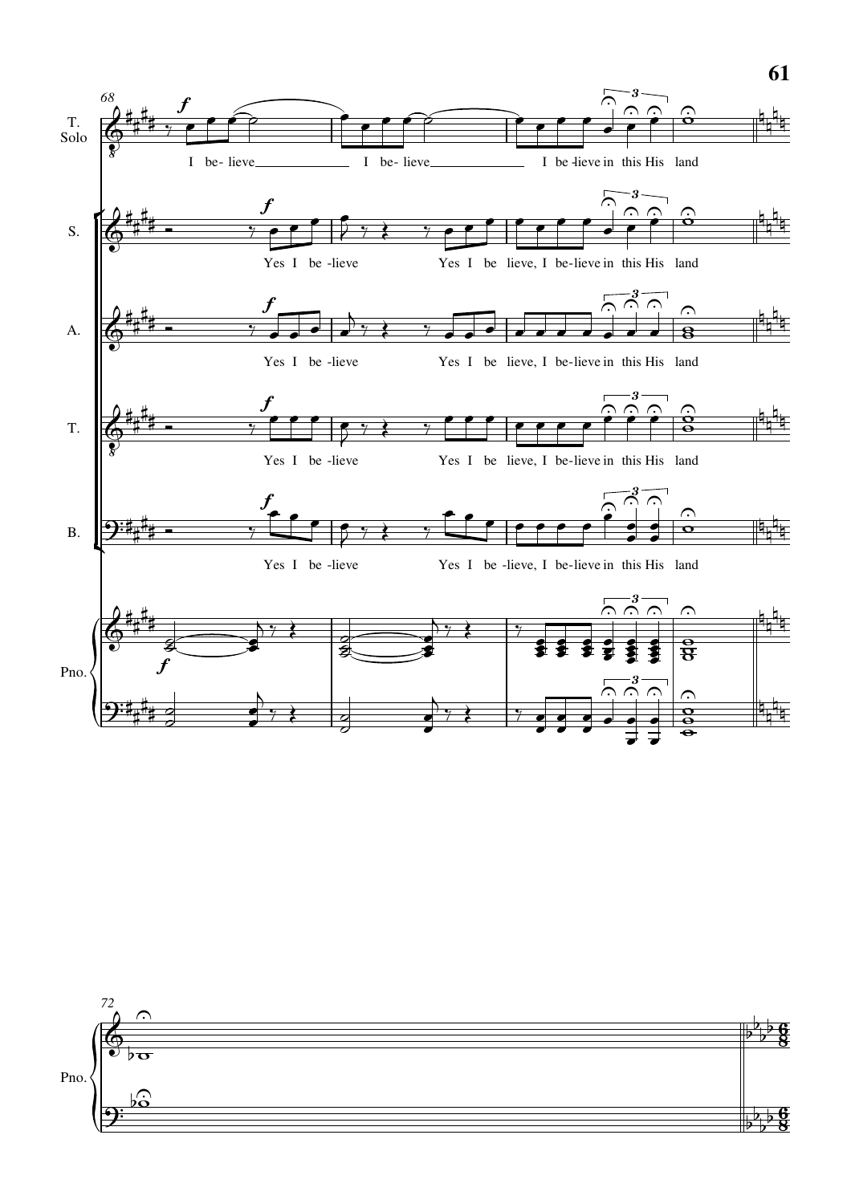

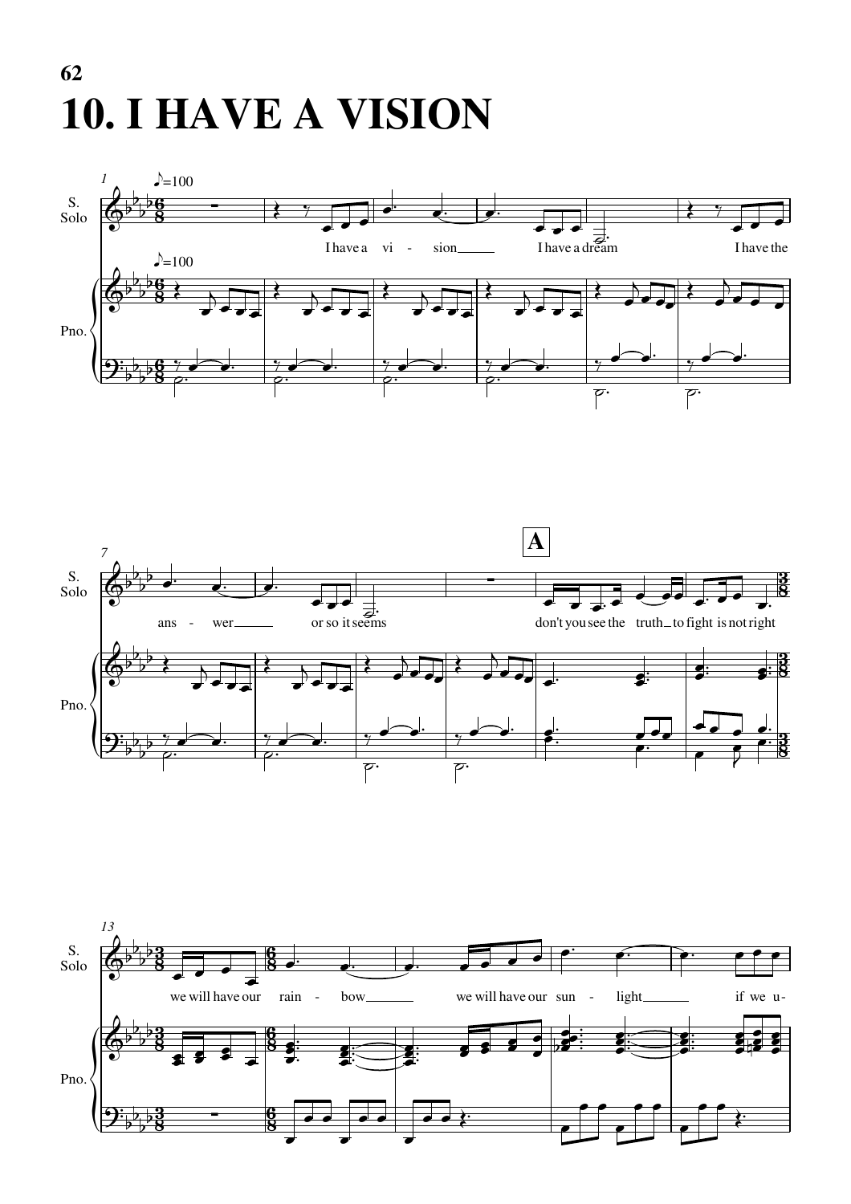### **10. I HAVE A VISION 62**





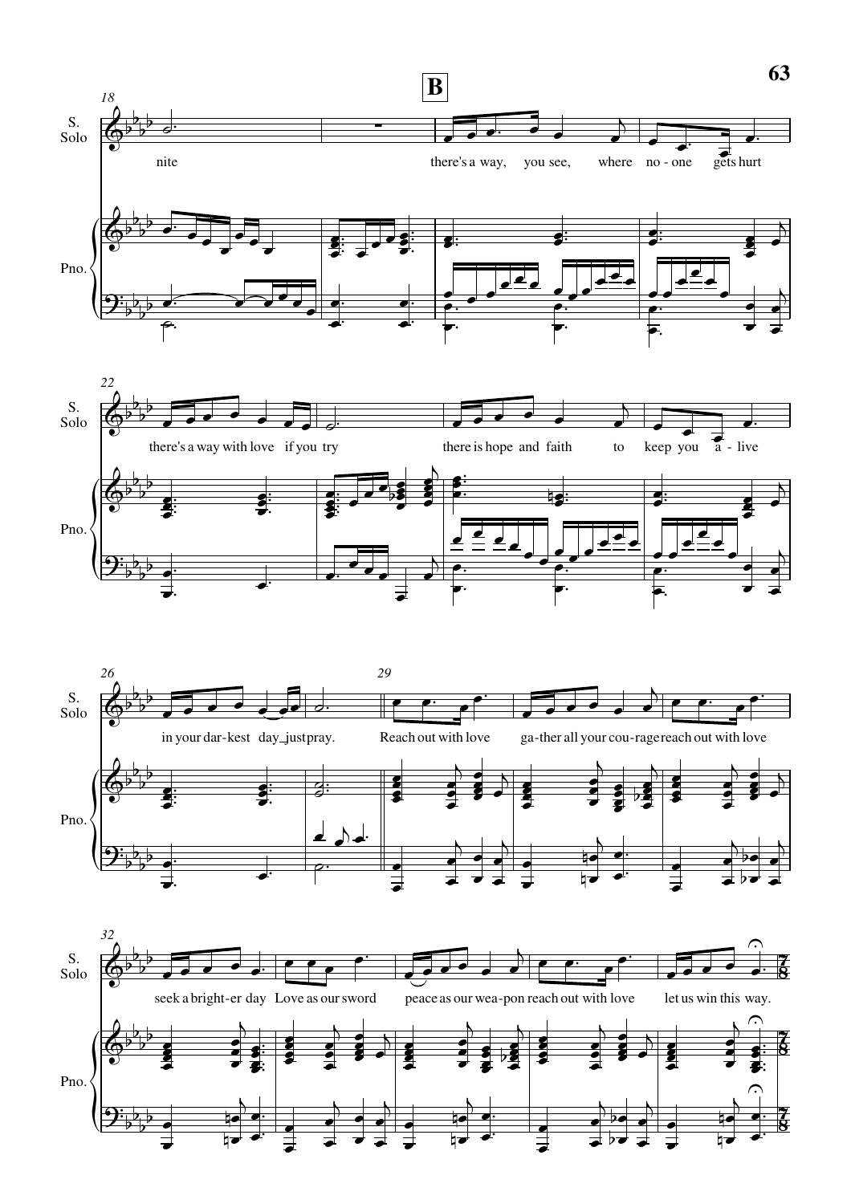





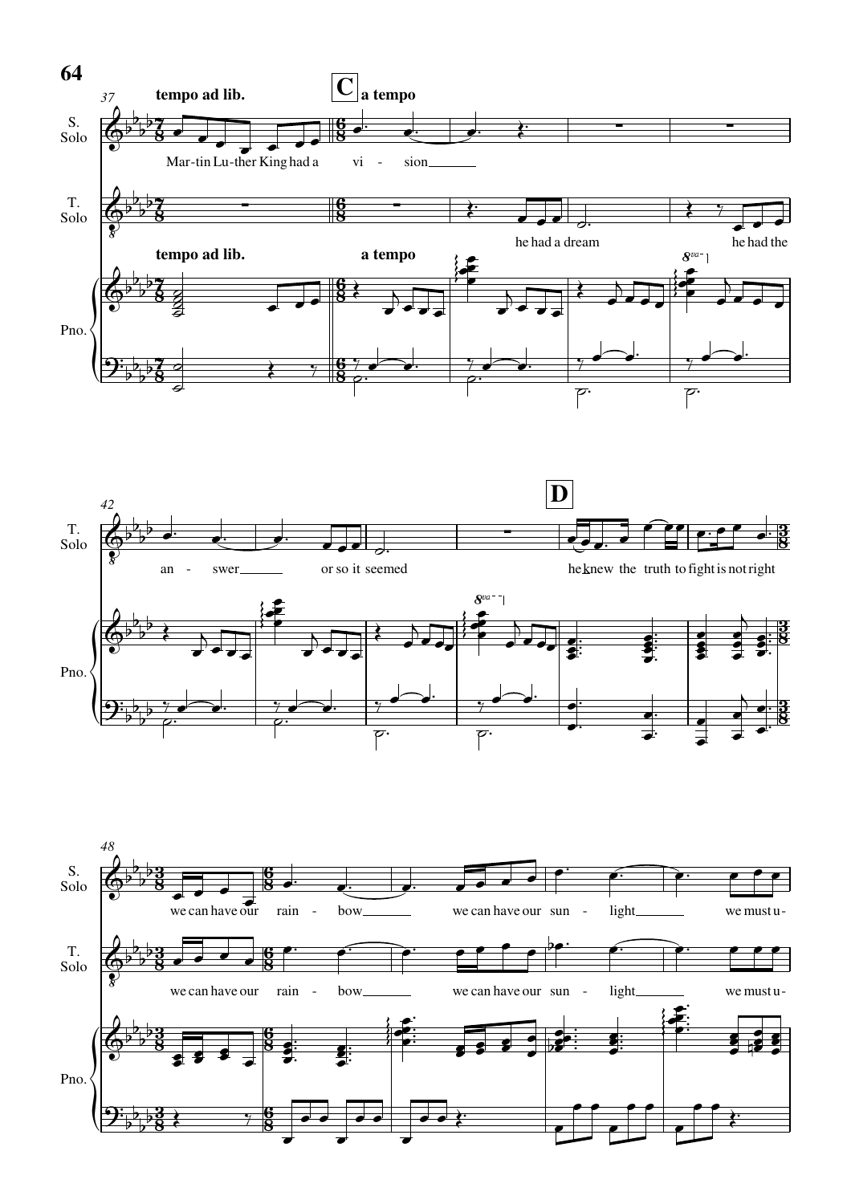



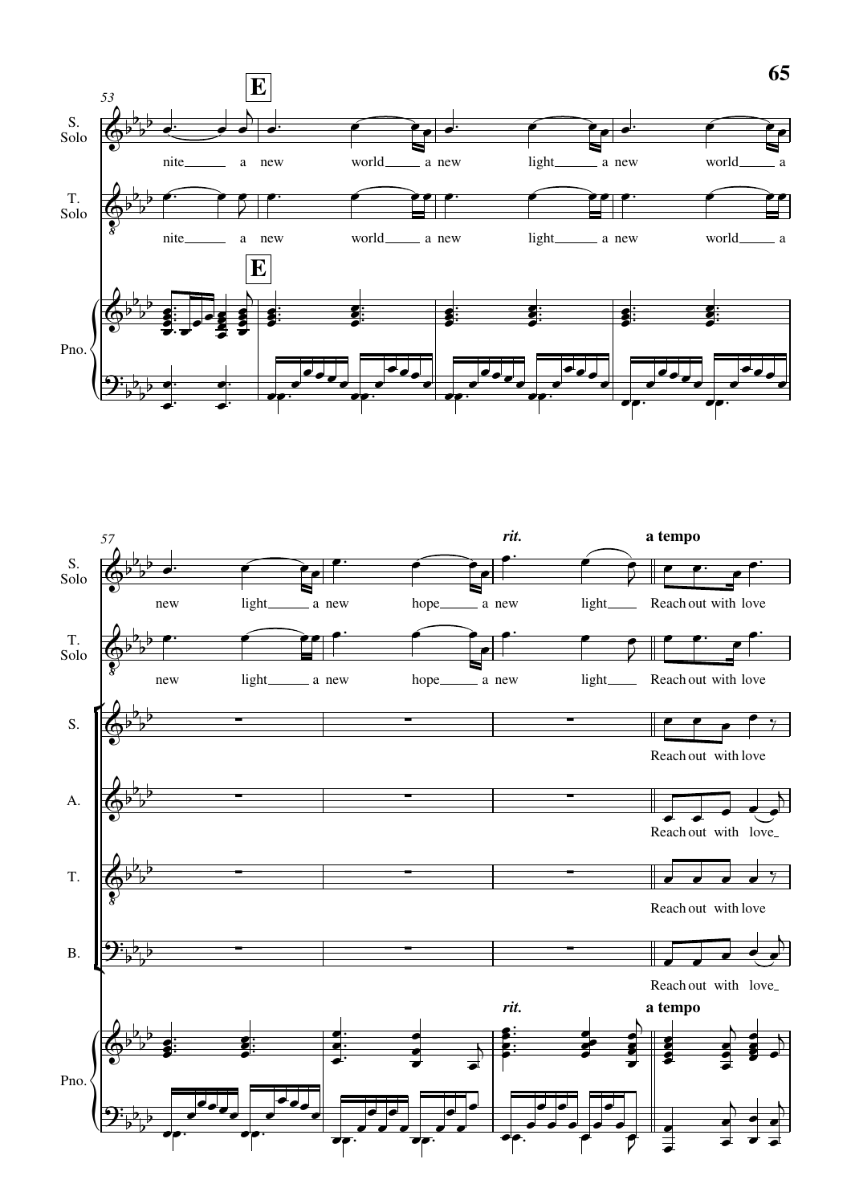

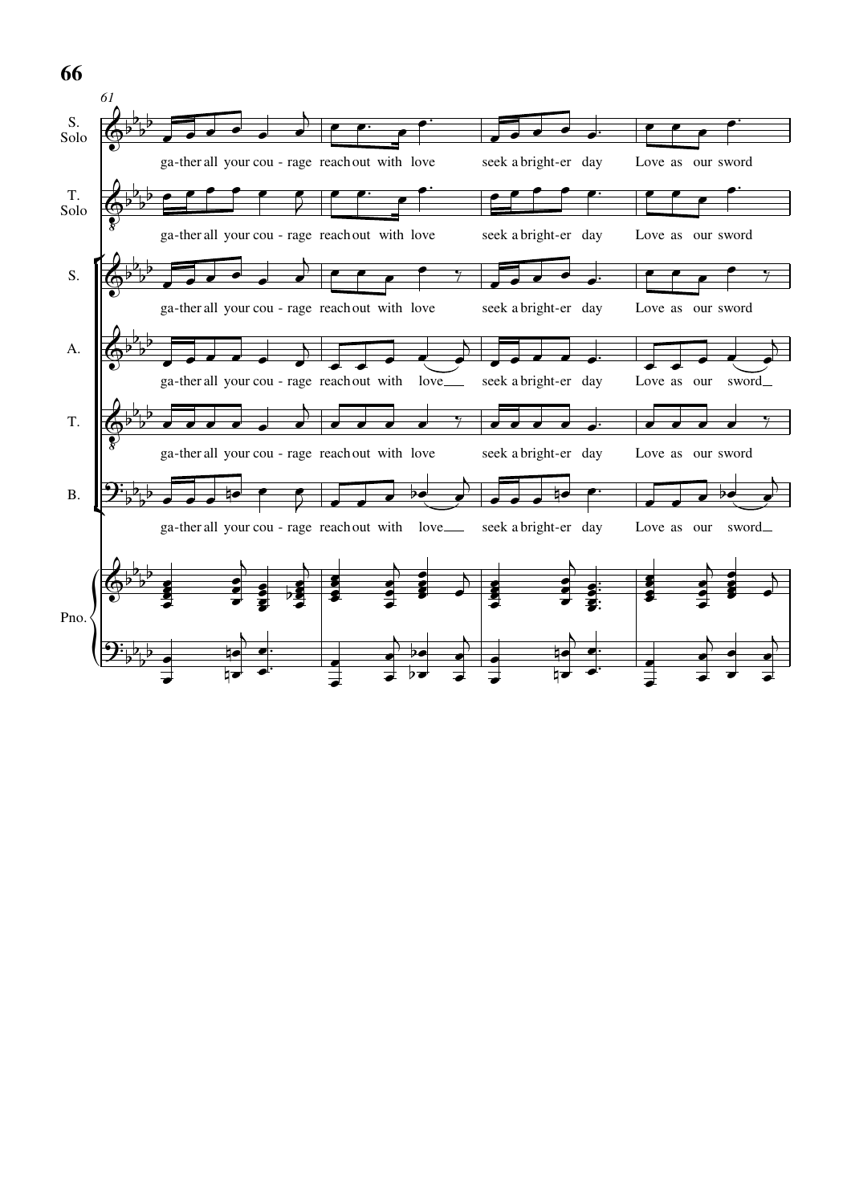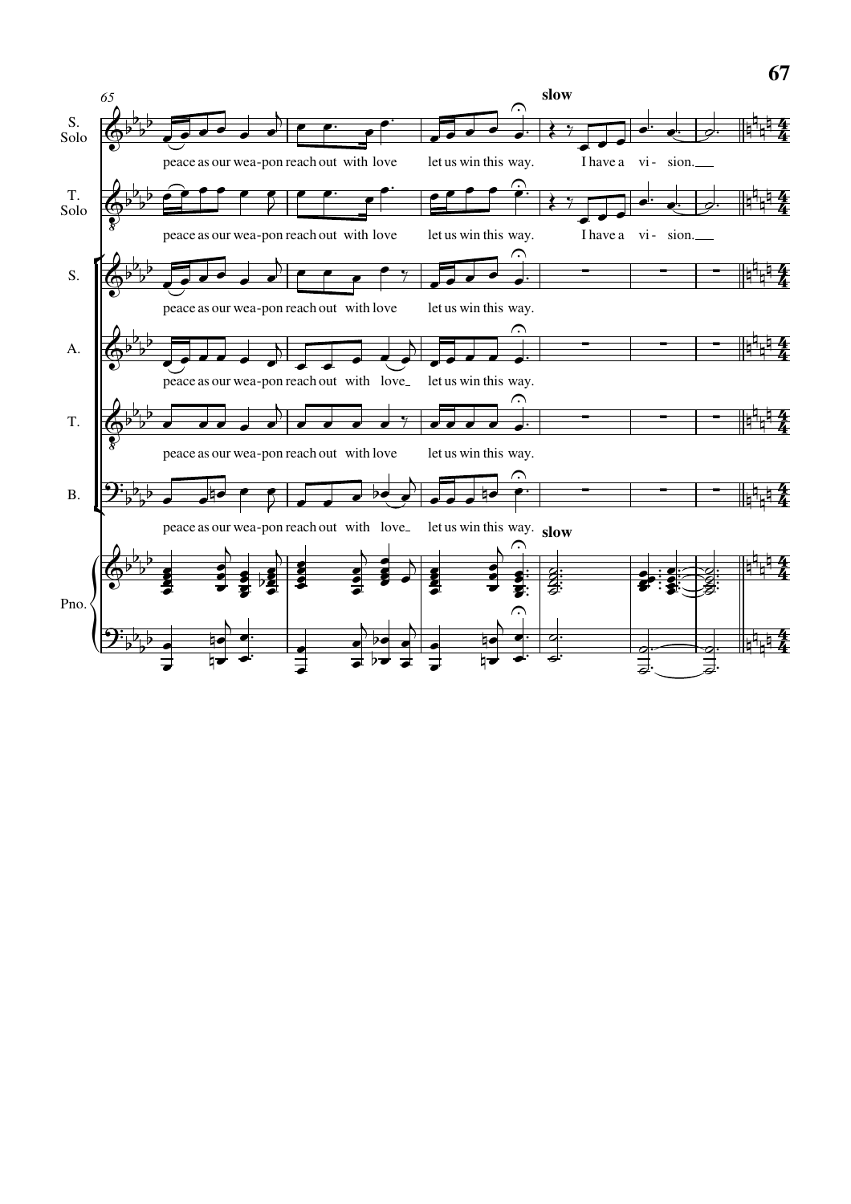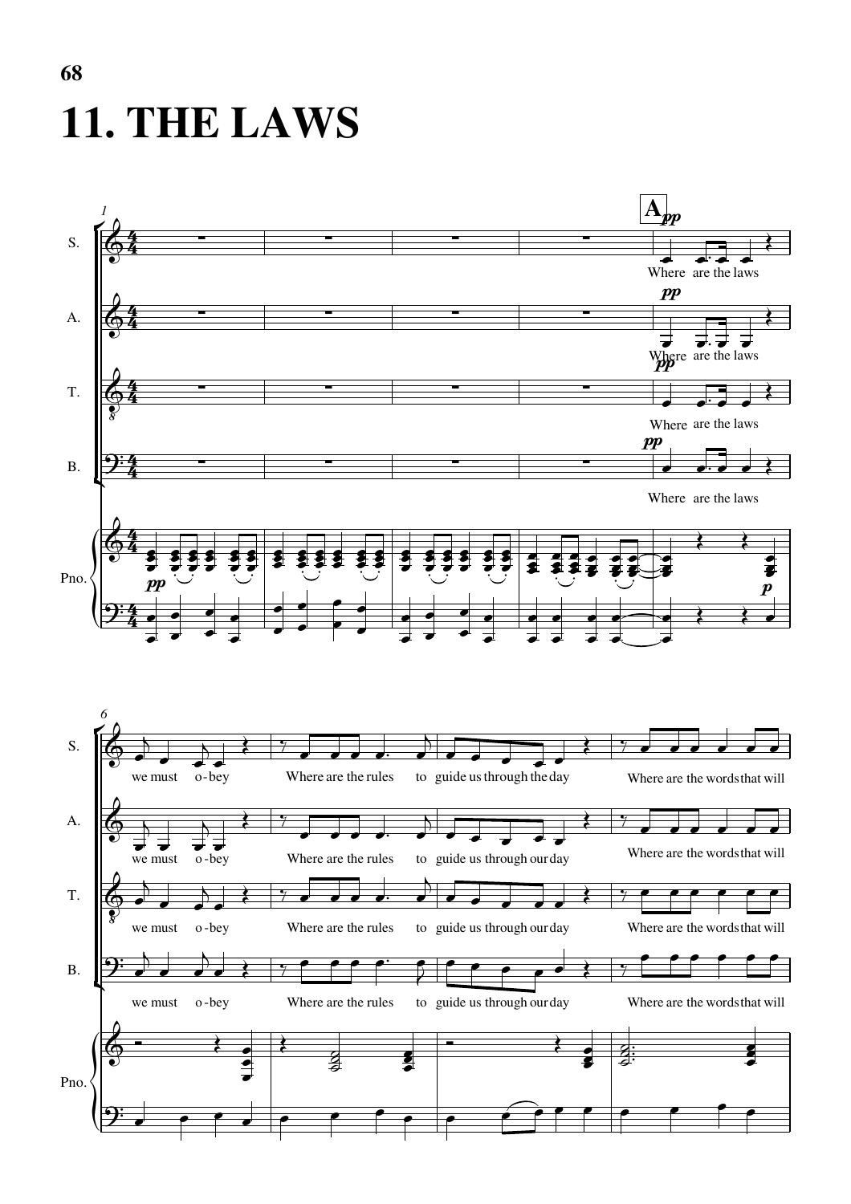## **11. THE LAWS**

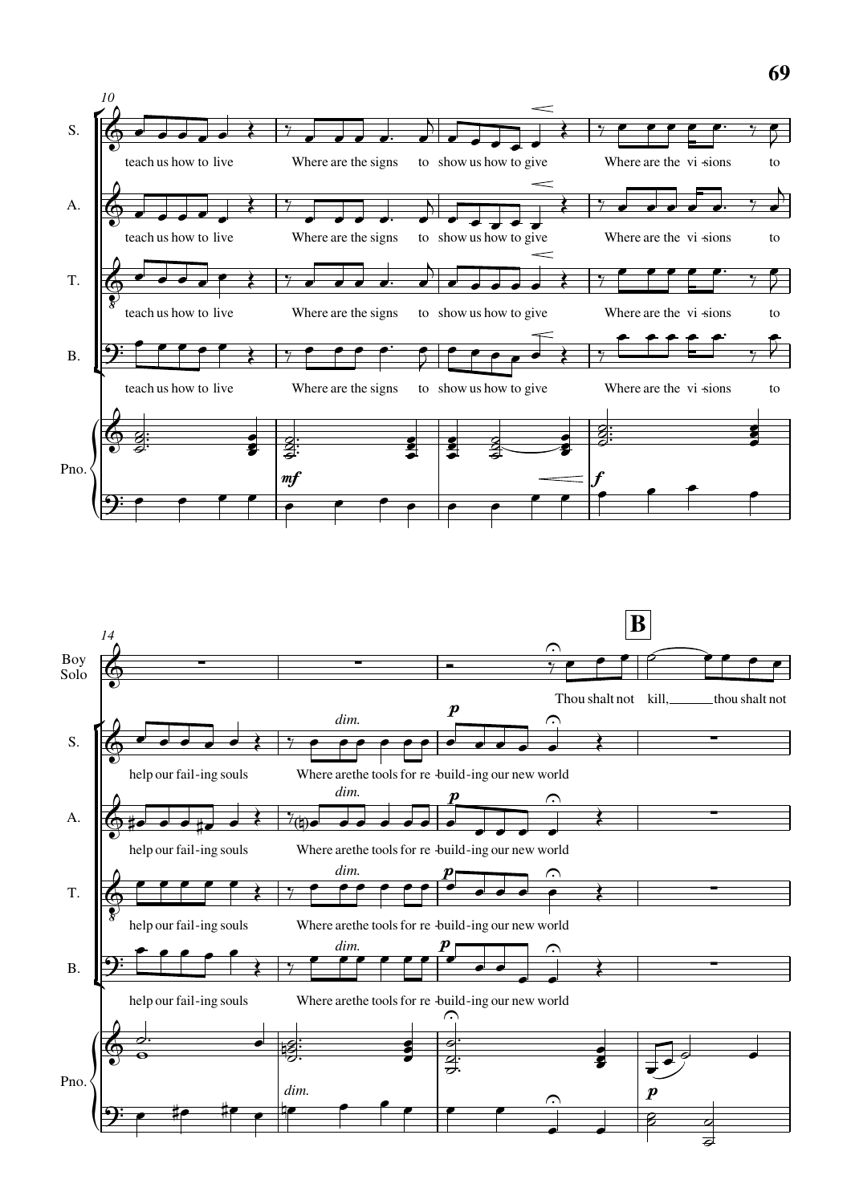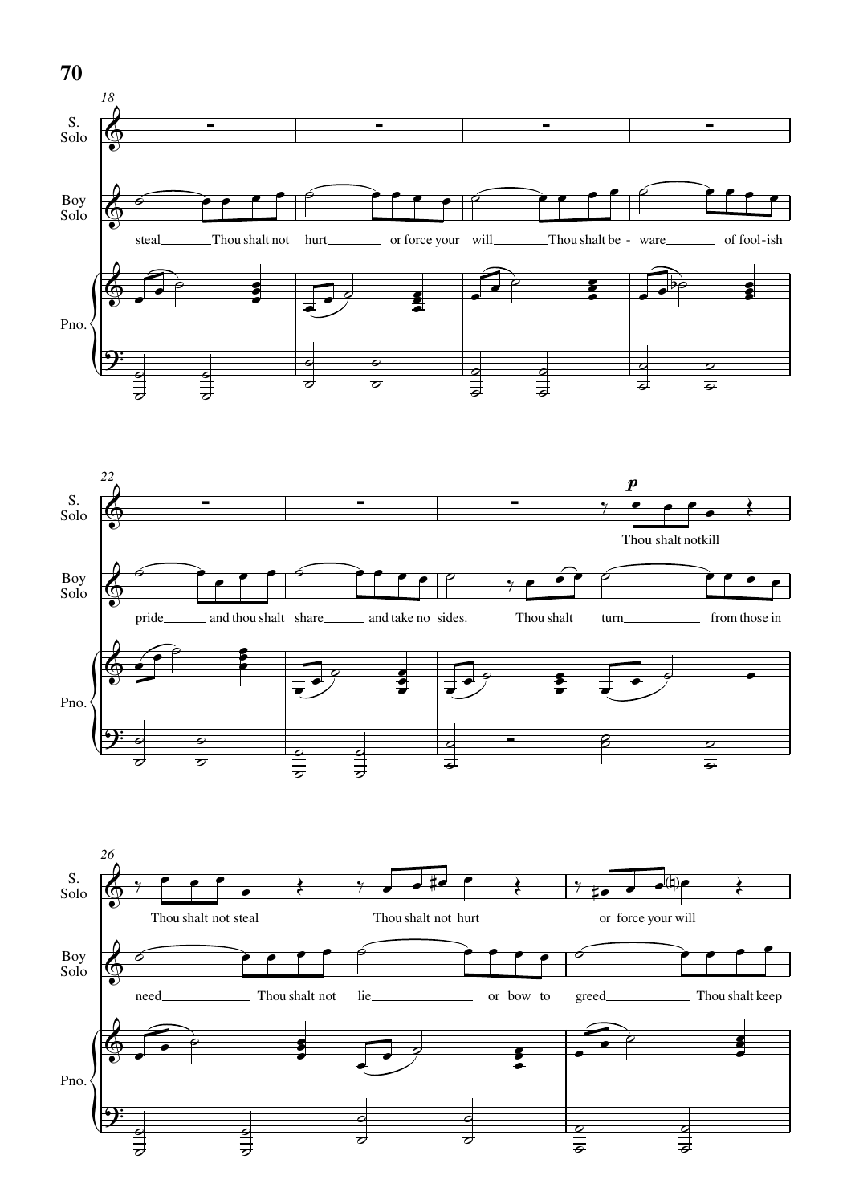



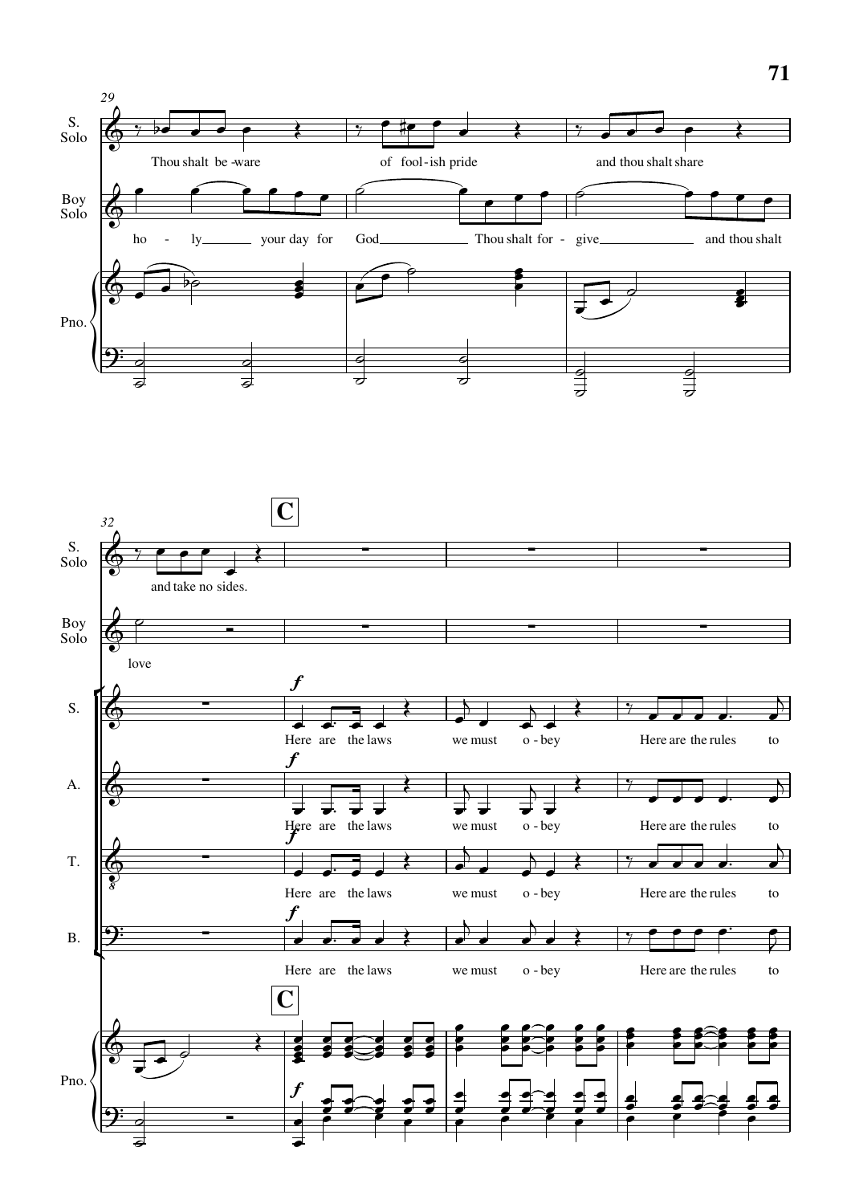

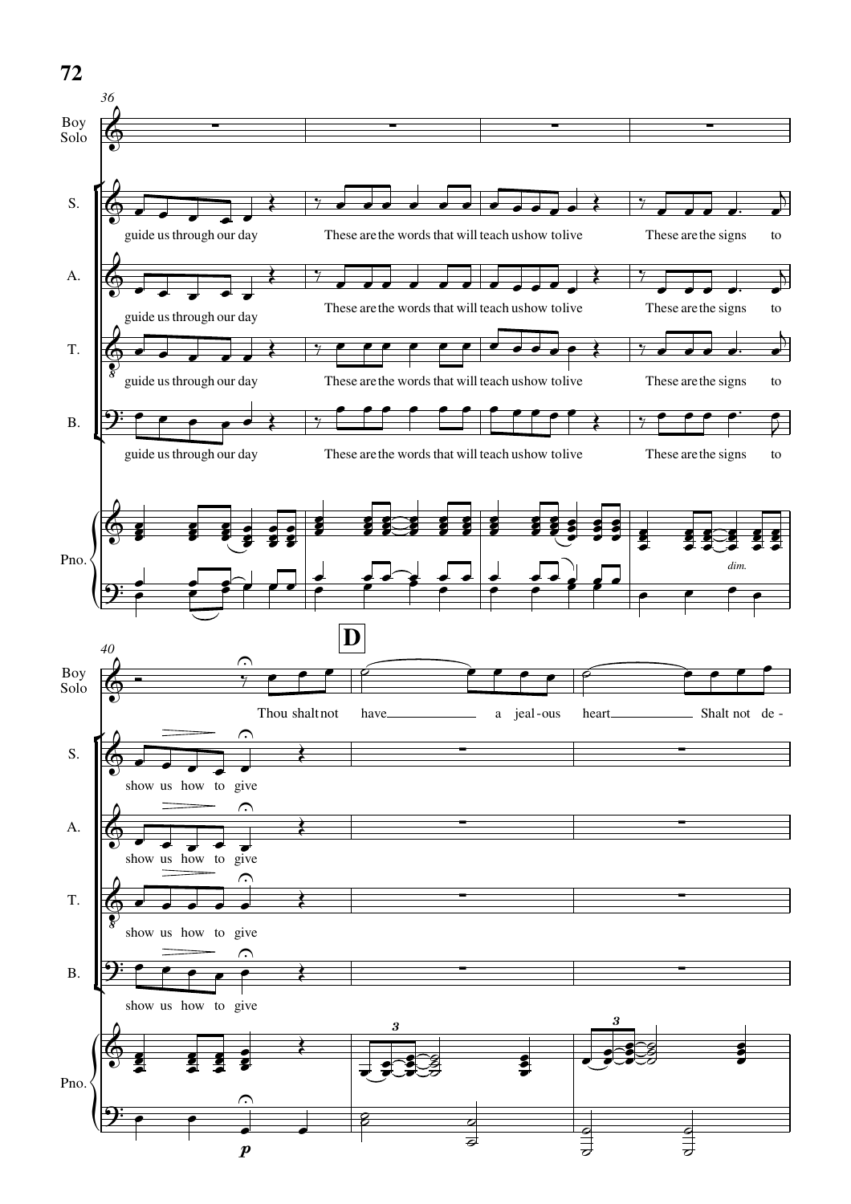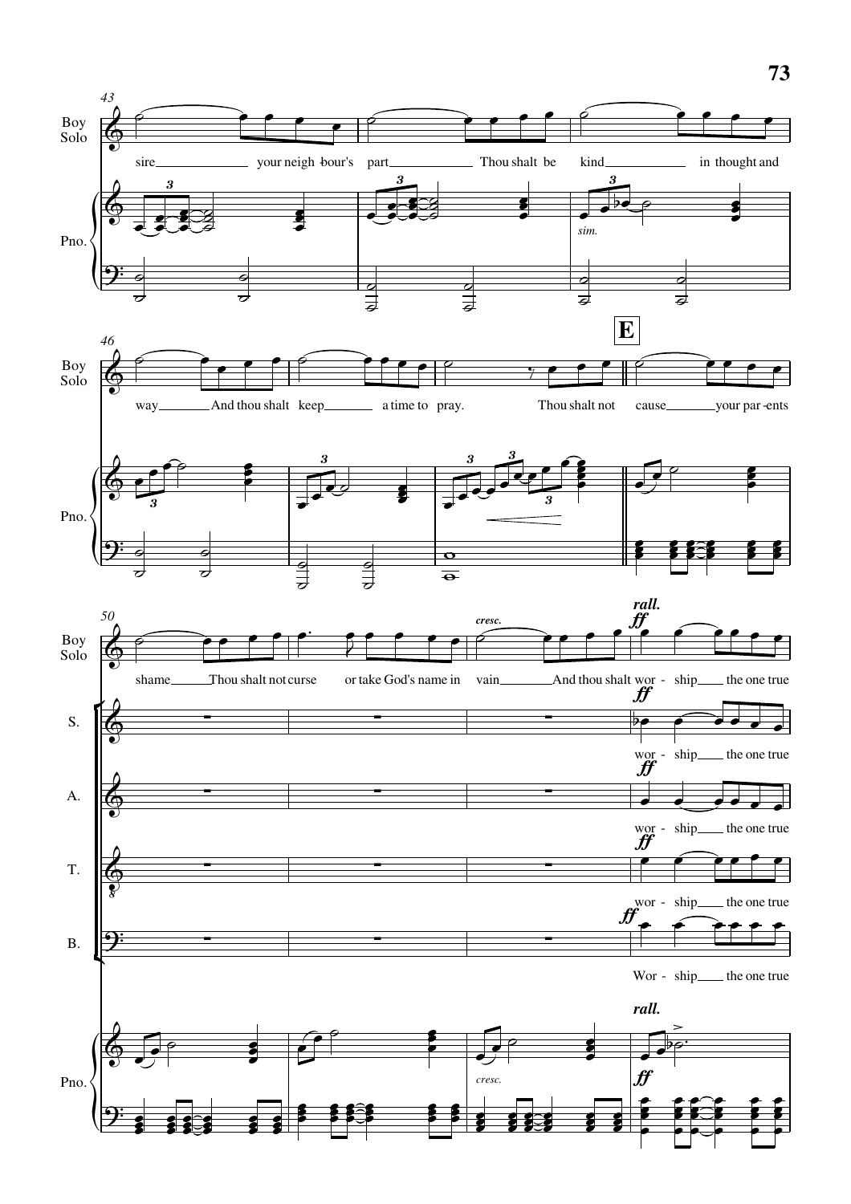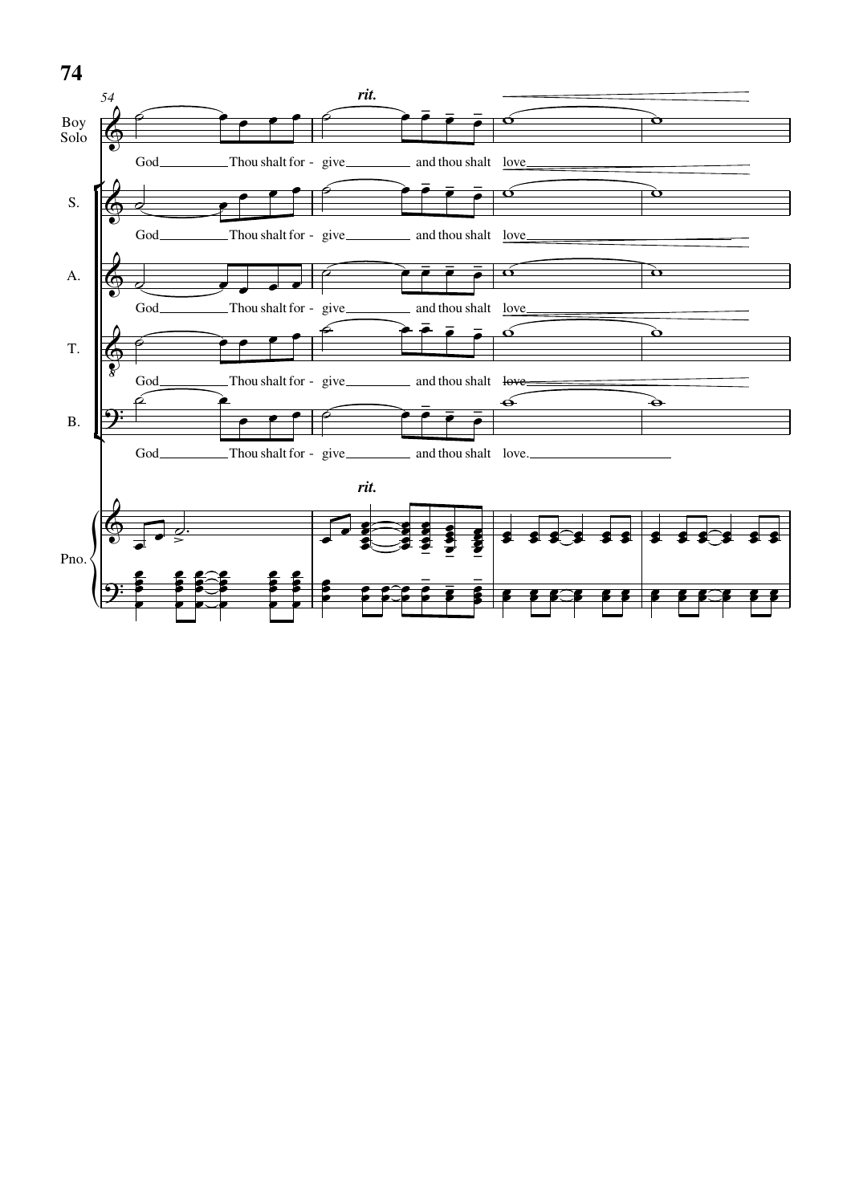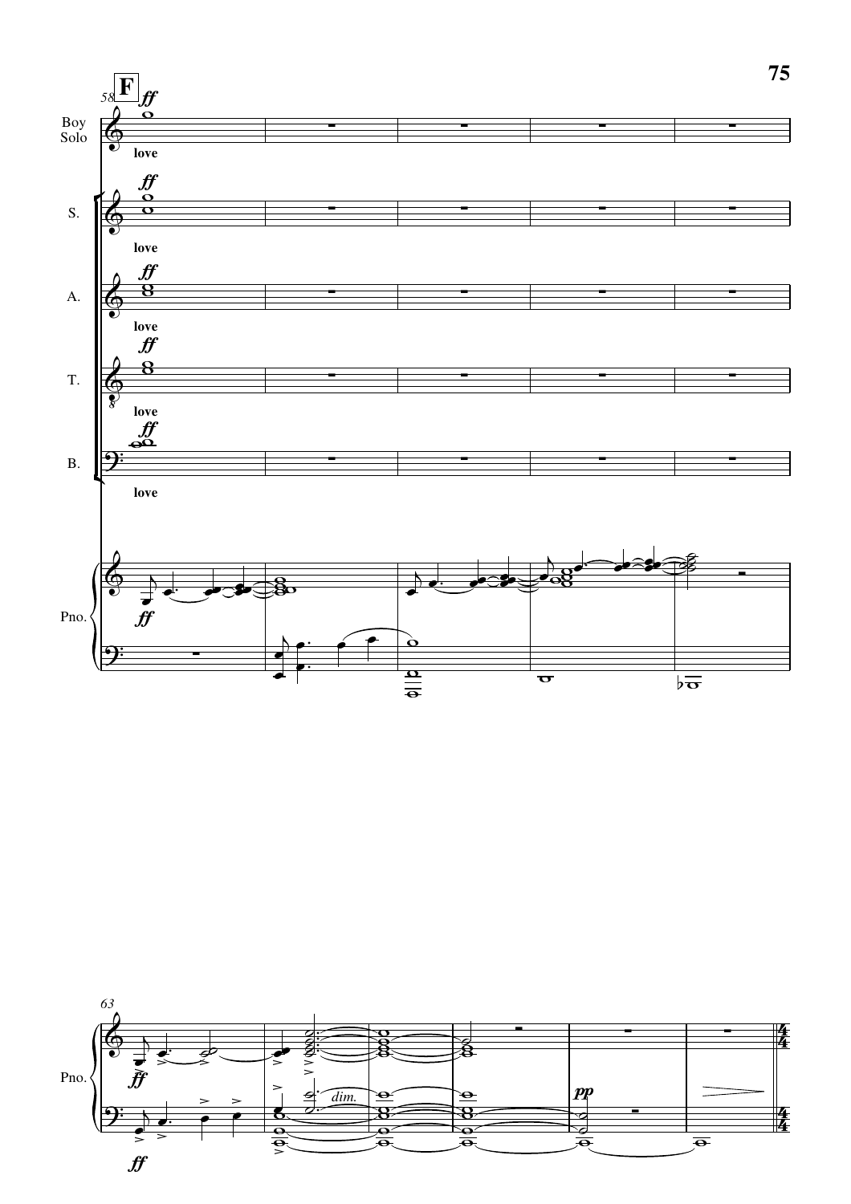

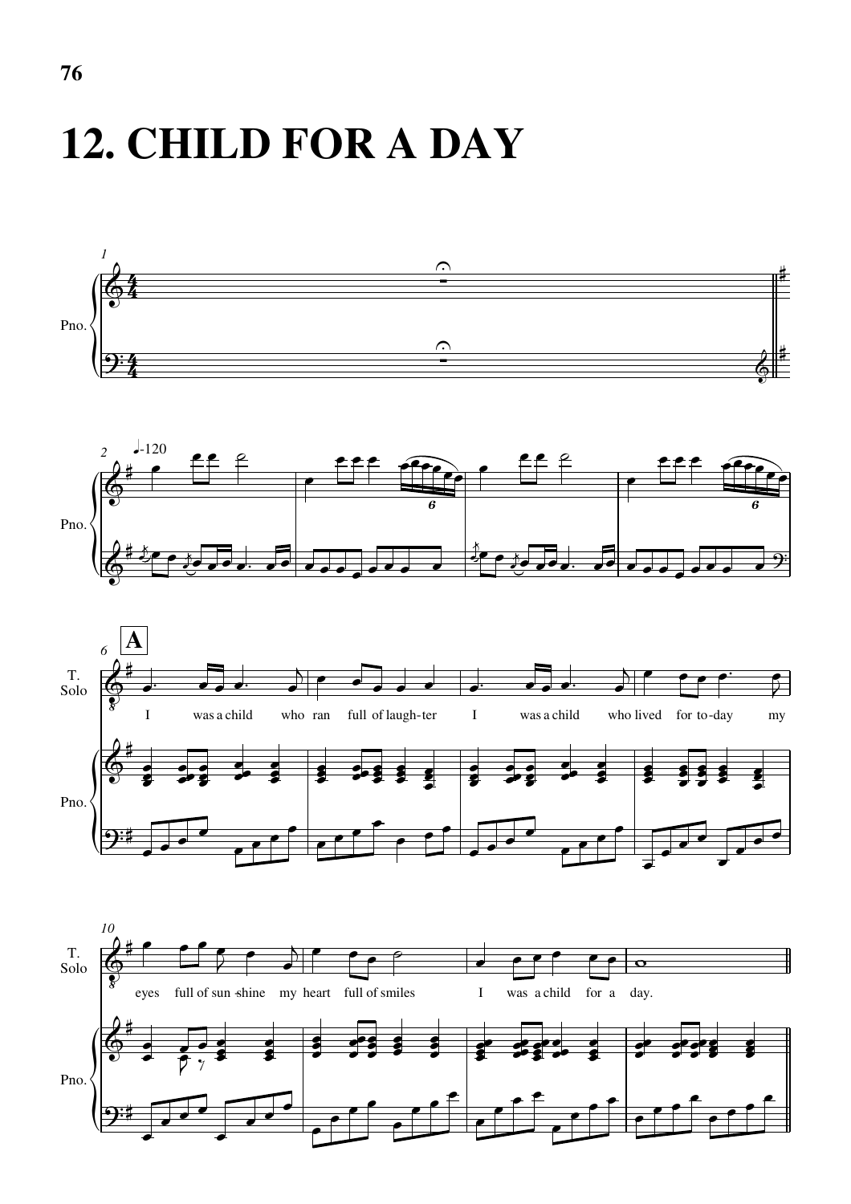**12. CHILD FOR A DAY**



k



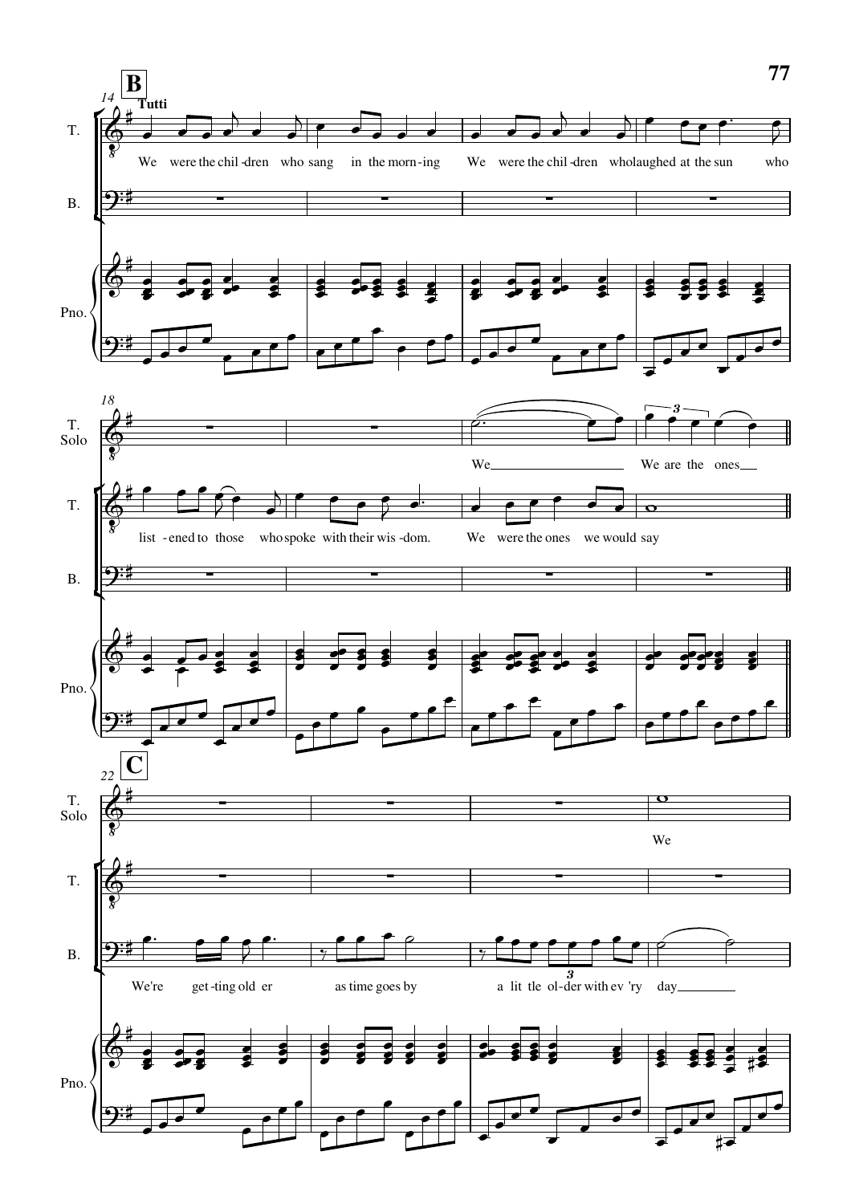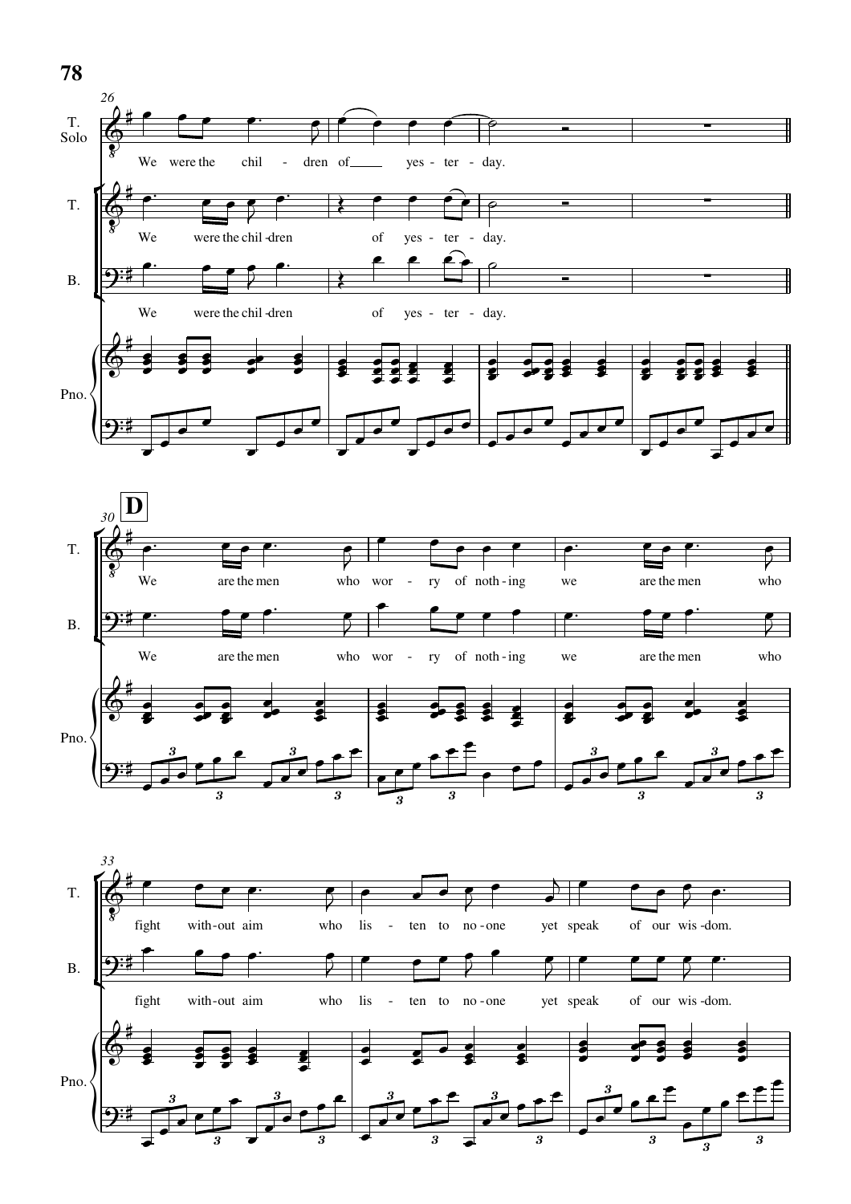



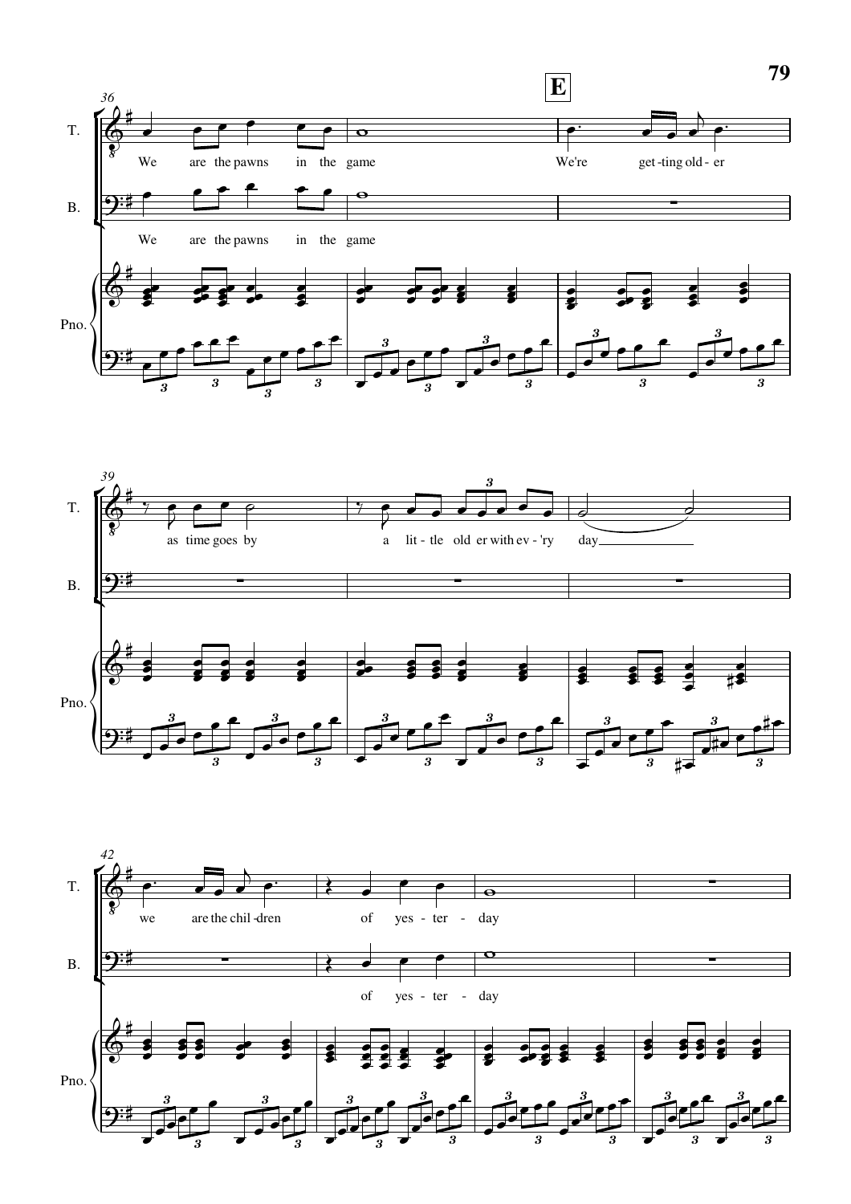



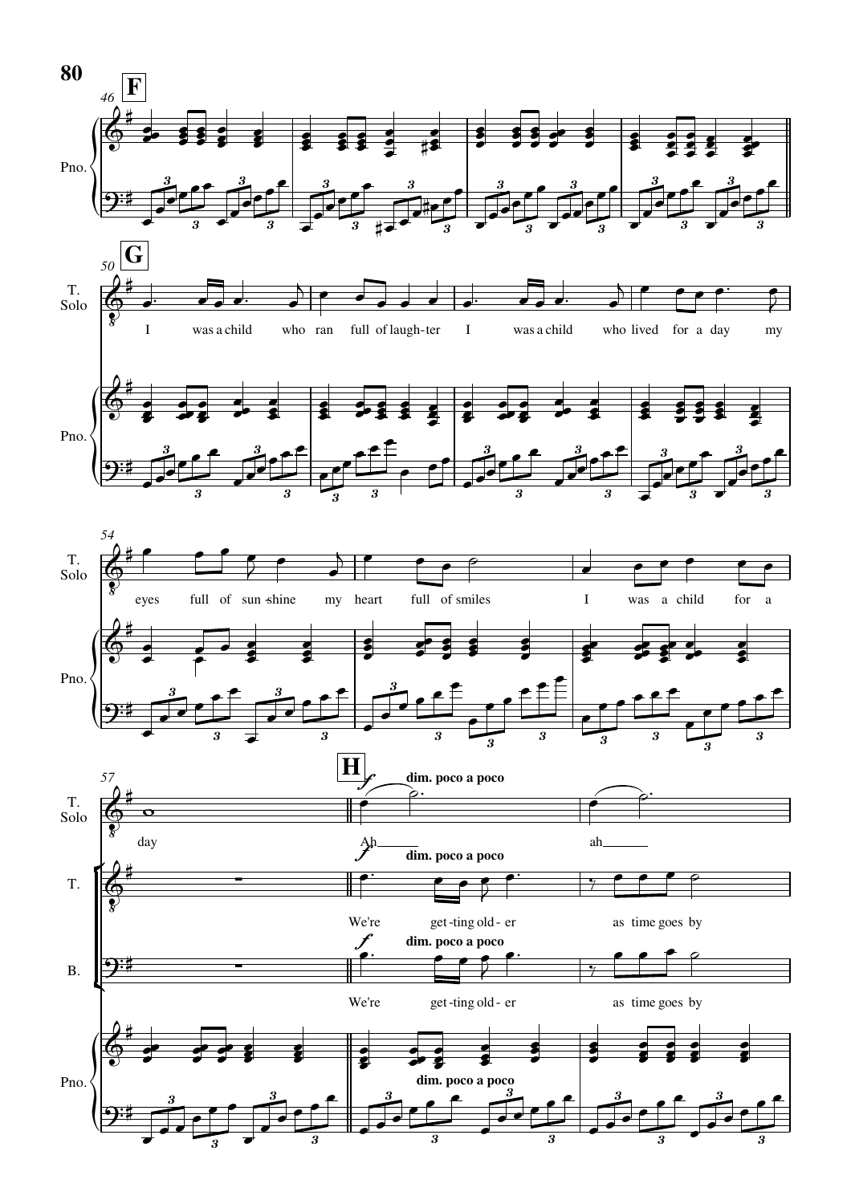

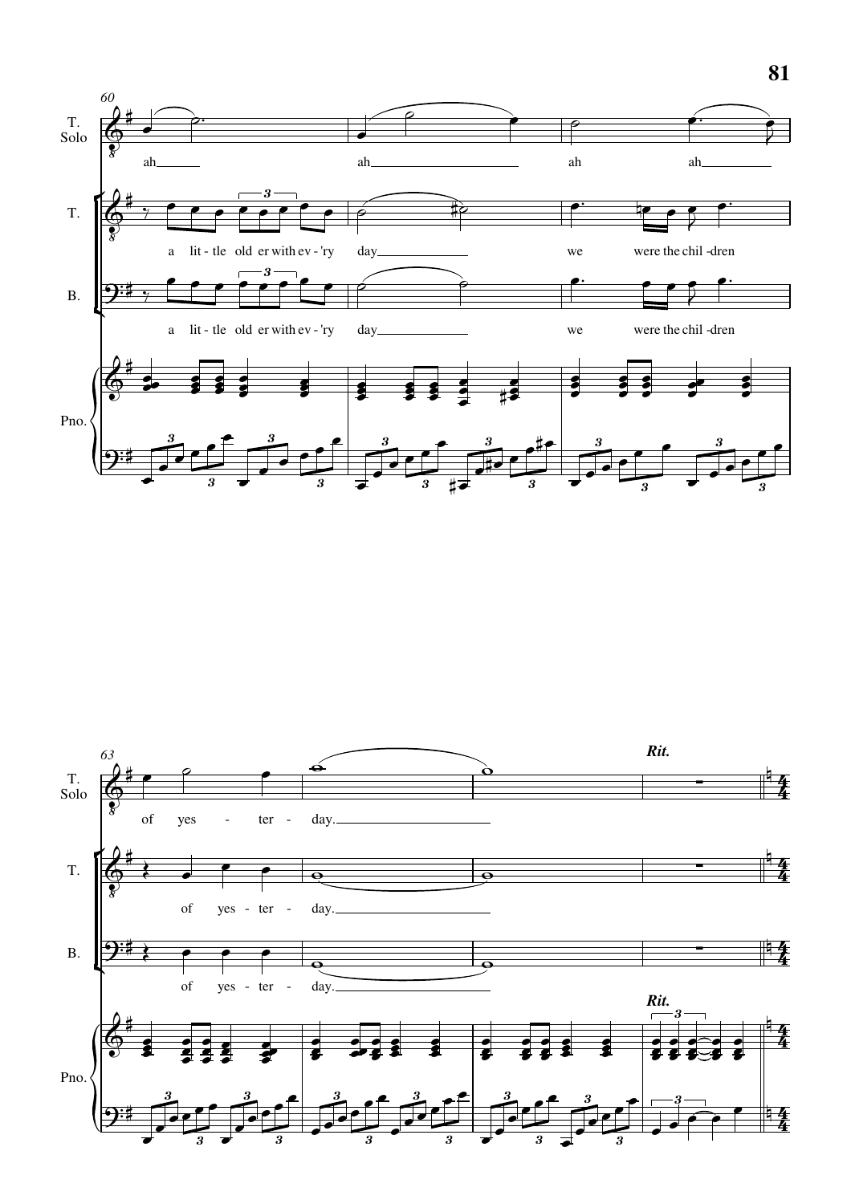

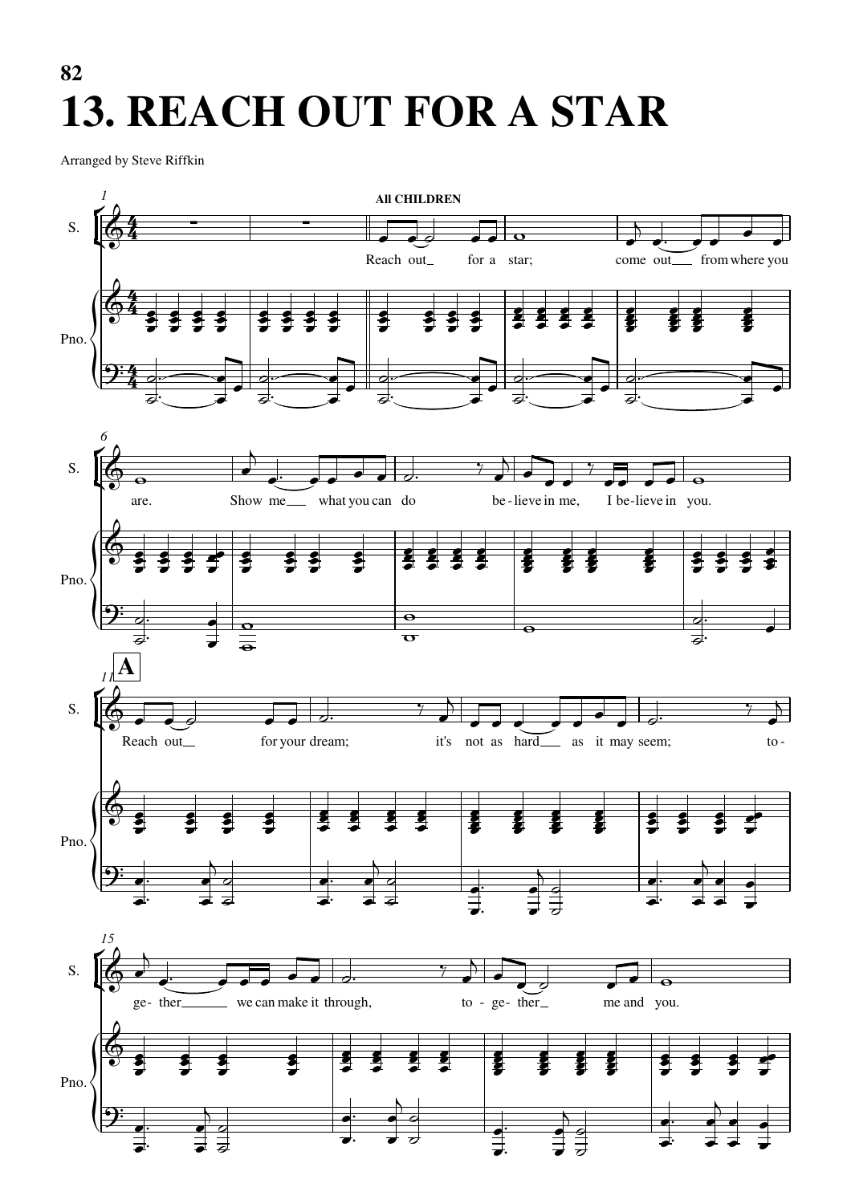## **13. REACH OUT FOR A STAR 82**

Arranged by Steve Riffkin

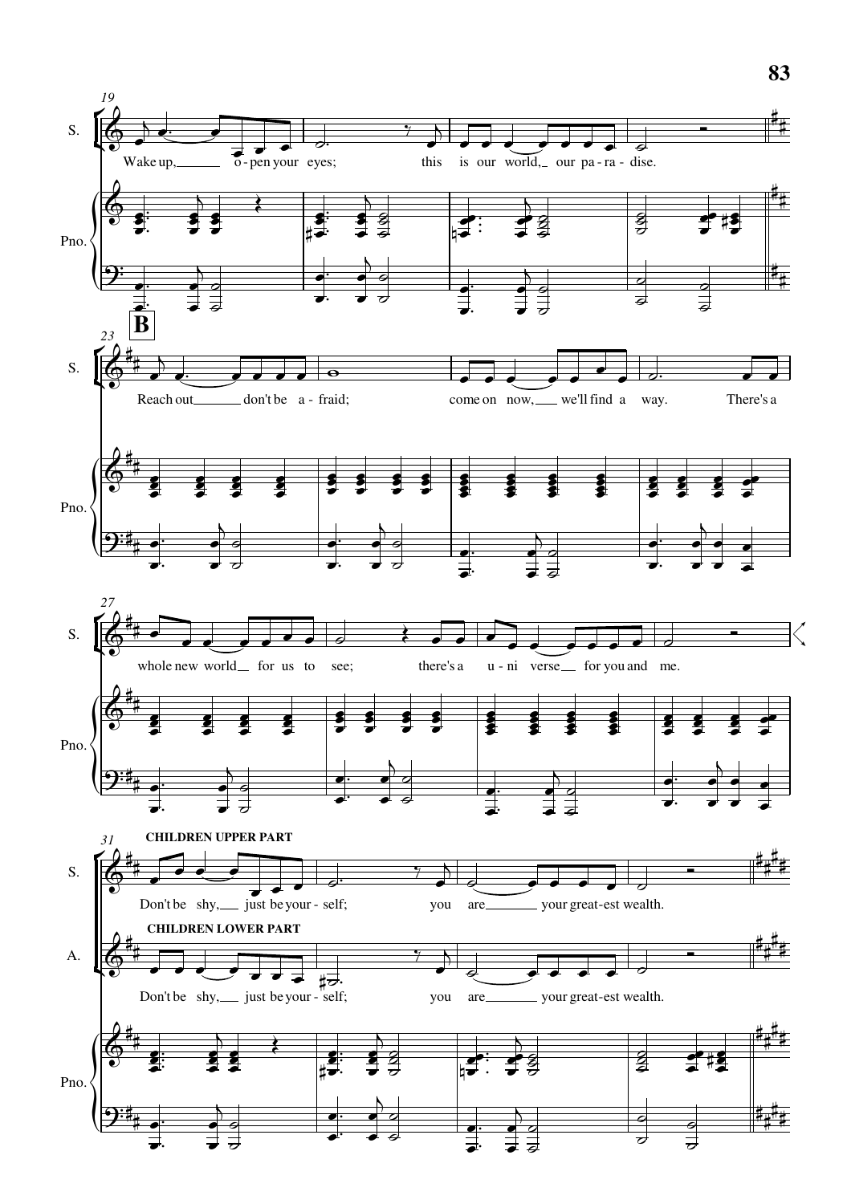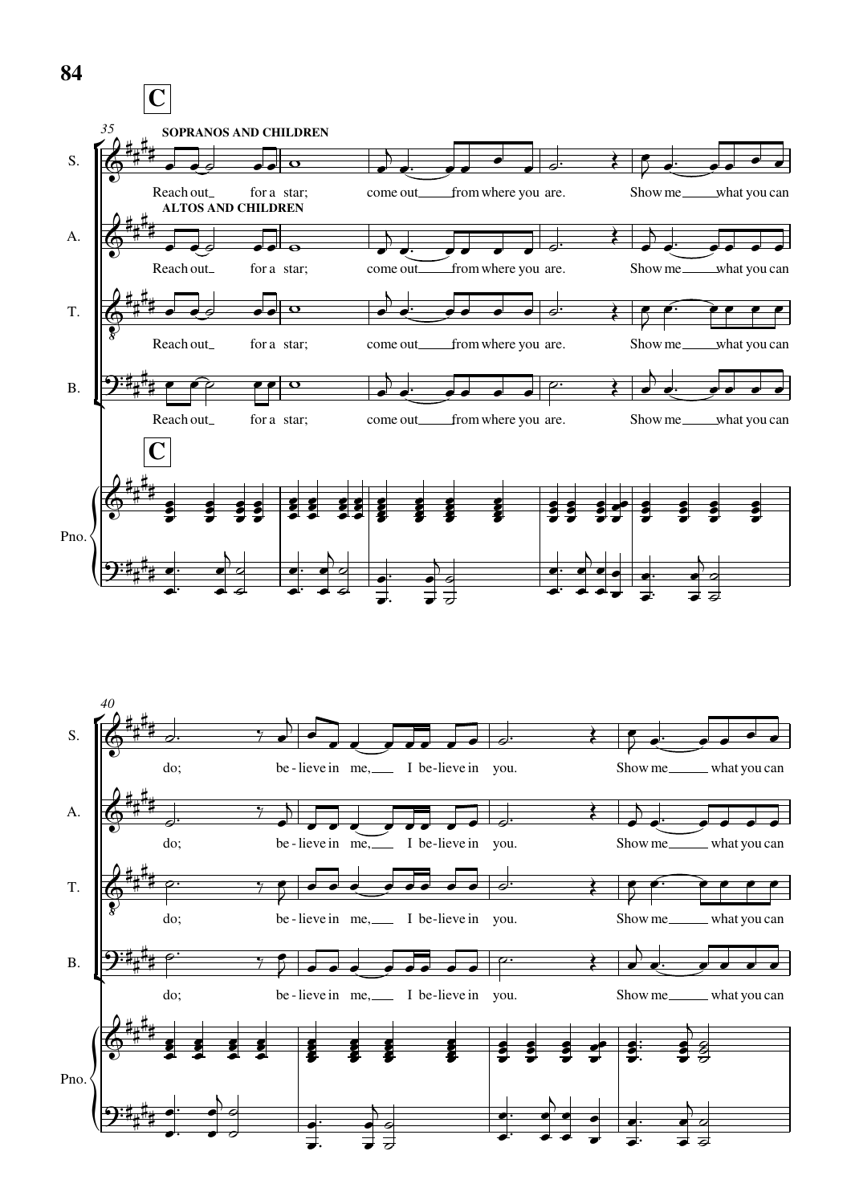

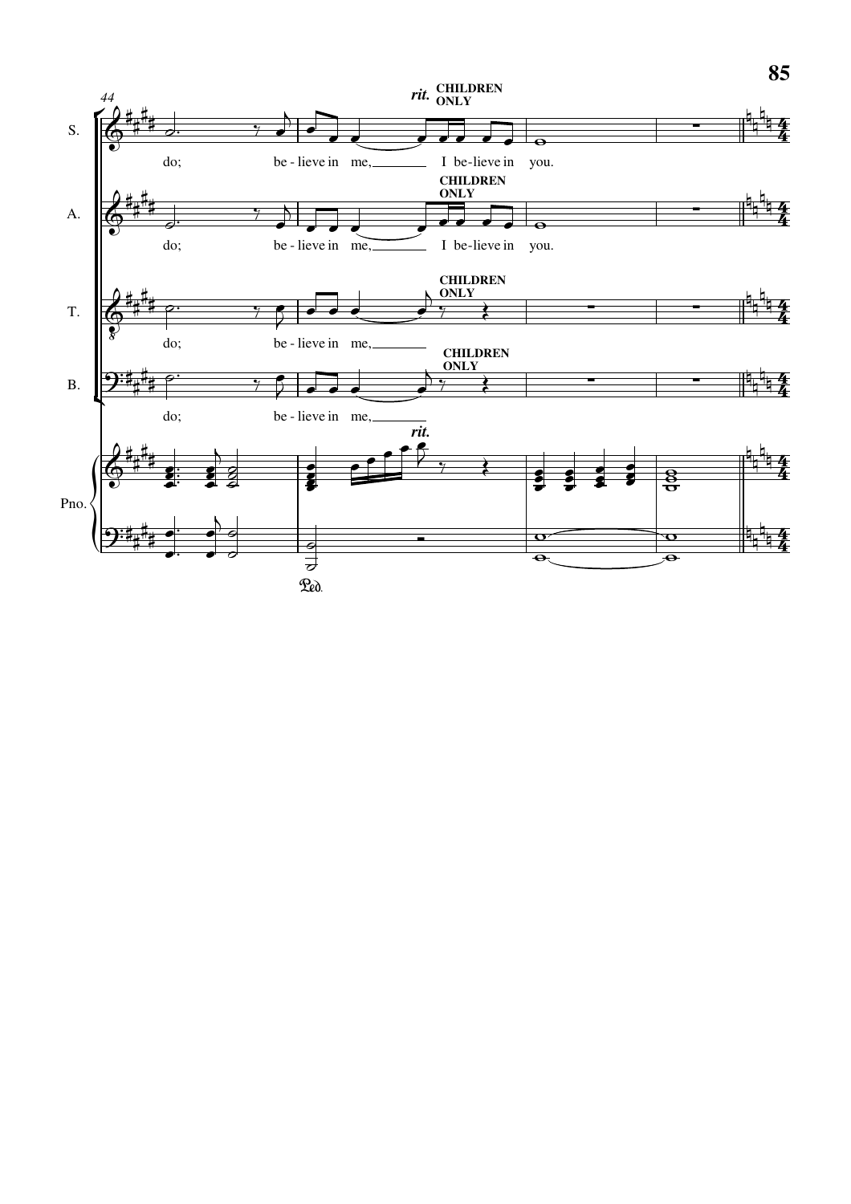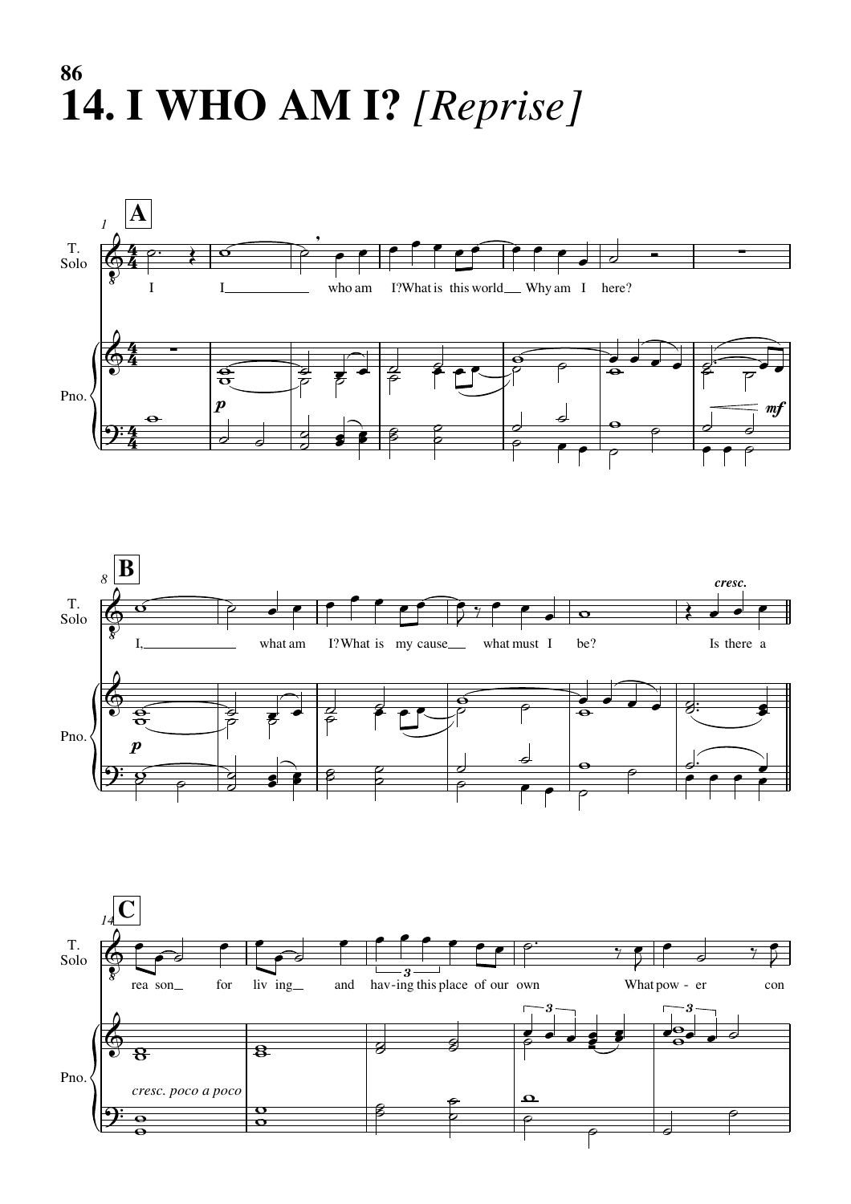**14. I WHO AM I?** *[Reprise]* **86**





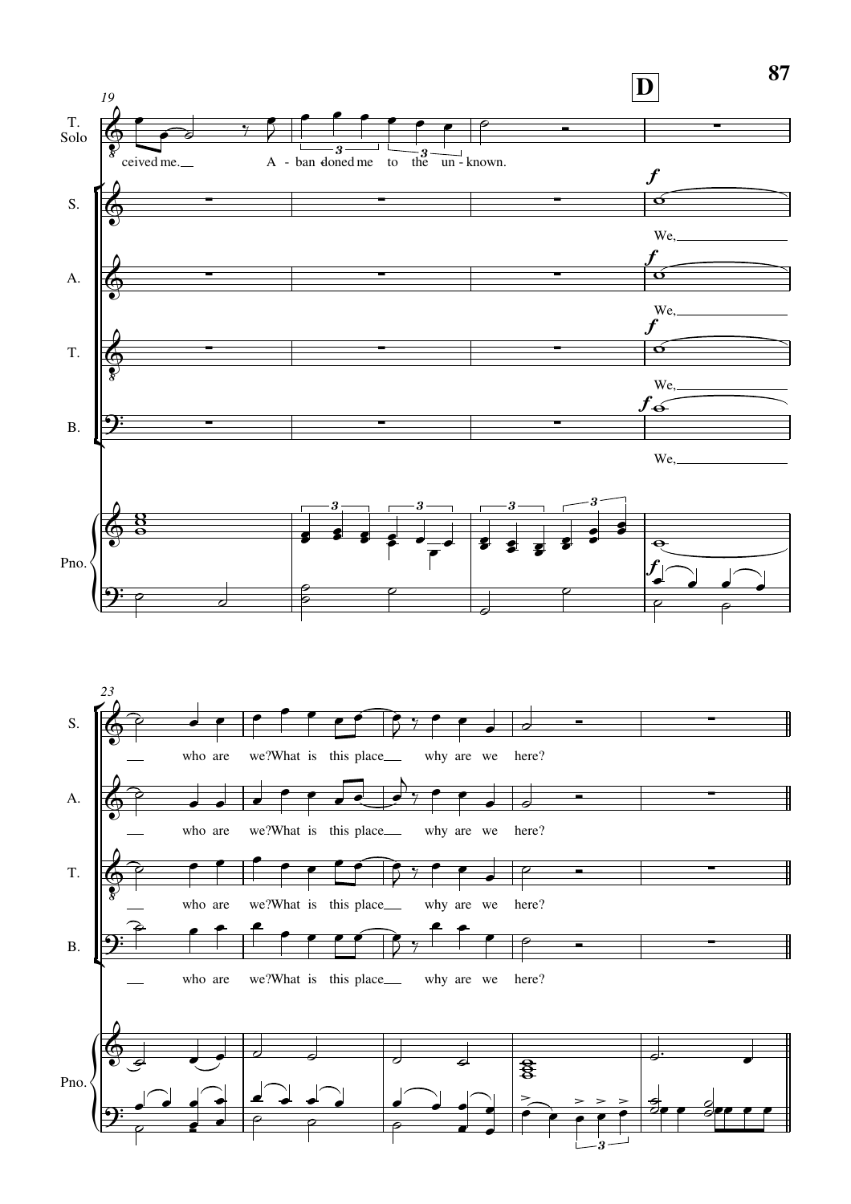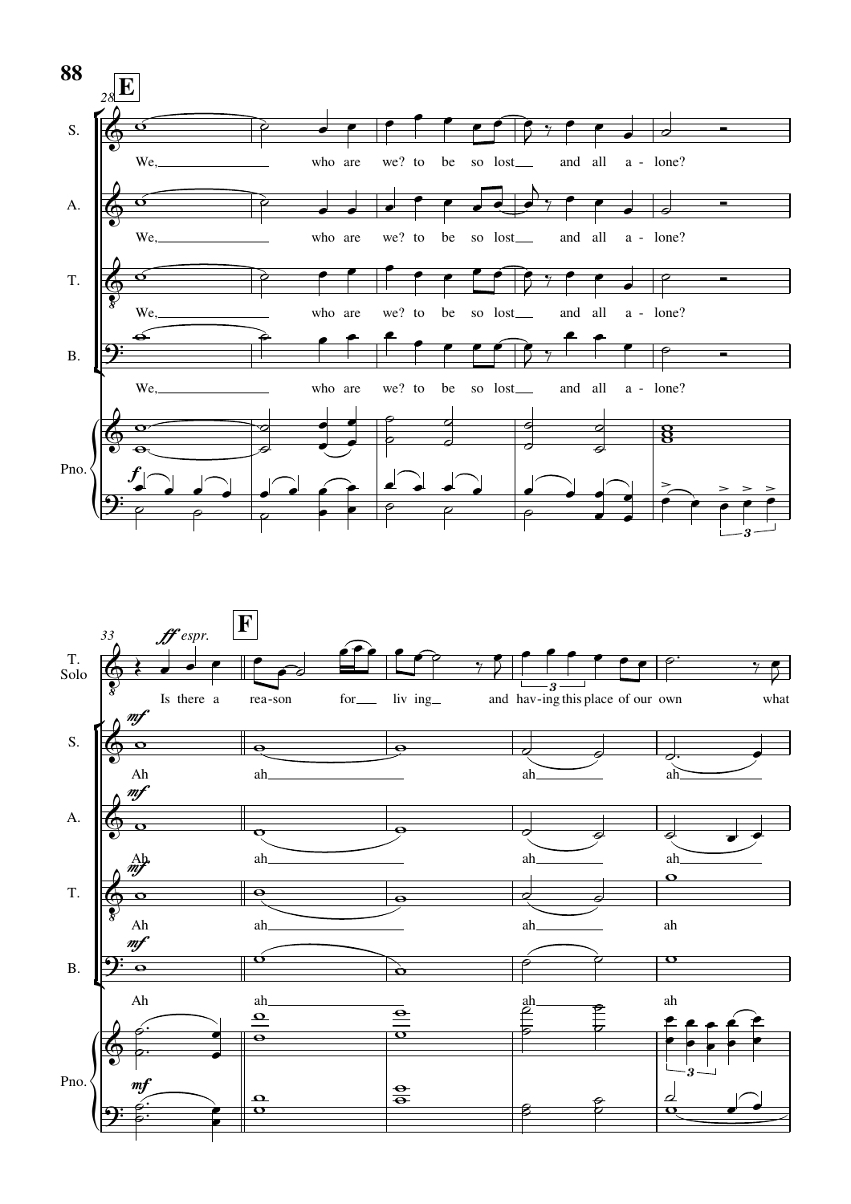

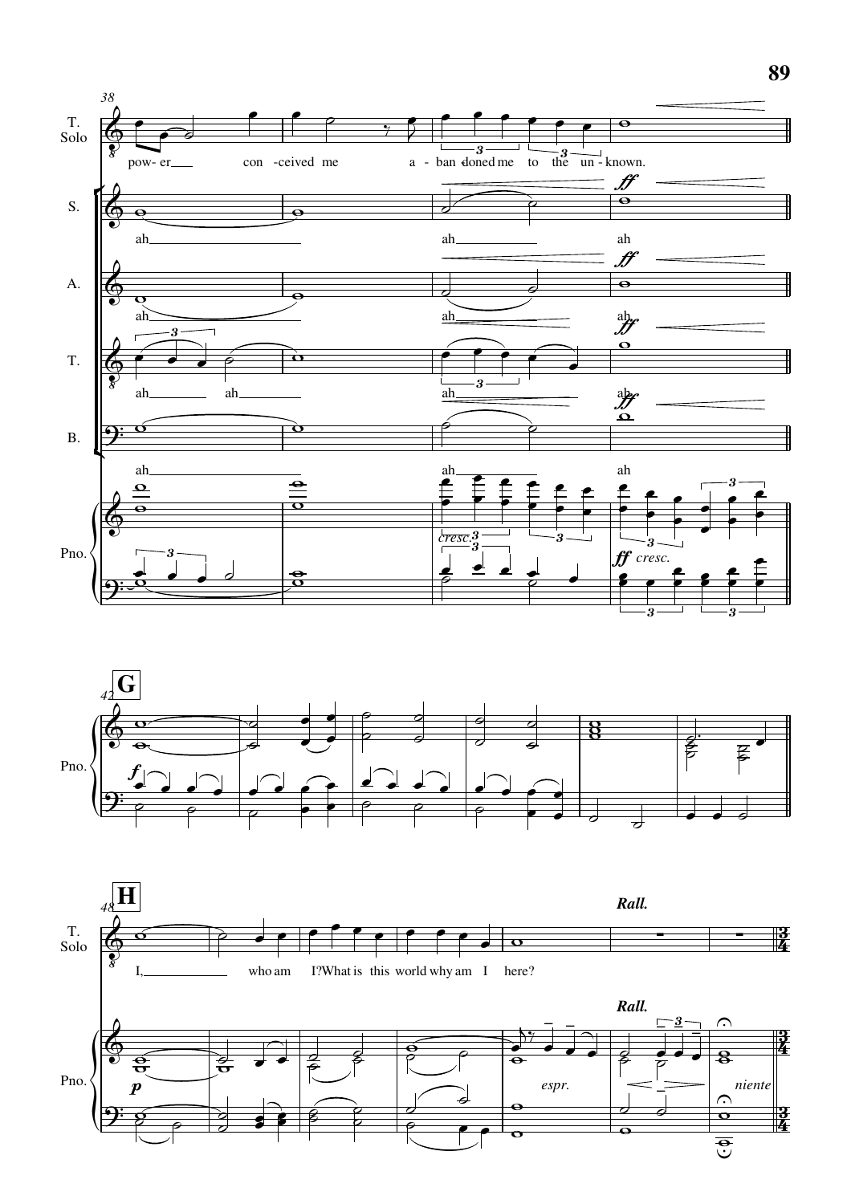